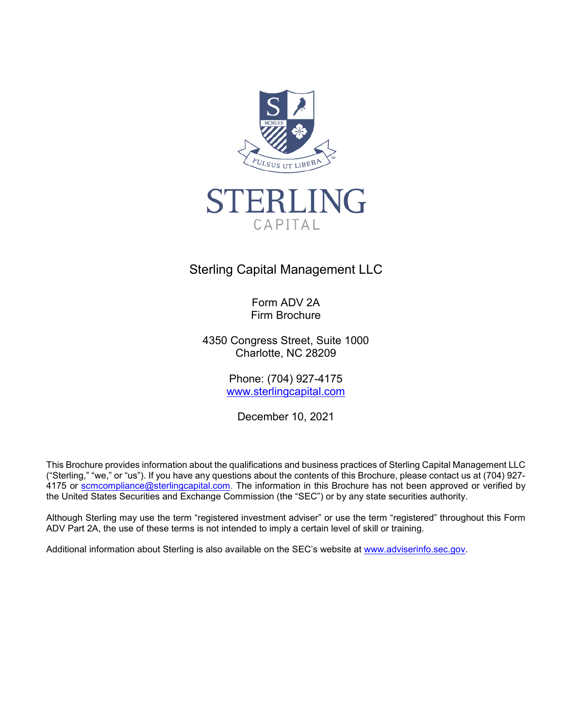



# Sterling Capital Management LLC

Form ADV 2A Firm Brochure

4350 Congress Street, Suite 1000 Charlotte, NC 28209

> Phone: (704) 927-4175 [www.sterlingcapital.com](http://www.sterlingcapital.com/)

December 10, 2021

This Brochure provides information about the qualifications and business practices of Sterling Capital Management LLC ("Sterling," "we," or "us"). If you have any questions about the contents of this Brochure, please contact us at (704) 927 4175 or [scmcompliance@sterlingcapital.com.](mailto:scmcompliance@sterlingcapital.com) The information in this Brochure has not been approved or verified by the United States Securities and Exchange Commission (the "SEC") or by any state securities authority.

Although Sterling may use the term "registered investment adviser" or use the term "registered" throughout this Form ADV Part 2A, the use of these terms is not intended to imply a certain level of skill or training.

Additional information about Sterling is also available on the SEC's website at [www.adviserinfo.sec.gov.](http://www.adviserinfo.sec.gov/)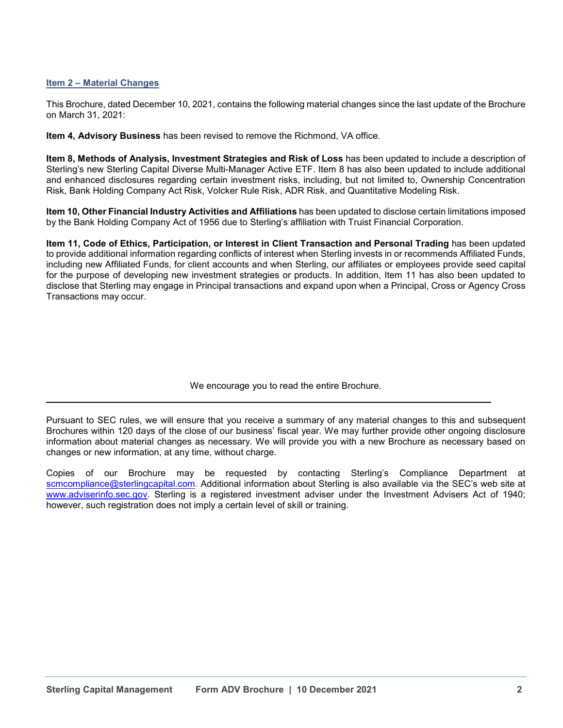## **Item 2 – Material Changes**

This Brochure, dated December 10, 2021, contains the following material changes since the last update of the Brochure on March 31, 2021:

**Item 4, Advisory Business** has been revised to remove the Richmond, VA office.

**Item 8, Methods of Analysis, Investment Strategies and Risk of Loss** has been updated to include a description of Sterling's new Sterling Capital Diverse Multi-Manager Active ETF. Item 8 has also been updated to include additional and enhanced disclosures regarding certain investment risks, including, but not limited to, Ownership Concentration Risk, Bank Holding Company Act Risk, Volcker Rule Risk, ADR Risk, and Quantitative Modeling Risk.

**Item 10, Other Financial Industry Activities and Affiliations** has been updated to disclose certain limitations imposed by the Bank Holding Company Act of 1956 due to Sterling's affiliation with Truist Financial Corporation.

**Item 11, Code of Ethics, Participation, or Interest in Client Transaction and Personal Trading** has been updated to provide additional information regarding conflicts of interest when Sterling invests in or recommends Affiliated Funds, including new Affiliated Funds, for client accounts and when Sterling, our affiliates or employees provide seed capital for the purpose of developing new investment strategies or products. In addition, Item 11 has also been updated to disclose that Sterling may engage in Principal transactions and expand upon when a Principal, Cross or Agency Cross Transactions may occur.

We encourage you to read the entire Brochure.

 $\_$  ,  $\_$  ,  $\_$  ,  $\_$  ,  $\_$  ,  $\_$  ,  $\_$  ,  $\_$  ,  $\_$  ,  $\_$  ,  $\_$  ,  $\_$  ,  $\_$  ,  $\_$  ,  $\_$  ,  $\_$  ,  $\_$  ,  $\_$  ,  $\_$  ,  $\_$  ,  $\_$  ,  $\_$  ,  $\_$  ,  $\_$  ,  $\_$  ,  $\_$  ,  $\_$  ,  $\_$  ,  $\_$  ,  $\_$  ,  $\_$  ,  $\_$  ,  $\_$  ,  $\_$  ,  $\_$  ,  $\_$  ,  $\_$  ,

Pursuant to SEC rules, we will ensure that you receive a summary of any material changes to this and subsequent Brochures within 120 days of the close of our business' fiscal year. We may further provide other ongoing disclosure information about material changes as necessary. We will provide you with a new Brochure as necessary based on changes or new information, at any time, without charge.

Copies of our Brochure may be requested by contacting Sterling's Compliance Department at [scmcompliance@sterlingcapital.com.](mailto:scmcompliance@sterlingcapital.com) Additional information about Sterling is also available via the SEC's web site at [www.adviserinfo.sec.gov.](http://www.adviserinfo.sec.gov/) Sterling is a registered investment adviser under the Investment Advisers Act of 1940; however, such registration does not imply a certain level of skill or training.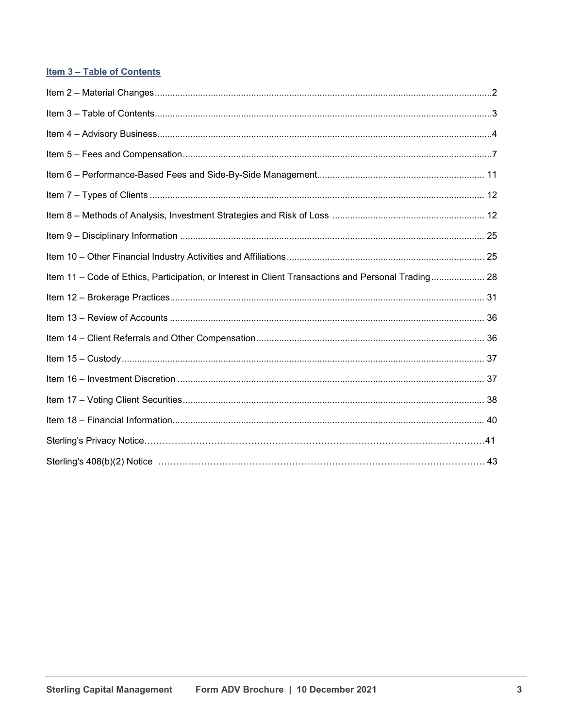## Item 3 - Table of Contents

| Item 11 - Code of Ethics, Participation, or Interest in Client Transactions and Personal Trading 28 |  |
|-----------------------------------------------------------------------------------------------------|--|
|                                                                                                     |  |
|                                                                                                     |  |
|                                                                                                     |  |
|                                                                                                     |  |
|                                                                                                     |  |
|                                                                                                     |  |
|                                                                                                     |  |
|                                                                                                     |  |
|                                                                                                     |  |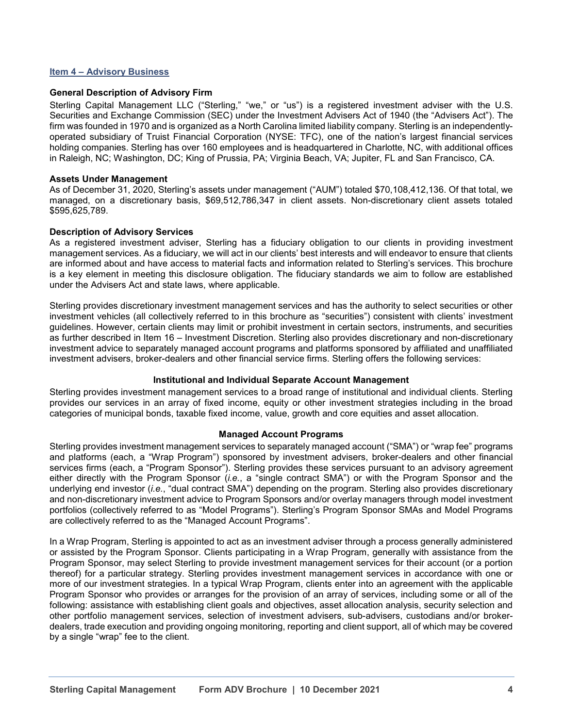#### **Item 4 – Advisory Business**

#### **General Description of Advisory Firm**

Sterling Capital Management LLC ("Sterling," "we," or "us") is a registered investment adviser with the U.S. Securities and Exchange Commission (SEC) under the Investment Advisers Act of 1940 (the "Advisers Act"). The firm was founded in 1970 and is organized as a North Carolina limited liability company. Sterling is an independentlyoperated subsidiary of Truist Financial Corporation (NYSE: TFC), one of the nation's largest financial services holding companies. Sterling has over 160 employees and is headquartered in Charlotte, NC, with additional offices in Raleigh, NC; Washington, DC; King of Prussia, PA; Virginia Beach, VA; Jupiter, FL and San Francisco, CA.

#### **Assets Under Management**

As of December 31, 2020, Sterling's assets under management ("AUM") totaled \$70,108,412,136. Of that total, we managed, on a discretionary basis, \$69,512,786,347 in client assets. Non-discretionary client assets totaled \$595,625,789.

#### **Description of Advisory Services**

As a registered investment adviser, Sterling has a fiduciary obligation to our clients in providing investment management services. As a fiduciary, we will act in our clients' best interests and will endeavor to ensure that clients are informed about and have access to material facts and information related to Sterling's services. This brochure is a key element in meeting this disclosure obligation. The fiduciary standards we aim to follow are established under the Advisers Act and state laws, where applicable.

Sterling provides discretionary investment management services and has the authority to select securities or other investment vehicles (all collectively referred to in this brochure as "securities") consistent with clients' investment guidelines. However, certain clients may limit or prohibit investment in certain sectors, instruments, and securities as further described in Item 16 – Investment Discretion. Sterling also provides discretionary and non-discretionary investment advice to separately managed account programs and platforms sponsored by affiliated and unaffiliated investment advisers, broker-dealers and other financial service firms. Sterling offers the following services:

#### **Institutional and Individual Separate Account Management**

Sterling provides investment management services to a broad range of institutional and individual clients. Sterling provides our services in an array of fixed income, equity or other investment strategies including in the broad categories of municipal bonds, taxable fixed income, value, growth and core equities and asset allocation.

#### **Managed Account Programs**

Sterling provides investment management services to separately managed account ("SMA") or "wrap fee" programs and platforms (each, a "Wrap Program") sponsored by investment advisers, broker-dealers and other financial services firms (each, a "Program Sponsor"). Sterling provides these services pursuant to an advisory agreement either directly with the Program Sponsor (*i.e.*, a "single contract SMA") or with the Program Sponsor and the underlying end investor (*i.e.*, "dual contract SMA") depending on the program. Sterling also provides discretionary and non-discretionary investment advice to Program Sponsors and/or overlay managers through model investment portfolios (collectively referred to as "Model Programs"). Sterling's Program Sponsor SMAs and Model Programs are collectively referred to as the "Managed Account Programs".

In a Wrap Program, Sterling is appointed to act as an investment adviser through a process generally administered or assisted by the Program Sponsor. Clients participating in a Wrap Program, generally with assistance from the Program Sponsor, may select Sterling to provide investment management services for their account (or a portion thereof) for a particular strategy. Sterling provides investment management services in accordance with one or more of our investment strategies. In a typical Wrap Program, clients enter into an agreement with the applicable Program Sponsor who provides or arranges for the provision of an array of services, including some or all of the following: assistance with establishing client goals and objectives, asset allocation analysis, security selection and other portfolio management services, selection of investment advisers, sub-advisers, custodians and/or brokerdealers, trade execution and providing ongoing monitoring, reporting and client support, all of which may be covered by a single "wrap" fee to the client.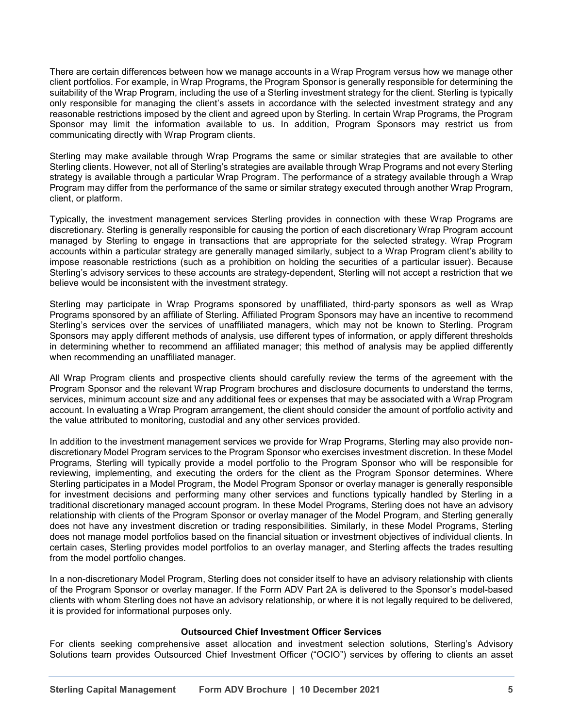There are certain differences between how we manage accounts in a Wrap Program versus how we manage other client portfolios. For example, in Wrap Programs, the Program Sponsor is generally responsible for determining the suitability of the Wrap Program, including the use of a Sterling investment strategy for the client. Sterling is typically only responsible for managing the client's assets in accordance with the selected investment strategy and any reasonable restrictions imposed by the client and agreed upon by Sterling. In certain Wrap Programs, the Program Sponsor may limit the information available to us. In addition, Program Sponsors may restrict us from communicating directly with Wrap Program clients.

Sterling may make available through Wrap Programs the same or similar strategies that are available to other Sterling clients. However, not all of Sterling's strategies are available through Wrap Programs and not every Sterling strategy is available through a particular Wrap Program. The performance of a strategy available through a Wrap Program may differ from the performance of the same or similar strategy executed through another Wrap Program, client, or platform.

Typically, the investment management services Sterling provides in connection with these Wrap Programs are discretionary. Sterling is generally responsible for causing the portion of each discretionary Wrap Program account managed by Sterling to engage in transactions that are appropriate for the selected strategy. Wrap Program accounts within a particular strategy are generally managed similarly, subject to a Wrap Program client's ability to impose reasonable restrictions (such as a prohibition on holding the securities of a particular issuer). Because Sterling's advisory services to these accounts are strategy-dependent, Sterling will not accept a restriction that we believe would be inconsistent with the investment strategy.

Sterling may participate in Wrap Programs sponsored by unaffiliated, third-party sponsors as well as Wrap Programs sponsored by an affiliate of Sterling. Affiliated Program Sponsors may have an incentive to recommend Sterling's services over the services of unaffiliated managers, which may not be known to Sterling. Program Sponsors may apply different methods of analysis, use different types of information, or apply different thresholds in determining whether to recommend an affiliated manager; this method of analysis may be applied differently when recommending an unaffiliated manager.

All Wrap Program clients and prospective clients should carefully review the terms of the agreement with the Program Sponsor and the relevant Wrap Program brochures and disclosure documents to understand the terms, services, minimum account size and any additional fees or expenses that may be associated with a Wrap Program account. In evaluating a Wrap Program arrangement, the client should consider the amount of portfolio activity and the value attributed to monitoring, custodial and any other services provided.

In addition to the investment management services we provide for Wrap Programs, Sterling may also provide nondiscretionary Model Program services to the Program Sponsor who exercises investment discretion. In these Model Programs, Sterling will typically provide a model portfolio to the Program Sponsor who will be responsible for reviewing, implementing, and executing the orders for the client as the Program Sponsor determines. Where Sterling participates in a Model Program, the Model Program Sponsor or overlay manager is generally responsible for investment decisions and performing many other services and functions typically handled by Sterling in a traditional discretionary managed account program. In these Model Programs, Sterling does not have an advisory relationship with clients of the Program Sponsor or overlay manager of the Model Program, and Sterling generally does not have any investment discretion or trading responsibilities. Similarly, in these Model Programs, Sterling does not manage model portfolios based on the financial situation or investment objectives of individual clients. In certain cases, Sterling provides model portfolios to an overlay manager, and Sterling affects the trades resulting from the model portfolio changes.

In a non-discretionary Model Program, Sterling does not consider itself to have an advisory relationship with clients of the Program Sponsor or overlay manager. If the Form ADV Part 2A is delivered to the Sponsor's model-based clients with whom Sterling does not have an advisory relationship, or where it is not legally required to be delivered, it is provided for informational purposes only.

## **Outsourced Chief Investment Officer Services**

For clients seeking comprehensive asset allocation and investment selection solutions, Sterling's Advisory Solutions team provides Outsourced Chief Investment Officer ("OCIO") services by offering to clients an asset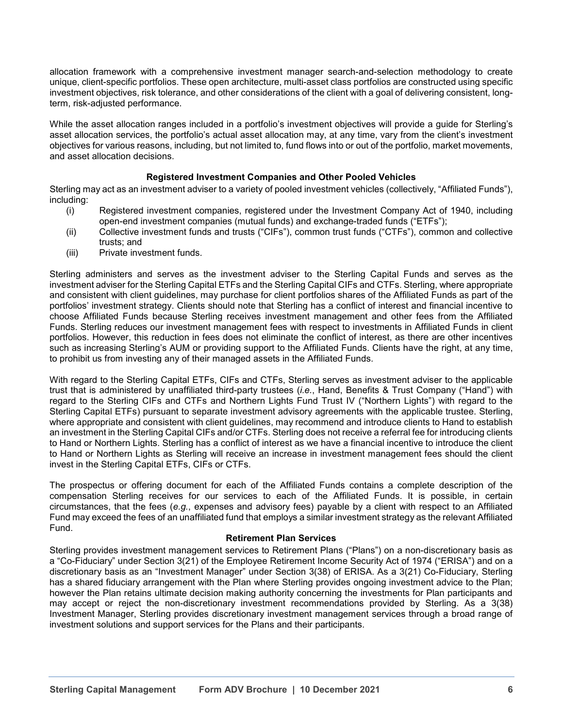allocation framework with a comprehensive investment manager search-and-selection methodology to create unique, client-specific portfolios. These open architecture, multi-asset class portfolios are constructed using specific investment objectives, risk tolerance, and other considerations of the client with a goal of delivering consistent, longterm, risk-adjusted performance.

While the asset allocation ranges included in a portfolio's investment objectives will provide a guide for Sterling's asset allocation services, the portfolio's actual asset allocation may, at any time, vary from the client's investment objectives for various reasons, including, but not limited to, fund flows into or out of the portfolio, market movements, and asset allocation decisions.

## **Registered Investment Companies and Other Pooled Vehicles**

Sterling may act as an investment adviser to a variety of pooled investment vehicles (collectively, "Affiliated Funds"), including:

- (i) Registered investment companies, registered under the Investment Company Act of 1940, including open-end investment companies (mutual funds) and exchange-traded funds ("ETFs");
- (ii) Collective investment funds and trusts ("CIFs"), common trust funds ("CTFs"), common and collective trusts; and
- (iii) Private investment funds.

Sterling administers and serves as the investment adviser to the Sterling Capital Funds and serves as the investment adviser for the Sterling Capital ETFs and the Sterling Capital CIFs and CTFs. Sterling, where appropriate and consistent with client guidelines, may purchase for client portfolios shares of the Affiliated Funds as part of the portfolios' investment strategy. Clients should note that Sterling has a conflict of interest and financial incentive to choose Affiliated Funds because Sterling receives investment management and other fees from the Affiliated Funds. Sterling reduces our investment management fees with respect to investments in Affiliated Funds in client portfolios. However, this reduction in fees does not eliminate the conflict of interest, as there are other incentives such as increasing Sterling's AUM or providing support to the Affiliated Funds. Clients have the right, at any time, to prohibit us from investing any of their managed assets in the Affiliated Funds.

With regard to the Sterling Capital ETFs, CIFs and CTFs, Sterling serves as investment adviser to the applicable trust that is administered by unaffiliated third-party trustees (*i.e.*, Hand, Benefits & Trust Company ("Hand") with regard to the Sterling CIFs and CTFs and Northern Lights Fund Trust IV ("Northern Lights") with regard to the Sterling Capital ETFs) pursuant to separate investment advisory agreements with the applicable trustee. Sterling, where appropriate and consistent with client guidelines, may recommend and introduce clients to Hand to establish an investment in the Sterling Capital CIFs and/or CTFs. Sterling does not receive a referral fee for introducing clients to Hand or Northern Lights. Sterling has a conflict of interest as we have a financial incentive to introduce the client to Hand or Northern Lights as Sterling will receive an increase in investment management fees should the client invest in the Sterling Capital ETFs, CIFs or CTFs.

The prospectus or offering document for each of the Affiliated Funds contains a complete description of the compensation Sterling receives for our services to each of the Affiliated Funds. It is possible, in certain circumstances, that the fees (*e.g.*, expenses and advisory fees) payable by a client with respect to an Affiliated Fund may exceed the fees of an unaffiliated fund that employs a similar investment strategy as the relevant Affiliated Fund.

#### **Retirement Plan Services**

Sterling provides investment management services to Retirement Plans ("Plans") on a non-discretionary basis as a "Co-Fiduciary" under Section 3(21) of the Employee Retirement Income Security Act of 1974 ("ERISA") and on a discretionary basis as an "Investment Manager" under Section 3(38) of ERISA. As a 3(21) Co-Fiduciary, Sterling has a shared fiduciary arrangement with the Plan where Sterling provides ongoing investment advice to the Plan; however the Plan retains ultimate decision making authority concerning the investments for Plan participants and may accept or reject the non-discretionary investment recommendations provided by Sterling. As a 3(38) Investment Manager, Sterling provides discretionary investment management services through a broad range of investment solutions and support services for the Plans and their participants.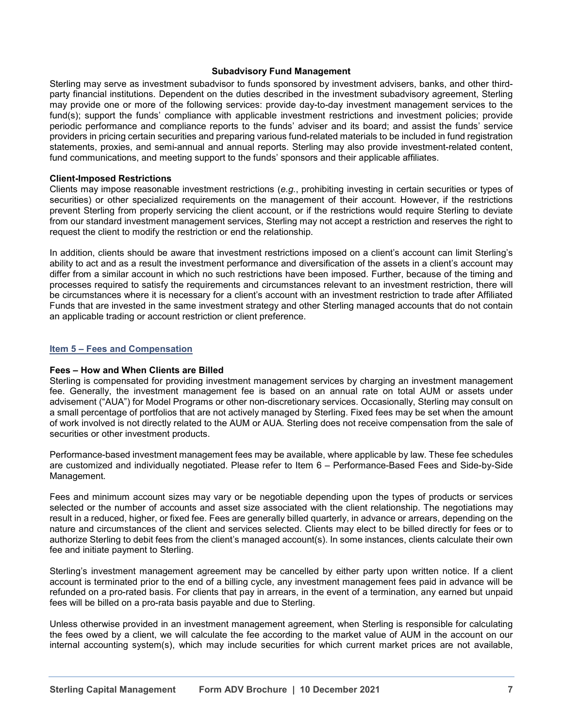#### **Subadvisory Fund Management**

Sterling may serve as investment subadvisor to funds sponsored by investment advisers, banks, and other thirdparty financial institutions. Dependent on the duties described in the investment subadvisory agreement, Sterling may provide one or more of the following services: provide day-to-day investment management services to the fund(s); support the funds' compliance with applicable investment restrictions and investment policies; provide periodic performance and compliance reports to the funds' adviser and its board; and assist the funds' service providers in pricing certain securities and preparing various fund-related materials to be included in fund registration statements, proxies, and semi-annual and annual reports. Sterling may also provide investment-related content, fund communications, and meeting support to the funds' sponsors and their applicable affiliates.

#### **Client-Imposed Restrictions**

Clients may impose reasonable investment restrictions (*e.g.*, prohibiting investing in certain securities or types of securities) or other specialized requirements on the management of their account. However, if the restrictions prevent Sterling from properly servicing the client account, or if the restrictions would require Sterling to deviate from our standard investment management services, Sterling may not accept a restriction and reserves the right to request the client to modify the restriction or end the relationship.

In addition, clients should be aware that investment restrictions imposed on a client's account can limit Sterling's ability to act and as a result the investment performance and diversification of the assets in a client's account may differ from a similar account in which no such restrictions have been imposed. Further, because of the timing and processes required to satisfy the requirements and circumstances relevant to an investment restriction, there will be circumstances where it is necessary for a client's account with an investment restriction to trade after Affiliated Funds that are invested in the same investment strategy and other Sterling managed accounts that do not contain an applicable trading or account restriction or client preference.

#### **Item 5 – Fees and Compensation**

#### **Fees – How and When Clients are Billed**

Sterling is compensated for providing investment management services by charging an investment management fee. Generally, the investment management fee is based on an annual rate on total AUM or assets under advisement ("AUA") for Model Programs or other non-discretionary services. Occasionally, Sterling may consult on a small percentage of portfolios that are not actively managed by Sterling. Fixed fees may be set when the amount of work involved is not directly related to the AUM or AUA. Sterling does not receive compensation from the sale of securities or other investment products.

Performance-based investment management fees may be available, where applicable by law. These fee schedules are customized and individually negotiated. Please refer to Item 6 – Performance-Based Fees and Side-by-Side Management.

Fees and minimum account sizes may vary or be negotiable depending upon the types of products or services selected or the number of accounts and asset size associated with the client relationship. The negotiations may result in a reduced, higher, or fixed fee. Fees are generally billed quarterly, in advance or arrears, depending on the nature and circumstances of the client and services selected. Clients may elect to be billed directly for fees or to authorize Sterling to debit fees from the client's managed account(s). In some instances, clients calculate their own fee and initiate payment to Sterling.

Sterling's investment management agreement may be cancelled by either party upon written notice. If a client account is terminated prior to the end of a billing cycle, any investment management fees paid in advance will be refunded on a pro-rated basis. For clients that pay in arrears, in the event of a termination, any earned but unpaid fees will be billed on a pro-rata basis payable and due to Sterling.

Unless otherwise provided in an investment management agreement, when Sterling is responsible for calculating the fees owed by a client, we will calculate the fee according to the market value of AUM in the account on our internal accounting system(s), which may include securities for which current market prices are not available,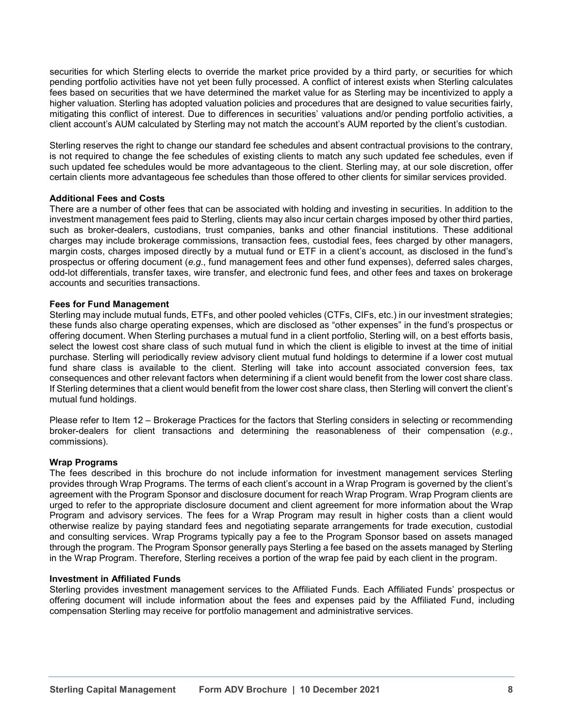securities for which Sterling elects to override the market price provided by a third party, or securities for which pending portfolio activities have not yet been fully processed. A conflict of interest exists when Sterling calculates fees based on securities that we have determined the market value for as Sterling may be incentivized to apply a higher valuation. Sterling has adopted valuation policies and procedures that are designed to value securities fairly, mitigating this conflict of interest. Due to differences in securities' valuations and/or pending portfolio activities, a client account's AUM calculated by Sterling may not match the account's AUM reported by the client's custodian.

Sterling reserves the right to change our standard fee schedules and absent contractual provisions to the contrary, is not required to change the fee schedules of existing clients to match any such updated fee schedules, even if such updated fee schedules would be more advantageous to the client. Sterling may, at our sole discretion, offer certain clients more advantageous fee schedules than those offered to other clients for similar services provided.

### **Additional Fees and Costs**

There are a number of other fees that can be associated with holding and investing in securities. In addition to the investment management fees paid to Sterling, clients may also incur certain charges imposed by other third parties, such as broker-dealers, custodians, trust companies, banks and other financial institutions. These additional charges may include brokerage commissions, transaction fees, custodial fees, fees charged by other managers, margin costs, charges imposed directly by a mutual fund or ETF in a client's account, as disclosed in the fund's prospectus or offering document (*e.g*., fund management fees and other fund expenses), deferred sales charges, odd-lot differentials, transfer taxes, wire transfer, and electronic fund fees, and other fees and taxes on brokerage accounts and securities transactions.

#### **Fees for Fund Management**

Sterling may include mutual funds, ETFs, and other pooled vehicles (CTFs, CIFs, etc.) in our investment strategies; these funds also charge operating expenses, which are disclosed as "other expenses" in the fund's prospectus or offering document. When Sterling purchases a mutual fund in a client portfolio, Sterling will, on a best efforts basis, select the lowest cost share class of such mutual fund in which the client is eligible to invest at the time of initial purchase. Sterling will periodically review advisory client mutual fund holdings to determine if a lower cost mutual fund share class is available to the client. Sterling will take into account associated conversion fees, tax consequences and other relevant factors when determining if a client would benefit from the lower cost share class. If Sterling determines that a client would benefit from the lower cost share class, then Sterling will convert the client's mutual fund holdings.

Please refer to Item 12 – Brokerage Practices for the factors that Sterling considers in selecting or recommending broker-dealers for client transactions and determining the reasonableness of their compensation (*e.g.*, commissions).

#### **Wrap Programs**

The fees described in this brochure do not include information for investment management services Sterling provides through Wrap Programs. The terms of each client's account in a Wrap Program is governed by the client's agreement with the Program Sponsor and disclosure document for reach Wrap Program. Wrap Program clients are urged to refer to the appropriate disclosure document and client agreement for more information about the Wrap Program and advisory services. The fees for a Wrap Program may result in higher costs than a client would otherwise realize by paying standard fees and negotiating separate arrangements for trade execution, custodial and consulting services. Wrap Programs typically pay a fee to the Program Sponsor based on assets managed through the program. The Program Sponsor generally pays Sterling a fee based on the assets managed by Sterling in the Wrap Program. Therefore, Sterling receives a portion of the wrap fee paid by each client in the program.

#### **Investment in Affiliated Funds**

Sterling provides investment management services to the Affiliated Funds. Each Affiliated Funds' prospectus or offering document will include information about the fees and expenses paid by the Affiliated Fund, including compensation Sterling may receive for portfolio management and administrative services.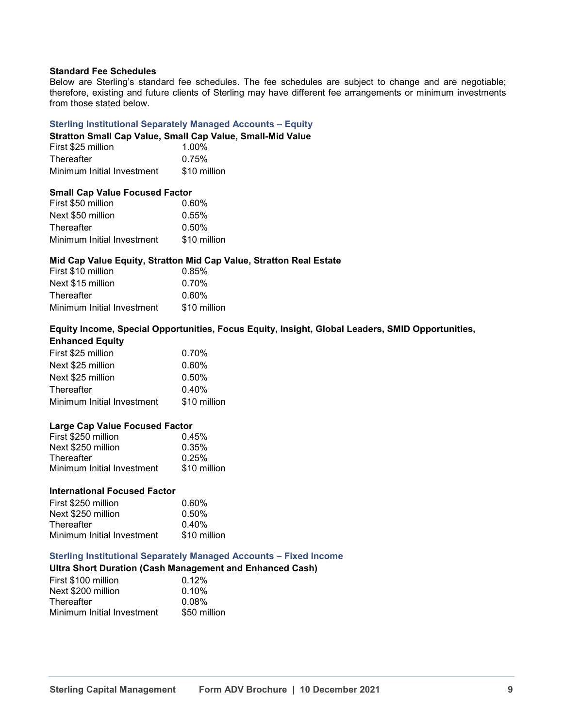#### **Standard Fee Schedules**

Below are Sterling's standard fee schedules. The fee schedules are subject to change and are negotiable; therefore, existing and future clients of Sterling may have different fee arrangements or minimum investments from those stated below.

#### **Sterling Institutional Separately Managed Accounts – Equity**

#### **Stratton Small Cap Value, Small Cap Value, Small-Mid Value**

| First \$25 million         | 1.00%        |
|----------------------------|--------------|
| <b>Thereafter</b>          | 0.75%        |
| Minimum Initial Investment | \$10 million |

#### **Small Cap Value Focused Factor**

| First \$50 million         | 0.60%        |
|----------------------------|--------------|
| Next \$50 million          | 0.55%        |
| Thereafter                 | $0.50\%$     |
| Minimum Initial Investment | \$10 million |

#### **Mid Cap Value Equity, Stratton Mid Cap Value, Stratton Real Estate**

| First \$10 million         | 0.85%        |
|----------------------------|--------------|
| Next \$15 million          | $0.70\%$     |
| Thereafter                 | 0.60%        |
| Minimum Initial Investment | \$10 million |

#### **Equity Income, Special Opportunities, Focus Equity, Insight, Global Leaders, SMID Opportunities, Enhanced Equity**

| First \$25 million         | 0.70%        |
|----------------------------|--------------|
| Next \$25 million          | $0.60\%$     |
| Next \$25 million          | 0.50%        |
| Thereafter                 | 0.40%        |
| Minimum Initial Investment | \$10 million |
|                            |              |

#### **Large Cap Value Focused Factor**

| First \$250 million        | 0.45%        |
|----------------------------|--------------|
| Next \$250 million         | 0.35%        |
| <b>Thereafter</b>          | 0.25%        |
| Minimum Initial Investment | \$10 million |
|                            |              |

#### **International Focused Factor**

| $0.60\%$     |
|--------------|
| 0.50%        |
| 0.40%        |
| \$10 million |
|              |

## **Sterling Institutional Separately Managed Accounts – Fixed Income**

## **Ultra Short Duration (Cash Management and Enhanced Cash)**

| 0.12%        |
|--------------|
| $0.10\%$     |
| $0.08\%$     |
| \$50 million |
|              |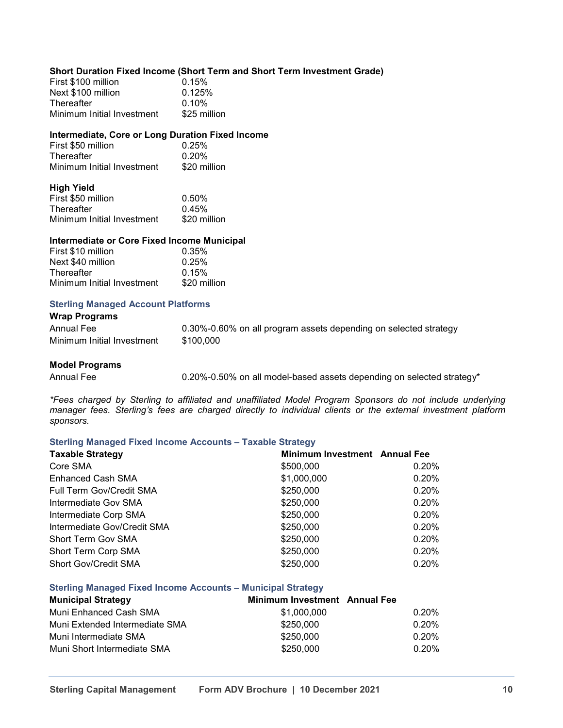### **Short Duration Fixed Income (Short Term and Short Term Investment Grade)**

| First \$100 million        | 0.15%        |
|----------------------------|--------------|
| Next \$100 million         | 0.125%       |
| <b>Thereafter</b>          | $0.10\%$     |
| Minimum Initial Investment | \$25 million |

#### **Intermediate, Core or Long Duration Fixed Income**

| First \$50 million         | 0.25%        |
|----------------------------|--------------|
| <b>Thereafter</b>          | $0.20\%$     |
| Minimum Initial Investment | \$20 million |

#### **High Yield**

| First \$50 million         | 0.50%        |
|----------------------------|--------------|
| <b>Thereafter</b>          | 0.45%        |
| Minimum Initial Investment | \$20 million |

#### **Intermediate or Core Fixed Income Municipal**

| $0.35\%$     |
|--------------|
| 0.25%        |
| 0.15%        |
| \$20 million |
|              |

## **Sterling Managed Account Platforms**

# **Wrap Programs** Minimum Initial Investment \$100,000

Annual Fee **1.30%-0.60%** on all program assets depending on selected strategy

#### **Model Programs**

Annual Fee **1.20%-0.50%** on all model-based assets depending on selected strategy<sup>\*</sup>

*\*Fees charged by Sterling to affiliated and unaffiliated Model Program Sponsors do not include underlying manager fees. Sterling's fees are charged directly to individual clients or the external investment platform sponsors.* 

#### **Sterling Managed Fixed Income Accounts – Taxable Strategy**

| <b>Taxable Strategy</b>     | Minimum Investment Annual Fee |       |
|-----------------------------|-------------------------------|-------|
| Core SMA                    | \$500,000                     | 0.20% |
| <b>Enhanced Cash SMA</b>    | \$1,000,000                   | 0.20% |
| Full Term Gov/Credit SMA    | \$250,000                     | 0.20% |
| Intermediate Gov SMA        | \$250,000                     | 0.20% |
| Intermediate Corp SMA       | \$250,000                     | 0.20% |
| Intermediate Gov/Credit SMA | \$250,000                     | 0.20% |
| <b>Short Term Gov SMA</b>   | \$250,000                     | 0.20% |
| Short Term Corp SMA         | \$250,000                     | 0.20% |
| <b>Short Gov/Credit SMA</b> | \$250,000                     | 0.20% |

#### **Sterling Managed Fixed Income Accounts – Municipal Strategy**

| <b>Municipal Strategy</b>      | <b>Minimum Investment</b> Annual Fee |       |
|--------------------------------|--------------------------------------|-------|
| Muni Enhanced Cash SMA         | \$1,000,000                          | 0.20% |
| Muni Extended Intermediate SMA | \$250,000                            | 0.20% |
| Muni Intermediate SMA          | \$250,000                            | 0.20% |
| Muni Short Intermediate SMA    | \$250,000                            | 0.20% |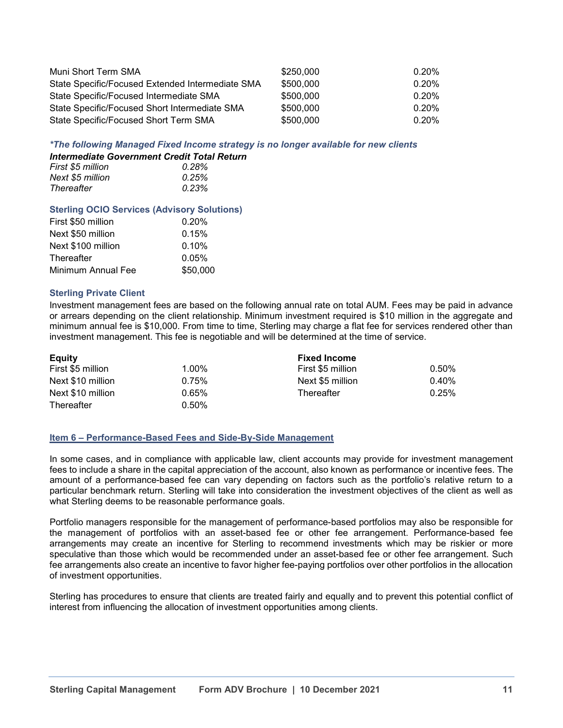| Muni Short Term SMA                              | \$250,000 | 0.20%    |
|--------------------------------------------------|-----------|----------|
| State Specific/Focused Extended Intermediate SMA | \$500,000 | $0.20\%$ |
| State Specific/Focused Intermediate SMA          | \$500,000 | 0.20%    |
| State Specific/Focused Short Intermediate SMA    | \$500,000 | 0.20%    |
| State Specific/Focused Short Term SMA            | \$500,000 | 0.20%    |

*\*The following Managed Fixed Income strategy is no longer available for new clients*

| Intermediate Government Credit Total Return |       |
|---------------------------------------------|-------|
| First \$5 million                           | 0.28% |
| Next \$5 million                            | 0.25% |
| Thereafter                                  | 0.23% |

#### **Sterling OCIO Services (Advisory Solutions)**

| First \$50 million | 0.20%    |
|--------------------|----------|
| Next \$50 million  | 0.15%    |
| Next \$100 million | $0.10\%$ |
| Thereafter         | 0.05%    |
| Minimum Annual Fee | \$50,000 |

#### **Sterling Private Client**

Investment management fees are based on the following annual rate on total AUM. Fees may be paid in advance or arrears depending on the client relationship. Minimum investment required is \$10 million in the aggregate and minimum annual fee is \$10,000. From time to time, Sterling may charge a flat fee for services rendered other than investment management. This fee is negotiable and will be determined at the time of service.

| <b>Equity</b>     |       | <b>Fixed Income</b> |          |
|-------------------|-------|---------------------|----------|
| First \$5 million | 1.00% | First \$5 million   | $0.50\%$ |
| Next \$10 million | 0.75% | Next \$5 million    | $0.40\%$ |
| Next \$10 million | 0.65% | Thereafter          | 0.25%    |
| Thereafter        | 0.50% |                     |          |

#### **Item 6 – Performance-Based Fees and Side-By-Side Management**

In some cases, and in compliance with applicable law, client accounts may provide for investment management fees to include a share in the capital appreciation of the account, also known as performance or incentive fees. The amount of a performance-based fee can vary depending on factors such as the portfolio's relative return to a particular benchmark return. Sterling will take into consideration the investment objectives of the client as well as what Sterling deems to be reasonable performance goals.

Portfolio managers responsible for the management of performance-based portfolios may also be responsible for the management of portfolios with an asset-based fee or other fee arrangement. Performance-based fee arrangements may create an incentive for Sterling to recommend investments which may be riskier or more speculative than those which would be recommended under an asset-based fee or other fee arrangement. Such fee arrangements also create an incentive to favor higher fee-paying portfolios over other portfolios in the allocation of investment opportunities.

Sterling has procedures to ensure that clients are treated fairly and equally and to prevent this potential conflict of interest from influencing the allocation of investment opportunities among clients.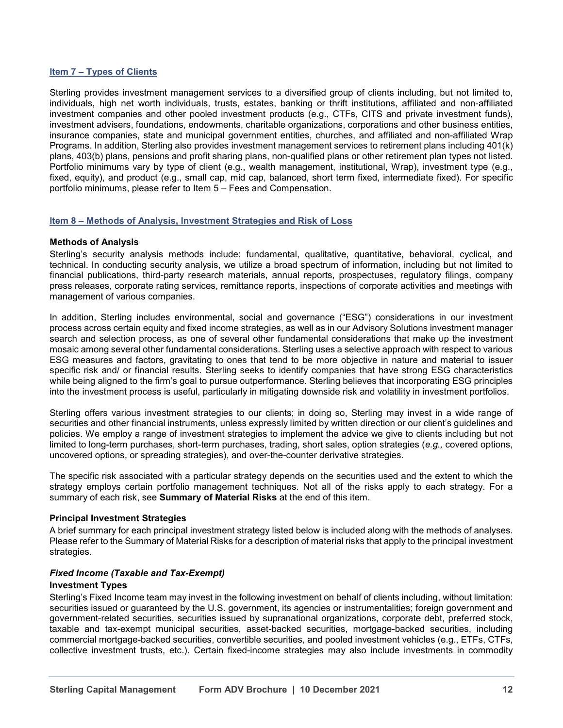## **Item 7 – Types of Clients**

Sterling provides investment management services to a diversified group of clients including, but not limited to, individuals, high net worth individuals, trusts, estates, banking or thrift institutions, affiliated and non-affiliated investment companies and other pooled investment products (e.g., CTFs, CITS and private investment funds), investment advisers, foundations, endowments, charitable organizations, corporations and other business entities, insurance companies, state and municipal government entities, churches, and affiliated and non-affiliated Wrap Programs. In addition, Sterling also provides investment management services to retirement plans including 401(k) plans, 403(b) plans, pensions and profit sharing plans, non-qualified plans or other retirement plan types not listed. Portfolio minimums vary by type of client (e.g., wealth management, institutional, Wrap), investment type (e.g., fixed, equity), and product (e.g., small cap, mid cap, balanced, short term fixed, intermediate fixed). For specific portfolio minimums, please refer to Item 5 – Fees and Compensation.

### **Item 8 – Methods of Analysis, Investment Strategies and Risk of Loss**

### **Methods of Analysis**

Sterling's security analysis methods include: fundamental, qualitative, quantitative, behavioral, cyclical, and technical. In conducting security analysis, we utilize a broad spectrum of information, including but not limited to financial publications, third-party research materials, annual reports, prospectuses, regulatory filings, company press releases, corporate rating services, remittance reports, inspections of corporate activities and meetings with management of various companies.

In addition, Sterling includes environmental, social and governance ("ESG") considerations in our investment process across certain equity and fixed income strategies, as well as in our Advisory Solutions investment manager search and selection process, as one of several other fundamental considerations that make up the investment mosaic among several other fundamental considerations. Sterling uses a selective approach with respect to various ESG measures and factors, gravitating to ones that tend to be more objective in nature and material to issuer specific risk and/ or financial results. Sterling seeks to identify companies that have strong ESG characteristics while being aligned to the firm's goal to pursue outperformance. Sterling believes that incorporating ESG principles into the investment process is useful, particularly in mitigating downside risk and volatility in investment portfolios.

Sterling offers various investment strategies to our clients; in doing so, Sterling may invest in a wide range of securities and other financial instruments, unless expressly limited by written direction or our client's guidelines and policies. We employ a range of investment strategies to implement the advice we give to clients including but not limited to long-term purchases, short-term purchases, trading, short sales, option strategies (*e.g.,* covered options, uncovered options, or spreading strategies), and over-the-counter derivative strategies.

The specific risk associated with a particular strategy depends on the securities used and the extent to which the strategy employs certain portfolio management techniques. Not all of the risks apply to each strategy. For a summary of each risk, see **Summary of Material Risks** at the end of this item.

## **Principal Investment Strategies**

A brief summary for each principal investment strategy listed below is included along with the methods of analyses. Please refer to the Summary of Material Risks for a description of material risks that apply to the principal investment strategies*.*

## *Fixed Income (Taxable and Tax-Exempt)*

#### **Investment Types**

Sterling's Fixed Income team may invest in the following investment on behalf of clients including, without limitation: securities issued or guaranteed by the U.S. government, its agencies or instrumentalities; foreign government and government-related securities, securities issued by supranational organizations, corporate debt, preferred stock, taxable and tax-exempt municipal securities, asset-backed securities, mortgage-backed securities, including commercial mortgage-backed securities, convertible securities, and pooled investment vehicles (e.g., ETFs, CTFs, collective investment trusts, etc.). Certain fixed-income strategies may also include investments in commodity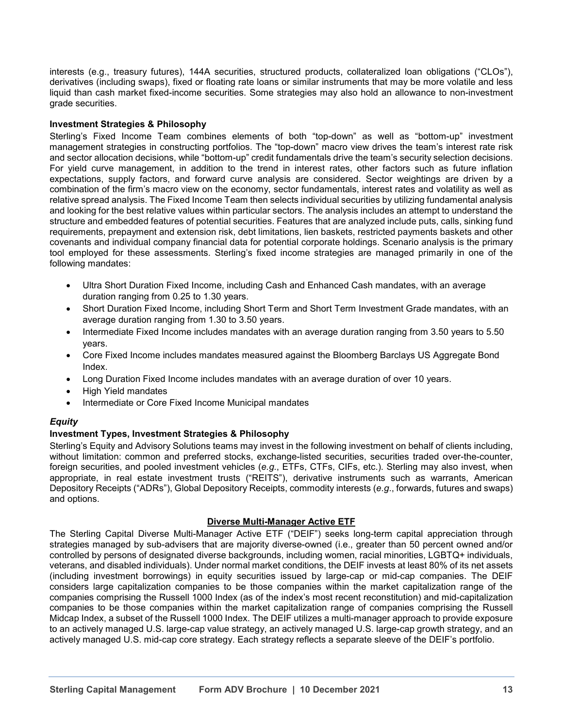interests (e.g., treasury futures), 144A securities, structured products, collateralized loan obligations ("CLOs"), derivatives (including swaps), fixed or floating rate loans or similar instruments that may be more volatile and less liquid than cash market fixed-income securities. Some strategies may also hold an allowance to non-investment grade securities.

## **Investment Strategies & Philosophy**

Sterling's Fixed Income Team combines elements of both "top-down" as well as "bottom-up" investment management strategies in constructing portfolios. The "top-down" macro view drives the team's interest rate risk and sector allocation decisions, while "bottom-up" credit fundamentals drive the team's security selection decisions. For yield curve management, in addition to the trend in interest rates, other factors such as future inflation expectations, supply factors, and forward curve analysis are considered. Sector weightings are driven by a combination of the firm's macro view on the economy, sector fundamentals, interest rates and volatility as well as relative spread analysis. The Fixed Income Team then selects individual securities by utilizing fundamental analysis and looking for the best relative values within particular sectors. The analysis includes an attempt to understand the structure and embedded features of potential securities. Features that are analyzed include puts, calls, sinking fund requirements, prepayment and extension risk, debt limitations, lien baskets, restricted payments baskets and other covenants and individual company financial data for potential corporate holdings. Scenario analysis is the primary tool employed for these assessments. Sterling's fixed income strategies are managed primarily in one of the following mandates:

- Ultra Short Duration Fixed Income, including Cash and Enhanced Cash mandates, with an average duration ranging from 0.25 to 1.30 years.
- Short Duration Fixed Income, including Short Term and Short Term Investment Grade mandates, with an average duration ranging from 1.30 to 3.50 years.
- Intermediate Fixed Income includes mandates with an average duration ranging from 3.50 years to 5.50 years.
- Core Fixed Income includes mandates measured against the Bloomberg Barclays US Aggregate Bond Index.
- Long Duration Fixed Income includes mandates with an average duration of over 10 years.
- High Yield mandates
- Intermediate or Core Fixed Income Municipal mandates

## *Equity*

## **Investment Types, Investment Strategies & Philosophy**

Sterling's Equity and Advisory Solutions teams may invest in the following investment on behalf of clients including, without limitation: common and preferred stocks, exchange-listed securities, securities traded over-the-counter, foreign securities, and pooled investment vehicles (*e.g.*, ETFs, CTFs, CIFs, etc.). Sterling may also invest, when appropriate, in real estate investment trusts ("REITS"), derivative instruments such as warrants, American Depository Receipts ("ADRs"), Global Depository Receipts, commodity interests (*e.g*., forwards, futures and swaps) and options.

## **Diverse Multi-Manager Active ETF**

The Sterling Capital Diverse Multi-Manager Active ETF ("DEIF") seeks long-term capital appreciation through strategies managed by sub-advisers that are majority diverse-owned (i.e., greater than 50 percent owned and/or controlled by persons of designated diverse backgrounds, including women, racial minorities, LGBTQ+ individuals, veterans, and disabled individuals). Under normal market conditions, the DEIF invests at least 80% of its net assets (including investment borrowings) in equity securities issued by large-cap or mid-cap companies. The DEIF considers large capitalization companies to be those companies within the market capitalization range of the companies comprising the Russell 1000 Index (as of the index's most recent reconstitution) and mid-capitalization companies to be those companies within the market capitalization range of companies comprising the Russell Midcap Index, a subset of the Russell 1000 Index. The DEIF utilizes a multi-manager approach to provide exposure to an actively managed U.S. large-cap value strategy, an actively managed U.S. large-cap growth strategy, and an actively managed U.S. mid-cap core strategy. Each strategy reflects a separate sleeve of the DEIF's portfolio.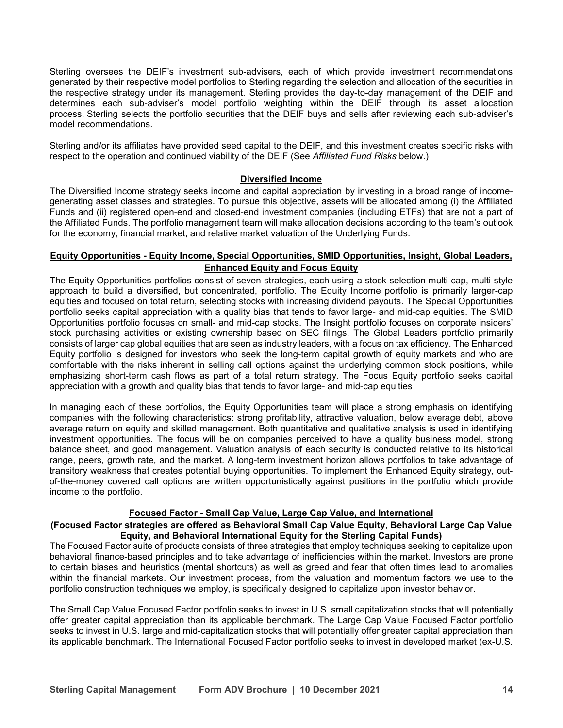Sterling oversees the DEIF's investment sub-advisers, each of which provide investment recommendations generated by their respective model portfolios to Sterling regarding the selection and allocation of the securities in the respective strategy under its management. Sterling provides the day-to-day management of the DEIF and determines each sub-adviser's model portfolio weighting within the DEIF through its asset allocation process. Sterling selects the portfolio securities that the DEIF buys and sells after reviewing each sub-adviser's model recommendations.

Sterling and/or its affiliates have provided seed capital to the DEIF, and this investment creates specific risks with respect to the operation and continued viability of the DEIF (See *Affiliated Fund Risks* below.)

### **Diversified Income**

The Diversified Income strategy seeks income and capital appreciation by investing in a broad range of incomegenerating asset classes and strategies. To pursue this objective, assets will be allocated among (i) the Affiliated Funds and (ii) registered open-end and closed-end investment companies (including ETFs) that are not a part of the Affiliated Funds. The portfolio management team will make allocation decisions according to the team's outlook for the economy, financial market, and relative market valuation of the Underlying Funds.

## **Equity Opportunities - Equity Income, Special Opportunities, SMID Opportunities, Insight, Global Leaders, Enhanced Equity and Focus Equity**

The Equity Opportunities portfolios consist of seven strategies, each using a stock selection multi-cap, multi-style approach to build a diversified, but concentrated, portfolio. The Equity Income portfolio is primarily larger-cap equities and focused on total return, selecting stocks with increasing dividend payouts. The Special Opportunities portfolio seeks capital appreciation with a quality bias that tends to favor large- and mid-cap equities. The SMID Opportunities portfolio focuses on small- and mid-cap stocks. The Insight portfolio focuses on corporate insiders' stock purchasing activities or existing ownership based on SEC filings. The Global Leaders portfolio primarily consists of larger cap global equities that are seen as industry leaders, with a focus on tax efficiency. The Enhanced Equity portfolio is designed for investors who seek the long-term capital growth of equity markets and who are comfortable with the risks inherent in selling call options against the underlying common stock positions, while emphasizing short-term cash flows as part of a total return strategy. The Focus Equity portfolio seeks capital appreciation with a growth and quality bias that tends to favor large- and mid-cap equities

In managing each of these portfolios, the Equity Opportunities team will place a strong emphasis on identifying companies with the following characteristics: strong profitability, attractive valuation, below average debt, above average return on equity and skilled management. Both quantitative and qualitative analysis is used in identifying investment opportunities. The focus will be on companies perceived to have a quality business model, strong balance sheet, and good management. Valuation analysis of each security is conducted relative to its historical range, peers, growth rate, and the market. A long-term investment horizon allows portfolios to take advantage of transitory weakness that creates potential buying opportunities. To implement the Enhanced Equity strategy, outof-the-money covered call options are written opportunistically against positions in the portfolio which provide income to the portfolio.

#### **Focused Factor - Small Cap Value, Large Cap Value, and International**

#### **(Focused Factor strategies are offered as Behavioral Small Cap Value Equity, Behavioral Large Cap Value Equity, and Behavioral International Equity for the Sterling Capital Funds)**

The Focused Factor suite of products consists of three strategies that employ techniques seeking to capitalize upon behavioral finance-based principles and to take advantage of inefficiencies within the market. Investors are prone to certain biases and heuristics (mental shortcuts) as well as greed and fear that often times lead to anomalies within the financial markets. Our investment process, from the valuation and momentum factors we use to the portfolio construction techniques we employ, is specifically designed to capitalize upon investor behavior.

The Small Cap Value Focused Factor portfolio seeks to invest in U.S. small capitalization stocks that will potentially offer greater capital appreciation than its applicable benchmark. The Large Cap Value Focused Factor portfolio seeks to invest in U.S. large and mid-capitalization stocks that will potentially offer greater capital appreciation than its applicable benchmark. The International Focused Factor portfolio seeks to invest in developed market (ex-U.S.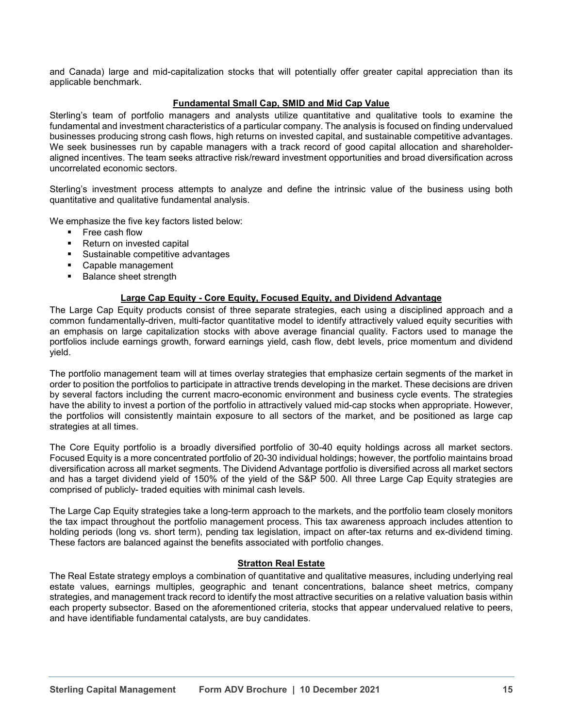and Canada) large and mid-capitalization stocks that will potentially offer greater capital appreciation than its applicable benchmark.

## **Fundamental Small Cap, SMID and Mid Cap Value**

Sterling's team of portfolio managers and analysts utilize quantitative and qualitative tools to examine the fundamental and investment characteristics of a particular company. The analysis is focused on finding undervalued businesses producing strong cash flows, high returns on invested capital, and sustainable competitive advantages. We seek businesses run by capable managers with a track record of good capital allocation and shareholderaligned incentives. The team seeks attractive risk/reward investment opportunities and broad diversification across uncorrelated economic sectors.

Sterling's investment process attempts to analyze and define the intrinsic value of the business using both quantitative and qualitative fundamental analysis.

We emphasize the five key factors listed below:

- Free cash flow<br>■ Return on inves
- Return on invested capital
- Sustainable competitive advantages
- Capable management
- Balance sheet strength

### **Large Cap Equity - Core Equity, Focused Equity, and Dividend Advantage**

The Large Cap Equity products consist of three separate strategies, each using a disciplined approach and a common fundamentally-driven, multi-factor quantitative model to identify attractively valued equity securities with an emphasis on large capitalization stocks with above average financial quality. Factors used to manage the portfolios include earnings growth, forward earnings yield, cash flow, debt levels, price momentum and dividend yield.

The portfolio management team will at times overlay strategies that emphasize certain segments of the market in order to position the portfolios to participate in attractive trends developing in the market. These decisions are driven by several factors including the current macro-economic environment and business cycle events. The strategies have the ability to invest a portion of the portfolio in attractively valued mid-cap stocks when appropriate. However, the portfolios will consistently maintain exposure to all sectors of the market, and be positioned as large cap strategies at all times.

The Core Equity portfolio is a broadly diversified portfolio of 30-40 equity holdings across all market sectors. Focused Equity is a more concentrated portfolio of 20-30 individual holdings; however, the portfolio maintains broad diversification across all market segments. The Dividend Advantage portfolio is diversified across all market sectors and has a target dividend yield of 150% of the yield of the S&P 500. All three Large Cap Equity strategies are comprised of publicly- traded equities with minimal cash levels.

The Large Cap Equity strategies take a long-term approach to the markets, and the portfolio team closely monitors the tax impact throughout the portfolio management process. This tax awareness approach includes attention to holding periods (long vs. short term), pending tax legislation, impact on after-tax returns and ex-dividend timing. These factors are balanced against the benefits associated with portfolio changes.

#### **Stratton Real Estate**

The Real Estate strategy employs a combination of quantitative and qualitative measures, including underlying real estate values, earnings multiples, geographic and tenant concentrations, balance sheet metrics, company strategies, and management track record to identify the most attractive securities on a relative valuation basis within each property subsector. Based on the aforementioned criteria, stocks that appear undervalued relative to peers, and have identifiable fundamental catalysts, are buy candidates.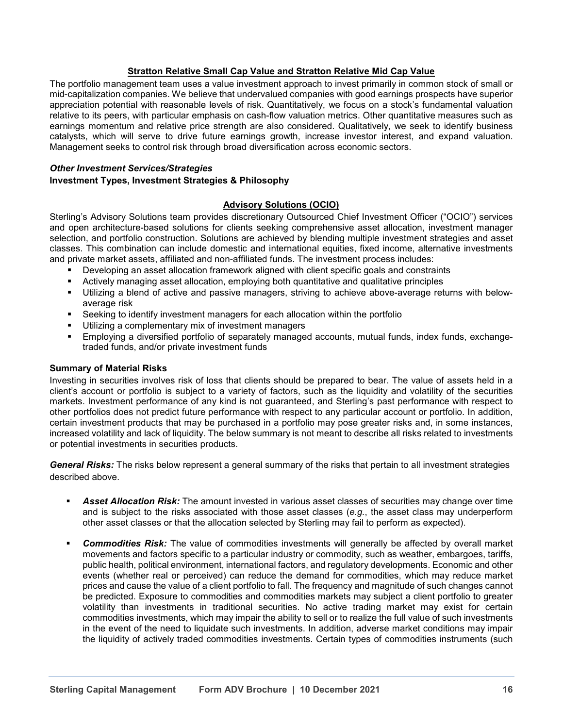## **Stratton Relative Small Cap Value and Stratton Relative Mid Cap Value**

The portfolio management team uses a value investment approach to invest primarily in common stock of small or mid-capitalization companies. We believe that undervalued companies with good earnings prospects have superior appreciation potential with reasonable levels of risk. Quantitatively, we focus on a stock's fundamental valuation relative to its peers, with particular emphasis on cash-flow valuation metrics. Other quantitative measures such as earnings momentum and relative price strength are also considered. Qualitatively, we seek to identify business catalysts, which will serve to drive future earnings growth, increase investor interest, and expand valuation. Management seeks to control risk through broad diversification across economic sectors.

## *Other Investment Services/Strategies*

## **Investment Types, Investment Strategies & Philosophy**

## **Advisory Solutions (OCIO)**

Sterling's Advisory Solutions team provides discretionary Outsourced Chief Investment Officer ("OCIO") services and open architecture-based solutions for clients seeking comprehensive asset allocation, investment manager selection, and portfolio construction. Solutions are achieved by blending multiple investment strategies and asset classes. This combination can include domestic and international equities, fixed income, alternative investments and private market assets, affiliated and non-affiliated funds. The investment process includes:

- Developing an asset allocation framework aligned with client specific goals and constraints
- Actively managing asset allocation, employing both quantitative and qualitative principles<br>■ Iltilizing a blend of active and passive managers, striving to achieve above-average ret
- Utilizing a blend of active and passive managers, striving to achieve above-average returns with belowaverage risk
- Seeking to identify investment managers for each allocation within the portfolio
- Utilizing a complementary mix of investment managers<br>■ Employing a diversified portfolio of senarately manage
- Employing a diversified portfolio of separately managed accounts, mutual funds, index funds, exchangetraded funds, and/or private investment funds

## **Summary of Material Risks**

Investing in securities involves risk of loss that clients should be prepared to bear. The value of assets held in a client's account or portfolio is subject to a variety of factors, such as the liquidity and volatility of the securities markets. Investment performance of any kind is not guaranteed, and Sterling's past performance with respect to other portfolios does not predict future performance with respect to any particular account or portfolio. In addition, certain investment products that may be purchased in a portfolio may pose greater risks and, in some instances, increased volatility and lack of liquidity. The below summary is not meant to describe all risks related to investments or potential investments in securities products.

*General Risks:* The risks below represent a general summary of the risks that pertain to all investment strategies described above.

- *Asset Allocation Risk:* The amount invested in various asset classes of securities may change over time and is subject to the risks associated with those asset classes (*e.g.*, the asset class may underperform other asset classes or that the allocation selected by Sterling may fail to perform as expected).
- *Commodities Risk:* The value of commodities investments will generally be affected by overall market movements and factors specific to a particular industry or commodity, such as weather, embargoes, tariffs, public health, political environment, international factors, and regulatory developments. Economic and other events (whether real or perceived) can reduce the demand for commodities, which may reduce market prices and cause the value of a client portfolio to fall. The frequency and magnitude of such changes cannot be predicted. Exposure to commodities and commodities markets may subject a client portfolio to greater volatility than investments in traditional securities. No active trading market may exist for certain commodities investments, which may impair the ability to sell or to realize the full value of such investments in the event of the need to liquidate such investments. In addition, adverse market conditions may impair the liquidity of actively traded commodities investments. Certain types of commodities instruments (such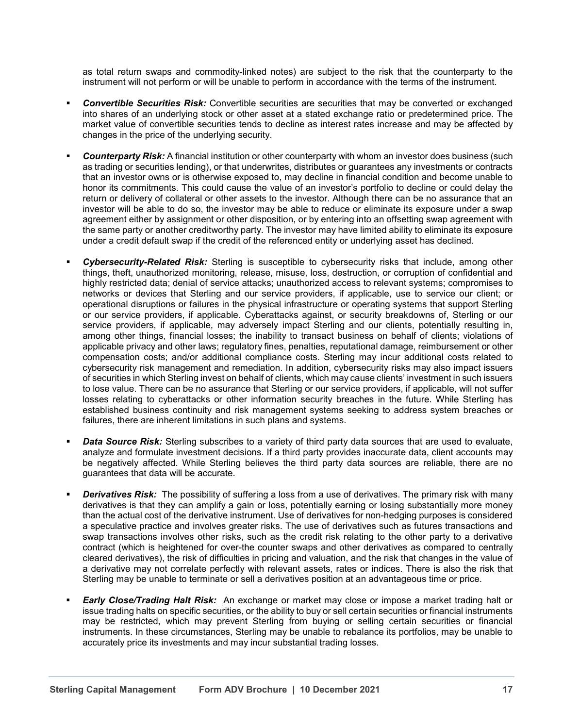as total return swaps and commodity-linked notes) are subject to the risk that the counterparty to the instrument will not perform or will be unable to perform in accordance with the terms of the instrument.

- *Convertible Securities Risk:* Convertible securities are securities that may be converted or exchanged into shares of an underlying stock or other asset at a stated exchange ratio or predetermined price. The market value of convertible securities tends to decline as interest rates increase and may be affected by changes in the price of the underlying security.
- *Counterparty Risk:* A financial institution or other counterparty with whom an investor does business (such as trading or securities lending), or that underwrites, distributes or guarantees any investments or contracts that an investor owns or is otherwise exposed to, may decline in financial condition and become unable to honor its commitments. This could cause the value of an investor's portfolio to decline or could delay the return or delivery of collateral or other assets to the investor. Although there can be no assurance that an investor will be able to do so, the investor may be able to reduce or eliminate its exposure under a swap agreement either by assignment or other disposition, or by entering into an offsetting swap agreement with the same party or another creditworthy party. The investor may have limited ability to eliminate its exposure under a credit default swap if the credit of the referenced entity or underlying asset has declined.
- *Cybersecurity-Related Risk:* Sterling is susceptible to cybersecurity risks that include, among other things, theft, unauthorized monitoring, release, misuse, loss, destruction, or corruption of confidential and highly restricted data; denial of service attacks; unauthorized access to relevant systems; compromises to networks or devices that Sterling and our service providers, if applicable, use to service our client; or operational disruptions or failures in the physical infrastructure or operating systems that support Sterling or our service providers, if applicable. Cyberattacks against, or security breakdowns of, Sterling or our service providers, if applicable, may adversely impact Sterling and our clients, potentially resulting in, among other things, financial losses; the inability to transact business on behalf of clients; violations of applicable privacy and other laws; regulatory fines, penalties, reputational damage, reimbursement or other compensation costs; and/or additional compliance costs. Sterling may incur additional costs related to cybersecurity risk management and remediation. In addition, cybersecurity risks may also impact issuers of securities in which Sterling invest on behalf of clients, which may cause clients' investment in such issuers to lose value. There can be no assurance that Sterling or our service providers, if applicable, will not suffer losses relating to cyberattacks or other information security breaches in the future. While Sterling has established business continuity and risk management systems seeking to address system breaches or failures, there are inherent limitations in such plans and systems.
- **Data Source Risk:** Sterling subscribes to a variety of third party data sources that are used to evaluate. analyze and formulate investment decisions. If a third party provides inaccurate data, client accounts may be negatively affected. While Sterling believes the third party data sources are reliable, there are no guarantees that data will be accurate.
- *Derivatives Risk:* The possibility of suffering a loss from a use of derivatives. The primary risk with many derivatives is that they can amplify a gain or loss, potentially earning or losing substantially more money than the actual cost of the derivative instrument. Use of derivatives for non-hedging purposes is considered a speculative practice and involves greater risks. The use of derivatives such as futures transactions and swap transactions involves other risks, such as the credit risk relating to the other party to a derivative contract (which is heightened for over-the counter swaps and other derivatives as compared to centrally cleared derivatives), the risk of difficulties in pricing and valuation, and the risk that changes in the value of a derivative may not correlate perfectly with relevant assets, rates or indices. There is also the risk that Sterling may be unable to terminate or sell a derivatives position at an advantageous time or price.
- *Early Close/Trading Halt Risk:* An exchange or market may close or impose a market trading halt or issue trading halts on specific securities, or the ability to buy or sell certain securities or financial instruments may be restricted, which may prevent Sterling from buying or selling certain securities or financial instruments. In these circumstances, Sterling may be unable to rebalance its portfolios, may be unable to accurately price its investments and may incur substantial trading losses.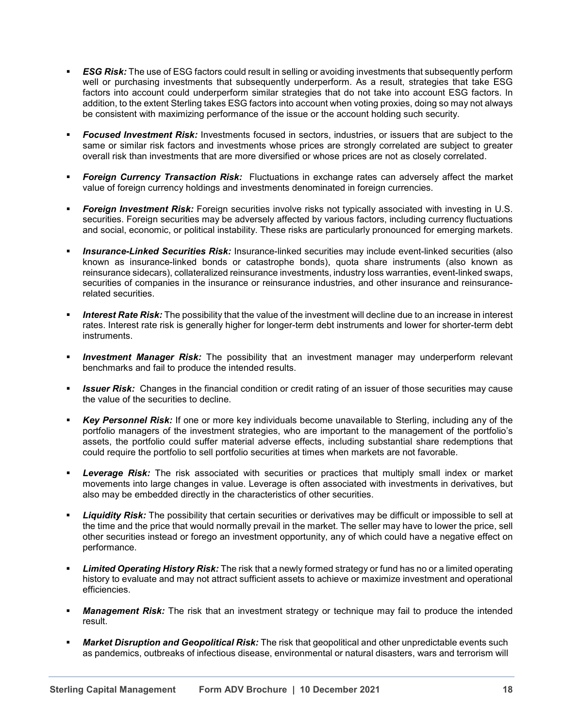- **ESG Risk:** The use of ESG factors could result in selling or avoiding investments that subsequently perform well or purchasing investments that subsequently underperform. As a result, strategies that take ESG factors into account could underperform similar strategies that do not take into account ESG factors. In addition, to the extent Sterling takes ESG factors into account when voting proxies, doing so may not always be consistent with maximizing performance of the issue or the account holding such security.
- *Focused Investment Risk:* Investments focused in sectors, industries, or issuers that are subject to the same or similar risk factors and investments whose prices are strongly correlated are subject to greater overall risk than investments that are more diversified or whose prices are not as closely correlated.
- **Foreign Currency Transaction Risk:** Fluctuations in exchange rates can adversely affect the market value of foreign currency holdings and investments denominated in foreign currencies.
- *Foreign Investment Risk:* Foreign securities involve risks not typically associated with investing in U.S. securities. Foreign securities may be adversely affected by various factors, including currency fluctuations and social, economic, or political instability. These risks are particularly pronounced for emerging markets.
- *Insurance-Linked Securities Risk:* Insurance-linked securities may include event-linked securities (also known as insurance-linked bonds or catastrophe bonds), quota share instruments (also known as reinsurance sidecars), collateralized reinsurance investments, industry loss warranties, event-linked swaps, securities of companies in the insurance or reinsurance industries, and other insurance and reinsurancerelated securities.
- *Interest Rate Risk:* The possibility that the value of the investment will decline due to an increase in interest rates. Interest rate risk is generally higher for longer-term debt instruments and lower for shorter-term debt instruments.
- **Investment Manager Risk:** The possibility that an investment manager may underperform relevant benchmarks and fail to produce the intended results.
- **Issuer Risk:** Changes in the financial condition or credit rating of an issuer of those securities may cause the value of the securities to decline.
- *Key Personnel Risk:* If one or more key individuals become unavailable to Sterling, including any of the portfolio managers of the investment strategies, who are important to the management of the portfolio's assets, the portfolio could suffer material adverse effects, including substantial share redemptions that could require the portfolio to sell portfolio securities at times when markets are not favorable.
- *Leverage Risk:* The risk associated with securities or practices that multiply small index or market movements into large changes in value. Leverage is often associated with investments in derivatives, but also may be embedded directly in the characteristics of other securities.
- *Liquidity Risk:* The possibility that certain securities or derivatives may be difficult or impossible to sell at the time and the price that would normally prevail in the market. The seller may have to lower the price, sell other securities instead or forego an investment opportunity, any of which could have a negative effect on performance.
- *Limited Operating History Risk:* The risk that a newly formed strategy or fund has no or a limited operating history to evaluate and may not attract sufficient assets to achieve or maximize investment and operational efficiencies.
- **Management Risk:** The risk that an investment strategy or technique may fail to produce the intended result.
- *Market Disruption and Geopolitical Risk:* The risk that geopolitical and other unpredictable events such as pandemics, outbreaks of infectious disease, environmental or natural disasters, wars and terrorism will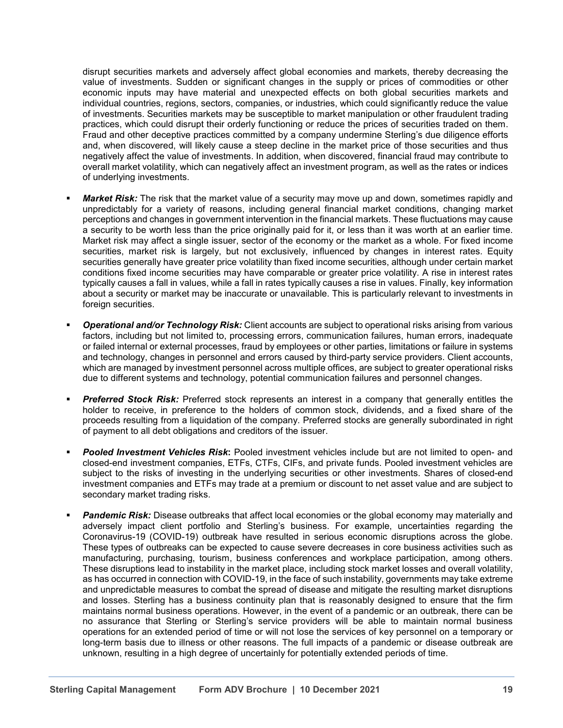disrupt securities markets and adversely affect global economies and markets, thereby decreasing the value of investments. Sudden or significant changes in the supply or prices of commodities or other economic inputs may have material and unexpected effects on both global securities markets and individual countries, regions, sectors, companies, or industries, which could significantly reduce the value of investments. Securities markets may be susceptible to market manipulation or other fraudulent trading practices, which could disrupt their orderly functioning or reduce the prices of securities traded on them. Fraud and other deceptive practices committed by a company undermine Sterling's due diligence efforts and, when discovered, will likely cause a steep decline in the market price of those securities and thus negatively affect the value of investments. In addition, when discovered, financial fraud may contribute to overall market volatility, which can negatively affect an investment program, as well as the rates or indices of underlying investments.

- *Market Risk:* The risk that the market value of a security may move up and down, sometimes rapidly and unpredictably for a variety of reasons, including general financial market conditions, changing market perceptions and changes in government intervention in the financial markets. These fluctuations may cause a security to be worth less than the price originally paid for it, or less than it was worth at an earlier time. Market risk may affect a single issuer, sector of the economy or the market as a whole. For fixed income securities, market risk is largely, but not exclusively, influenced by changes in interest rates. Equity securities generally have greater price volatility than fixed income securities, although under certain market conditions fixed income securities may have comparable or greater price volatility. A rise in interest rates typically causes a fall in values, while a fall in rates typically causes a rise in values. Finally, key information about a security or market may be inaccurate or unavailable. This is particularly relevant to investments in foreign securities.
- *Operational and/or Technology Risk:* Client accounts are subject to operational risks arising from various factors, including but not limited to, processing errors, communication failures, human errors, inadequate or failed internal or external processes, fraud by employees or other parties, limitations or failure in systems and technology, changes in personnel and errors caused by third-party service providers. Client accounts, which are managed by investment personnel across multiple offices, are subject to greater operational risks due to different systems and technology, potential communication failures and personnel changes.
- **Preferred Stock Risk:** Preferred stock represents an interest in a company that generally entitles the holder to receive, in preference to the holders of common stock, dividends, and a fixed share of the proceeds resulting from a liquidation of the company. Preferred stocks are generally subordinated in right of payment to all debt obligations and creditors of the issuer.
- *Pooled Investment Vehicles Risk***:** Pooled investment vehicles include but are not limited to open- and closed-end investment companies, ETFs, CTFs, CIFs, and private funds. Pooled investment vehicles are subject to the risks of investing in the underlying securities or other investments. Shares of closed-end investment companies and ETFs may trade at a premium or discount to net asset value and are subject to secondary market trading risks.
- *Pandemic Risk:* Disease outbreaks that affect local economies or the global economy may materially and adversely impact client portfolio and Sterling's business. For example, uncertainties regarding the Coronavirus-19 (COVID-19) outbreak have resulted in serious economic disruptions across the globe. These types of outbreaks can be expected to cause severe decreases in core business activities such as manufacturing, purchasing, tourism, business conferences and workplace participation, among others. These disruptions lead to instability in the market place, including stock market losses and overall volatility, as has occurred in connection with COVID-19, in the face of such instability, governments may take extreme and unpredictable measures to combat the spread of disease and mitigate the resulting market disruptions and losses. Sterling has a business continuity plan that is reasonably designed to ensure that the firm maintains normal business operations. However, in the event of a pandemic or an outbreak, there can be no assurance that Sterling or Sterling's service providers will be able to maintain normal business operations for an extended period of time or will not lose the services of key personnel on a temporary or long-term basis due to illness or other reasons. The full impacts of a pandemic or disease outbreak are unknown, resulting in a high degree of uncertainly for potentially extended periods of time.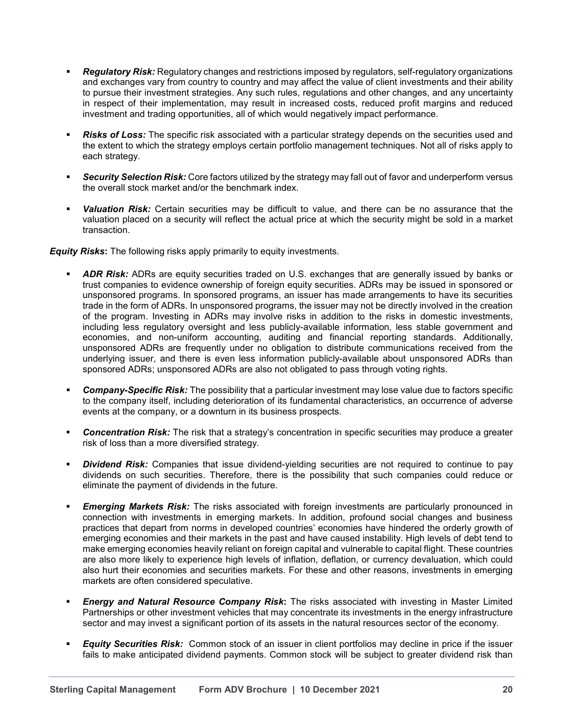- *Regulatory Risk:* Regulatory changes and restrictions imposed by regulators, self-regulatory organizations and exchanges vary from country to country and may affect the value of client investments and their ability to pursue their investment strategies. Any such rules, regulations and other changes, and any uncertainty in respect of their implementation, may result in increased costs, reduced profit margins and reduced investment and trading opportunities, all of which would negatively impact performance.
- **Risks of Loss:** The specific risk associated with a particular strategy depends on the securities used and the extent to which the strategy employs certain portfolio management techniques. Not all of risks apply to each strategy.
- *Security Selection Risk:* Core factors utilized by the strategy may fall out of favor and underperform versus the overall stock market and/or the benchmark index.
- *Valuation Risk:* Certain securities may be difficult to value, and there can be no assurance that the valuation placed on a security will reflect the actual price at which the security might be sold in a market transaction.

*Equity Risks***:** The following risks apply primarily to equity investments.

- *ADR Risk:* ADRs are equity securities traded on U.S. exchanges that are generally issued by banks or trust companies to evidence ownership of foreign equity securities. ADRs may be issued in sponsored or unsponsored programs. In sponsored programs, an issuer has made arrangements to have its securities trade in the form of ADRs. In unsponsored programs, the issuer may not be directly involved in the creation of the program. Investing in ADRs may involve risks in addition to the risks in domestic investments, including less regulatory oversight and less publicly-available information, less stable government and economies, and non-uniform accounting, auditing and financial reporting standards. Additionally, unsponsored ADRs are frequently under no obligation to distribute communications received from the underlying issuer, and there is even less information publicly-available about unsponsored ADRs than sponsored ADRs; unsponsored ADRs are also not obligated to pass through voting rights.
- *Company-Specific Risk:* The possibility that a particular investment may lose value due to factors specific to the company itself, including deterioration of its fundamental characteristics, an occurrence of adverse events at the company, or a downturn in its business prospects.
- **Concentration Risk:** The risk that a strategy's concentration in specific securities may produce a greater risk of loss than a more diversified strategy.
- *Dividend Risk:* Companies that issue dividend-yielding securities are not required to continue to pay dividends on such securities. Therefore, there is the possibility that such companies could reduce or eliminate the payment of dividends in the future.
- *Emerging Markets Risk:* The risks associated with foreign investments are particularly pronounced in connection with investments in emerging markets. In addition, profound social changes and business practices that depart from norms in developed countries' economies have hindered the orderly growth of emerging economies and their markets in the past and have caused instability. High levels of debt tend to make emerging economies heavily reliant on foreign capital and vulnerable to capital flight. These countries are also more likely to experience high levels of inflation, deflation, or currency devaluation, which could also hurt their economies and securities markets. For these and other reasons, investments in emerging markets are often considered speculative.
- *Energy and Natural Resource Company Risk***:** The risks associated with investing in Master Limited Partnerships or other investment vehicles that may concentrate its investments in the energy infrastructure sector and may invest a significant portion of its assets in the natural resources sector of the economy.
- *Equity Securities Risk:* Common stock of an issuer in client portfolios may decline in price if the issuer fails to make anticipated dividend payments. Common stock will be subject to greater dividend risk than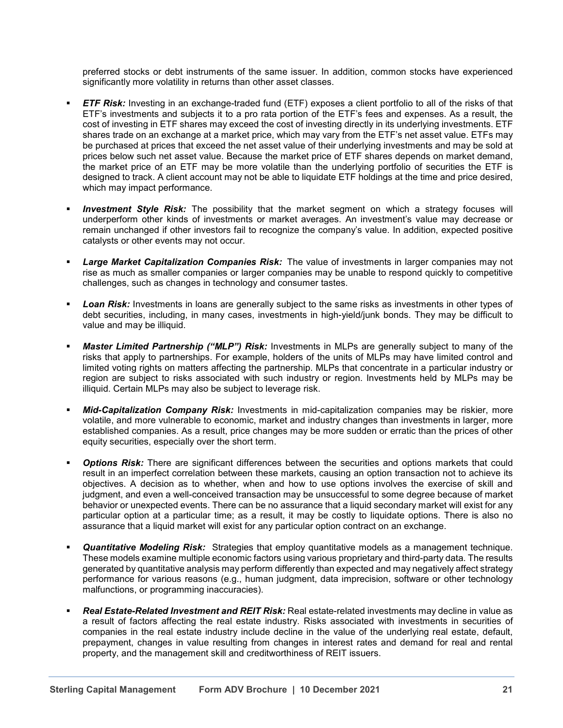preferred stocks or debt instruments of the same issuer. In addition, common stocks have experienced significantly more volatility in returns than other asset classes.

- *ETF Risk:* Investing in an exchange-traded fund (ETF) exposes a client portfolio to all of the risks of that ETF's investments and subjects it to a pro rata portion of the ETF's fees and expenses. As a result, the cost of investing in ETF shares may exceed the cost of investing directly in its underlying investments. ETF shares trade on an exchange at a market price, which may vary from the ETF's net asset value. ETFs may be purchased at prices that exceed the net asset value of their underlying investments and may be sold at prices below such net asset value. Because the market price of ETF shares depends on market demand, the market price of an ETF may be more volatile than the underlying portfolio of securities the ETF is designed to track. A client account may not be able to liquidate ETF holdings at the time and price desired, which may impact performance.
- **Investment Style Risk:** The possibility that the market segment on which a strategy focuses will underperform other kinds of investments or market averages. An investment's value may decrease or remain unchanged if other investors fail to recognize the company's value. In addition, expected positive catalysts or other events may not occur.
- *Large Market Capitalization Companies Risk:*  The value of investments in larger companies may not rise as much as smaller companies or larger companies may be unable to respond quickly to competitive challenges, such as changes in technology and consumer tastes.
- **Loan Risk:** Investments in loans are generally subject to the same risks as investments in other types of debt securities, including, in many cases, investments in high-yield/junk bonds. They may be difficult to value and may be illiquid.
- *Master Limited Partnership ("MLP") Risk:* Investments in MLPs are generally subject to many of the risks that apply to partnerships. For example, holders of the units of MLPs may have limited control and limited voting rights on matters affecting the partnership. MLPs that concentrate in a particular industry or region are subject to risks associated with such industry or region. Investments held by MLPs may be illiquid. Certain MLPs may also be subject to leverage risk.
- *Mid-Capitalization Company Risk:* Investments in mid-capitalization companies may be riskier, more volatile, and more vulnerable to economic, market and industry changes than investments in larger, more established companies. As a result, price changes may be more sudden or erratic than the prices of other equity securities, especially over the short term.
- **Options Risk:** There are significant differences between the securities and options markets that could result in an imperfect correlation between these markets, causing an option transaction not to achieve its objectives. A decision as to whether, when and how to use options involves the exercise of skill and judgment, and even a well-conceived transaction may be unsuccessful to some degree because of market behavior or unexpected events. There can be no assurance that a liquid secondary market will exist for any particular option at a particular time; as a result, it may be costly to liquidate options. There is also no assurance that a liquid market will exist for any particular option contract on an exchange.
- *Quantitative Modeling Risk:* Strategies that employ quantitative models as a management technique. These models examine multiple economic factors using various proprietary and third-party data. The results generated by quantitative analysis may perform differently than expected and may negatively affect strategy performance for various reasons (e.g., human judgment, data imprecision, software or other technology malfunctions, or programming inaccuracies).
- *Real Estate-Related Investment and REIT Risk:* Real estate-related investments may decline in value as a result of factors affecting the real estate industry. Risks associated with investments in securities of companies in the real estate industry include decline in the value of the underlying real estate, default, prepayment, changes in value resulting from changes in interest rates and demand for real and rental property, and the management skill and creditworthiness of REIT issuers.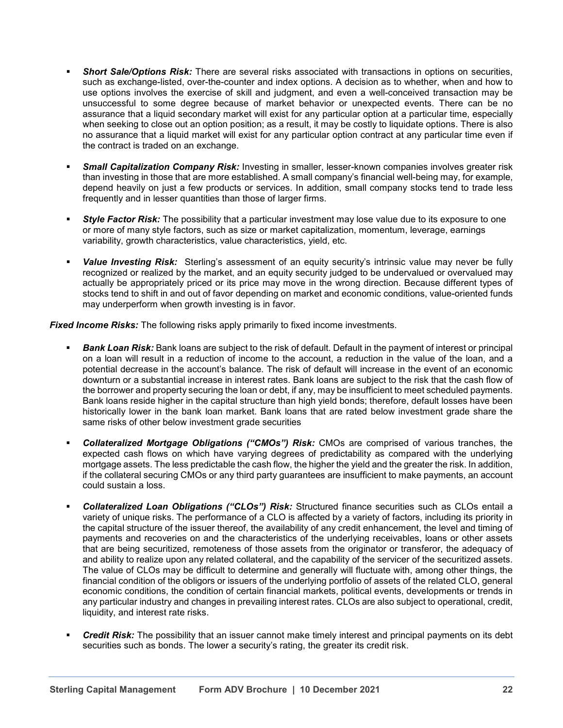- *Short Sale/Options Risk:* There are several risks associated with transactions in options on securities, such as exchange-listed, over-the-counter and index options. A decision as to whether, when and how to use options involves the exercise of skill and judgment, and even a well-conceived transaction may be unsuccessful to some degree because of market behavior or unexpected events. There can be no assurance that a liquid secondary market will exist for any particular option at a particular time, especially when seeking to close out an option position; as a result, it may be costly to liquidate options. There is also no assurance that a liquid market will exist for any particular option contract at any particular time even if the contract is traded on an exchange.
- *Small Capitalization Company Risk:* Investing in smaller, lesser-known companies involves greater risk than investing in those that are more established. A small company's financial well-being may, for example, depend heavily on just a few products or services. In addition, small company stocks tend to trade less frequently and in lesser quantities than those of larger firms.
- *Style Factor Risk:* The possibility that a particular investment may lose value due to its exposure to one or more of many style factors, such as size or market capitalization, momentum, leverage, earnings variability, growth characteristics, value characteristics, yield, etc.
- **Value Investing Risk:** Sterling's assessment of an equity security's intrinsic value may never be fully recognized or realized by the market, and an equity security judged to be undervalued or overvalued may actually be appropriately priced or its price may move in the wrong direction. Because different types of stocks tend to shift in and out of favor depending on market and economic conditions, value-oriented funds may underperform when growth investing is in favor.

*Fixed Income Risks:* The following risks apply primarily to fixed income investments.

- *Bank Loan Risk:* Bank loans are subject to the risk of default. Default in the payment of interest or principal on a loan will result in a reduction of income to the account, a reduction in the value of the loan, and a potential decrease in the account's balance. The risk of default will increase in the event of an economic downturn or a substantial increase in interest rates. Bank loans are subject to the risk that the cash flow of the borrower and property securing the loan or debt, if any, may be insufficient to meet scheduled payments. Bank loans reside higher in the capital structure than high yield bonds; therefore, default losses have been historically lower in the bank loan market. Bank loans that are rated below investment grade share the same risks of other below investment grade securities
- *Collateralized Mortgage Obligations ("CMOs") Risk:* CMOs are comprised of various tranches, the expected cash flows on which have varying degrees of predictability as compared with the underlying mortgage assets. The less predictable the cash flow, the higher the yield and the greater the risk. In addition, if the collateral securing CMOs or any third party guarantees are insufficient to make payments, an account could sustain a loss.
- *Collateralized Loan Obligations ("CLOs") Risk:* Structured finance securities such as CLOs entail a variety of unique risks. The performance of a CLO is affected by a variety of factors, including its priority in the capital structure of the issuer thereof, the availability of any credit enhancement, the level and timing of payments and recoveries on and the characteristics of the underlying receivables, loans or other assets that are being securitized, remoteness of those assets from the originator or transferor, the adequacy of and ability to realize upon any related collateral, and the capability of the servicer of the securitized assets. The value of CLOs may be difficult to determine and generally will fluctuate with, among other things, the financial condition of the obligors or issuers of the underlying portfolio of assets of the related CLO, general economic conditions, the condition of certain financial markets, political events, developments or trends in any particular industry and changes in prevailing interest rates. CLOs are also subject to operational, credit, liquidity, and interest rate risks.
- *Credit Risk:* The possibility that an issuer cannot make timely interest and principal payments on its debt securities such as bonds. The lower a security's rating, the greater its credit risk.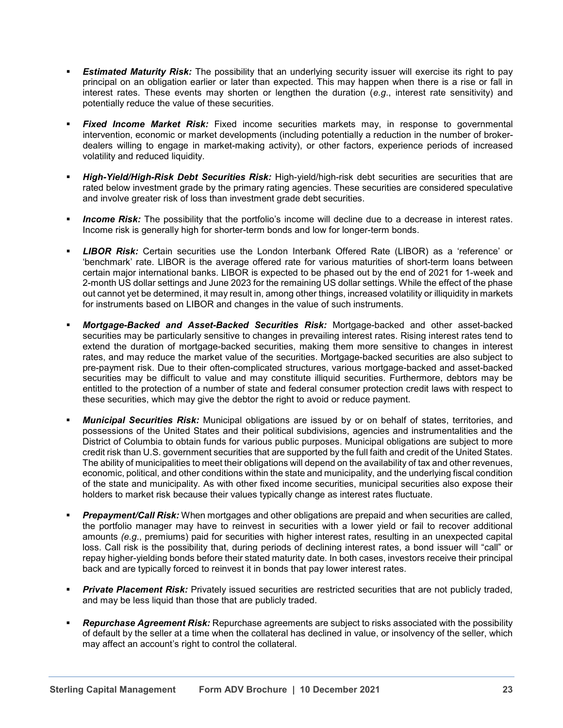- **Estimated Maturity Risk:** The possibility that an underlying security issuer will exercise its right to pay principal on an obligation earlier or later than expected. This may happen when there is a rise or fall in interest rates. These events may shorten or lengthen the duration (*e.g*., interest rate sensitivity) and potentially reduce the value of these securities.
- *Fixed Income Market Risk:* Fixed income securities markets may, in response to governmental intervention, economic or market developments (including potentially a reduction in the number of brokerdealers willing to engage in market-making activity), or other factors, experience periods of increased volatility and reduced liquidity.
- *High-Yield/High-Risk Debt Securities Risk:* High-yield/high-risk debt securities are securities that are rated below investment grade by the primary rating agencies. These securities are considered speculative and involve greater risk of loss than investment grade debt securities.
- *Income Risk:* The possibility that the portfolio's income will decline due to a decrease in interest rates. Income risk is generally high for shorter-term bonds and low for longer-term bonds.
- *LIBOR Risk:* Certain securities use the London Interbank Offered Rate (LIBOR) as a 'reference' or 'benchmark' rate. LIBOR is the average offered rate for various maturities of short-term loans between certain major international banks. LIBOR is expected to be phased out by the end of 2021 for 1-week and 2-month US dollar settings and June 2023 for the remaining US dollar settings. While the effect of the phase out cannot yet be determined, it may result in, among other things, increased volatility or illiquidity in markets for instruments based on LIBOR and changes in the value of such instruments.
- *Mortgage-Backed and Asset-Backed Securities Risk:* Mortgage-backed and other asset-backed securities may be particularly sensitive to changes in prevailing interest rates. Rising interest rates tend to extend the duration of mortgage-backed securities, making them more sensitive to changes in interest rates, and may reduce the market value of the securities. Mortgage-backed securities are also subject to pre-payment risk. Due to their often-complicated structures, various mortgage-backed and asset-backed securities may be difficult to value and may constitute illiquid securities. Furthermore, debtors may be entitled to the protection of a number of state and federal consumer protection credit laws with respect to these securities, which may give the debtor the right to avoid or reduce payment.
- *Municipal Securities Risk:* Municipal obligations are issued by or on behalf of states, territories, and possessions of the United States and their political subdivisions, agencies and instrumentalities and the District of Columbia to obtain funds for various public purposes. Municipal obligations are subject to more credit risk than U.S. government securities that are supported by the full faith and credit of the United States. The ability of municipalities to meet their obligations will depend on the availability of tax and other revenues, economic, political, and other conditions within the state and municipality, and the underlying fiscal condition of the state and municipality. As with other fixed income securities, municipal securities also expose their holders to market risk because their values typically change as interest rates fluctuate.
- *Prepayment/Call Risk:* When mortgages and other obligations are prepaid and when securities are called, the portfolio manager may have to reinvest in securities with a lower yield or fail to recover additional amounts *(e.g*., premiums) paid for securities with higher interest rates, resulting in an unexpected capital loss. Call risk is the possibility that, during periods of declining interest rates, a bond issuer will "call" or repay higher-yielding bonds before their stated maturity date. In both cases, investors receive their principal back and are typically forced to reinvest it in bonds that pay lower interest rates.
- **Private Placement Risk:** Privately issued securities are restricted securities that are not publicly traded, and may be less liquid than those that are publicly traded.
- *Repurchase Agreement Risk:* Repurchase agreements are subject to risks associated with the possibility of default by the seller at a time when the collateral has declined in value, or insolvency of the seller, which may affect an account's right to control the collateral.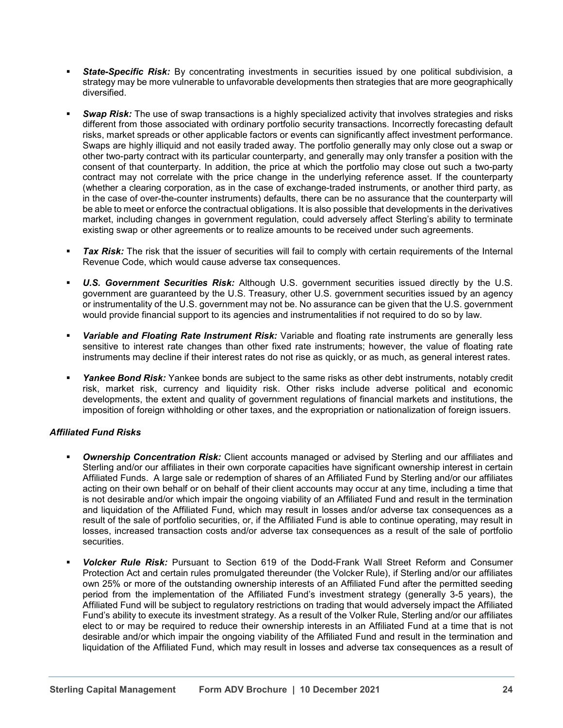- **State-Specific Risk:** By concentrating investments in securities issued by one political subdivision, a strategy may be more vulnerable to unfavorable developments then strategies that are more geographically diversified.
- *Swap Risk:* The use of swap transactions is a highly specialized activity that involves strategies and risks different from those associated with ordinary portfolio security transactions. Incorrectly forecasting default risks, market spreads or other applicable factors or events can significantly affect investment performance. Swaps are highly illiquid and not easily traded away. The portfolio generally may only close out a swap or other two-party contract with its particular counterparty, and generally may only transfer a position with the consent of that counterparty. In addition, the price at which the portfolio may close out such a two-party contract may not correlate with the price change in the underlying reference asset. If the counterparty (whether a clearing corporation, as in the case of exchange-traded instruments, or another third party, as in the case of over-the-counter instruments) defaults, there can be no assurance that the counterparty will be able to meet or enforce the contractual obligations. It is also possible that developments in the derivatives market, including changes in government regulation, could adversely affect Sterling's ability to terminate existing swap or other agreements or to realize amounts to be received under such agreements.
- *Tax Risk:* The risk that the issuer of securities will fail to comply with certain requirements of the Internal Revenue Code, which would cause adverse tax consequences.
- *U.S. Government Securities Risk:* Although U.S. government securities issued directly by the U.S. government are guaranteed by the U.S. Treasury, other U.S. government securities issued by an agency or instrumentality of the U.S. government may not be. No assurance can be given that the U.S. government would provide financial support to its agencies and instrumentalities if not required to do so by law.
- *Variable and Floating Rate Instrument Risk:* Variable and floating rate instruments are generally less sensitive to interest rate changes than other fixed rate instruments; however, the value of floating rate instruments may decline if their interest rates do not rise as quickly, or as much, as general interest rates.
- *Yankee Bond Risk:* Yankee bonds are subject to the same risks as other debt instruments, notably credit risk, market risk, currency and liquidity risk. Other risks include adverse political and economic developments, the extent and quality of government regulations of financial markets and institutions, the imposition of foreign withholding or other taxes, and the expropriation or nationalization of foreign issuers.

## *Affiliated Fund Risks*

- **Ownership Concentration Risk:** Client accounts managed or advised by Sterling and our affiliates and Sterling and/or our affiliates in their own corporate capacities have significant ownership interest in certain Affiliated Funds. A large sale or redemption of shares of an Affiliated Fund by Sterling and/or our affiliates acting on their own behalf or on behalf of their client accounts may occur at any time, including a time that is not desirable and/or which impair the ongoing viability of an Affiliated Fund and result in the termination and liquidation of the Affiliated Fund, which may result in losses and/or adverse tax consequences as a result of the sale of portfolio securities, or, if the Affiliated Fund is able to continue operating, may result in losses, increased transaction costs and/or adverse tax consequences as a result of the sale of portfolio securities.
- *Volcker Rule Risk:* Pursuant to Section 619 of the Dodd-Frank Wall Street Reform and Consumer Protection Act and certain rules promulgated thereunder (the Volcker Rule), if Sterling and/or our affiliates own 25% or more of the outstanding ownership interests of an Affiliated Fund after the permitted seeding period from the implementation of the Affiliated Fund's investment strategy (generally 3-5 years), the Affiliated Fund will be subject to regulatory restrictions on trading that would adversely impact the Affiliated Fund's ability to execute its investment strategy. As a result of the Volker Rule, Sterling and/or our affiliates elect to or may be required to reduce their ownership interests in an Affiliated Fund at a time that is not desirable and/or which impair the ongoing viability of the Affiliated Fund and result in the termination and liquidation of the Affiliated Fund, which may result in losses and adverse tax consequences as a result of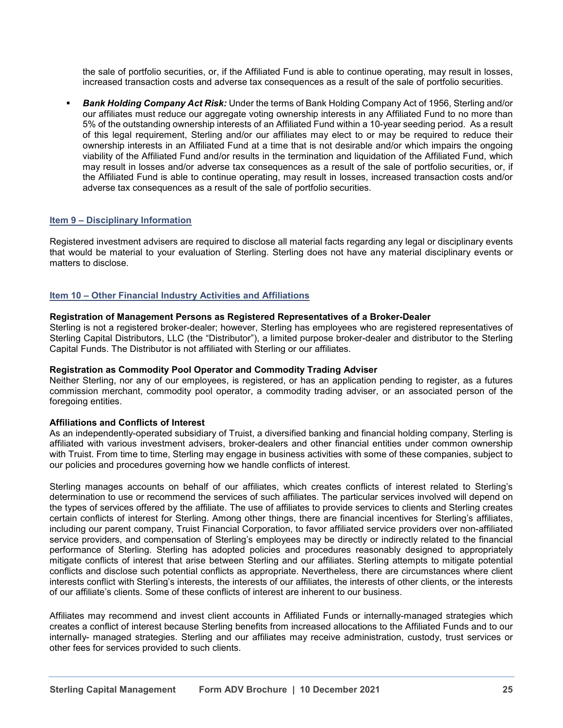the sale of portfolio securities, or, if the Affiliated Fund is able to continue operating, may result in losses, increased transaction costs and adverse tax consequences as a result of the sale of portfolio securities.

 *Bank Holding Company Act Risk:* Under the terms of Bank Holding Company Act of 1956, Sterling and/or our affiliates must reduce our aggregate voting ownership interests in any Affiliated Fund to no more than 5% of the outstanding ownership interests of an Affiliated Fund within a 10-year seeding period. As a result of this legal requirement, Sterling and/or our affiliates may elect to or may be required to reduce their ownership interests in an Affiliated Fund at a time that is not desirable and/or which impairs the ongoing viability of the Affiliated Fund and/or results in the termination and liquidation of the Affiliated Fund, which may result in losses and/or adverse tax consequences as a result of the sale of portfolio securities, or, if the Affiliated Fund is able to continue operating, may result in losses, increased transaction costs and/or adverse tax consequences as a result of the sale of portfolio securities.

## **Item 9 – Disciplinary Information**

Registered investment advisers are required to disclose all material facts regarding any legal or disciplinary events that would be material to your evaluation of Sterling. Sterling does not have any material disciplinary events or matters to disclose.

### **Item 10 – Other Financial Industry Activities and Affiliations**

#### **Registration of Management Persons as Registered Representatives of a Broker-Dealer**

Sterling is not a registered broker-dealer; however, Sterling has employees who are registered representatives of Sterling Capital Distributors, LLC (the "Distributor"), a limited purpose broker-dealer and distributor to the Sterling Capital Funds. The Distributor is not affiliated with Sterling or our affiliates.

#### **Registration as Commodity Pool Operator and Commodity Trading Adviser**

Neither Sterling, nor any of our employees, is registered, or has an application pending to register, as a futures commission merchant, commodity pool operator, a commodity trading adviser, or an associated person of the foregoing entities.

#### **Affiliations and Conflicts of Interest**

As an independently-operated subsidiary of Truist, a diversified banking and financial holding company, Sterling is affiliated with various investment advisers, broker-dealers and other financial entities under common ownership with Truist. From time to time, Sterling may engage in business activities with some of these companies, subject to our policies and procedures governing how we handle conflicts of interest.

Sterling manages accounts on behalf of our affiliates, which creates conflicts of interest related to Sterling's determination to use or recommend the services of such affiliates. The particular services involved will depend on the types of services offered by the affiliate. The use of affiliates to provide services to clients and Sterling creates certain conflicts of interest for Sterling. Among other things, there are financial incentives for Sterling's affiliates, including our parent company, Truist Financial Corporation, to favor affiliated service providers over non-affiliated service providers, and compensation of Sterling's employees may be directly or indirectly related to the financial performance of Sterling. Sterling has adopted policies and procedures reasonably designed to appropriately mitigate conflicts of interest that arise between Sterling and our affiliates. Sterling attempts to mitigate potential conflicts and disclose such potential conflicts as appropriate. Nevertheless, there are circumstances where client interests conflict with Sterling's interests, the interests of our affiliates, the interests of other clients, or the interests of our affiliate's clients. Some of these conflicts of interest are inherent to our business.

Affiliates may recommend and invest client accounts in Affiliated Funds or internally-managed strategies which creates a conflict of interest because Sterling benefits from increased allocations to the Affiliated Funds and to our internally- managed strategies. Sterling and our affiliates may receive administration, custody, trust services or other fees for services provided to such clients.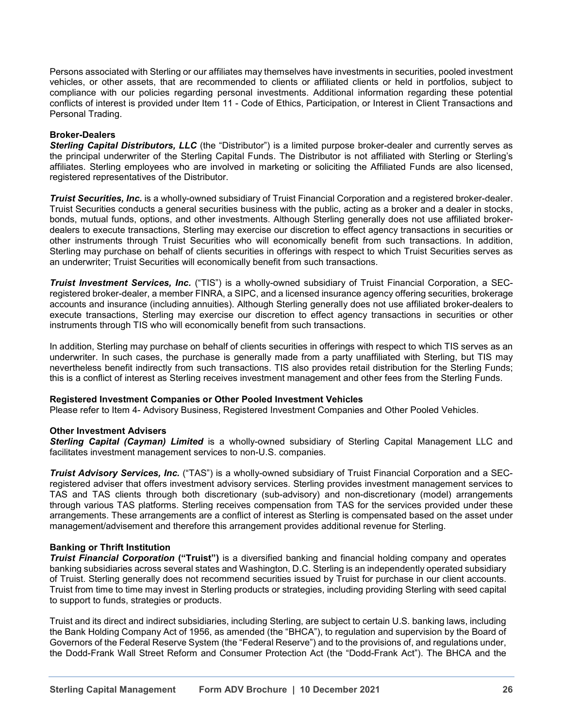Persons associated with Sterling or our affiliates may themselves have investments in securities, pooled investment vehicles, or other assets, that are recommended to clients or affiliated clients or held in portfolios, subject to compliance with our policies regarding personal investments. Additional information regarding these potential conflicts of interest is provided under Item 11 - Code of Ethics, Participation, or Interest in Client Transactions and Personal Trading.

### **Broker-Dealers**

*Sterling Capital Distributors, LLC* (the "Distributor") is a limited purpose broker-dealer and currently serves as the principal underwriter of the Sterling Capital Funds. The Distributor is not affiliated with Sterling or Sterling's affiliates. Sterling employees who are involved in marketing or soliciting the Affiliated Funds are also licensed, registered representatives of the Distributor.

*Truist Securities, Inc.* is a wholly-owned subsidiary of Truist Financial Corporation and a registered broker-dealer. Truist Securities conducts a general securities business with the public, acting as a broker and a dealer in stocks, bonds, mutual funds, options, and other investments. Although Sterling generally does not use affiliated brokerdealers to execute transactions, Sterling may exercise our discretion to effect agency transactions in securities or other instruments through Truist Securities who will economically benefit from such transactions. In addition, Sterling may purchase on behalf of clients securities in offerings with respect to which Truist Securities serves as an underwriter; Truist Securities will economically benefit from such transactions.

*Truist Investment Services, Inc.* ("TIS") is a wholly-owned subsidiary of Truist Financial Corporation, a SECregistered broker-dealer, a member FINRA, a SIPC, and a licensed insurance agency offering securities, brokerage accounts and insurance (including annuities). Although Sterling generally does not use affiliated broker-dealers to execute transactions, Sterling may exercise our discretion to effect agency transactions in securities or other instruments through TIS who will economically benefit from such transactions.

In addition, Sterling may purchase on behalf of clients securities in offerings with respect to which TIS serves as an underwriter. In such cases, the purchase is generally made from a party unaffiliated with Sterling, but TIS may nevertheless benefit indirectly from such transactions. TIS also provides retail distribution for the Sterling Funds; this is a conflict of interest as Sterling receives investment management and other fees from the Sterling Funds.

#### **Registered Investment Companies or Other Pooled Investment Vehicles**

Please refer to Item 4- Advisory Business, Registered Investment Companies and Other Pooled Vehicles.

#### **Other Investment Advisers**

*Sterling Capital (Cayman) Limited* is a wholly-owned subsidiary of Sterling Capital Management LLC and facilitates investment management services to non-U.S. companies.

*Truist Advisory Services, Inc.* ("TAS") is a wholly-owned subsidiary of Truist Financial Corporation and a SECregistered adviser that offers investment advisory services. Sterling provides investment management services to TAS and TAS clients through both discretionary (sub-advisory) and non-discretionary (model) arrangements through various TAS platforms. Sterling receives compensation from TAS for the services provided under these arrangements. These arrangements are a conflict of interest as Sterling is compensated based on the asset under management/advisement and therefore this arrangement provides additional revenue for Sterling.

## **Banking or Thrift Institution**

*Truist Financial Corporation* **("Truist")** is a diversified banking and financial holding company and operates banking subsidiaries across several states and Washington, D.C. Sterling is an independently operated subsidiary of Truist. Sterling generally does not recommend securities issued by Truist for purchase in our client accounts. Truist from time to time may invest in Sterling products or strategies, including providing Sterling with seed capital to support to funds, strategies or products.

Truist and its direct and indirect subsidiaries, including Sterling, are subject to certain U.S. banking laws, including the Bank Holding Company Act of 1956, as amended (the "BHCA"), to regulation and supervision by the Board of Governors of the Federal Reserve System (the "Federal Reserve") and to the provisions of, and regulations under, the Dodd-Frank Wall Street Reform and Consumer Protection Act (the "Dodd-Frank Act"). The BHCA and the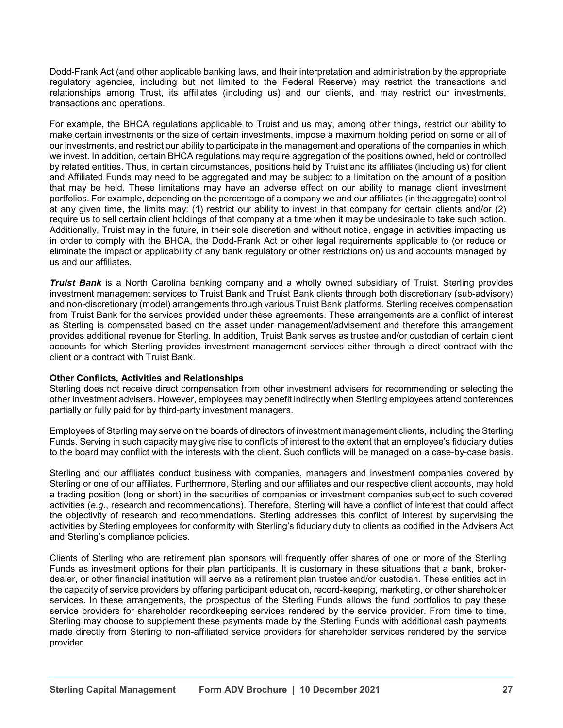Dodd-Frank Act (and other applicable banking laws, and their interpretation and administration by the appropriate regulatory agencies, including but not limited to the Federal Reserve) may restrict the transactions and relationships among Trust, its affiliates (including us) and our clients, and may restrict our investments, transactions and operations.

For example, the BHCA regulations applicable to Truist and us may, among other things, restrict our ability to make certain investments or the size of certain investments, impose a maximum holding period on some or all of our investments, and restrict our ability to participate in the management and operations of the companies in which we invest. In addition, certain BHCA regulations may require aggregation of the positions owned, held or controlled by related entities. Thus, in certain circumstances, positions held by Truist and its affiliates (including us) for client and Affiliated Funds may need to be aggregated and may be subject to a limitation on the amount of a position that may be held. These limitations may have an adverse effect on our ability to manage client investment portfolios. For example, depending on the percentage of a company we and our affiliates (in the aggregate) control at any given time, the limits may: (1) restrict our ability to invest in that company for certain clients and/or (2) require us to sell certain client holdings of that company at a time when it may be undesirable to take such action. Additionally, Truist may in the future, in their sole discretion and without notice, engage in activities impacting us in order to comply with the BHCA, the Dodd-Frank Act or other legal requirements applicable to (or reduce or eliminate the impact or applicability of any bank regulatory or other restrictions on) us and accounts managed by us and our affiliates.

*Truist Bank* is a North Carolina banking company and a wholly owned subsidiary of Truist. Sterling provides investment management services to Truist Bank and Truist Bank clients through both discretionary (sub-advisory) and non-discretionary (model) arrangements through various Truist Bank platforms. Sterling receives compensation from Truist Bank for the services provided under these agreements. These arrangements are a conflict of interest as Sterling is compensated based on the asset under management/advisement and therefore this arrangement provides additional revenue for Sterling. In addition, Truist Bank serves as trustee and/or custodian of certain client accounts for which Sterling provides investment management services either through a direct contract with the client or a contract with Truist Bank.

## **Other Conflicts, Activities and Relationships**

Sterling does not receive direct compensation from other investment advisers for recommending or selecting the other investment advisers. However, employees may benefit indirectly when Sterling employees attend conferences partially or fully paid for by third-party investment managers.

Employees of Sterling may serve on the boards of directors of investment management clients, including the Sterling Funds. Serving in such capacity may give rise to conflicts of interest to the extent that an employee's fiduciary duties to the board may conflict with the interests with the client. Such conflicts will be managed on a case-by-case basis.

Sterling and our affiliates conduct business with companies, managers and investment companies covered by Sterling or one of our affiliates. Furthermore, Sterling and our affiliates and our respective client accounts, may hold a trading position (long or short) in the securities of companies or investment companies subject to such covered activities (*e.g*., research and recommendations). Therefore, Sterling will have a conflict of interest that could affect the objectivity of research and recommendations. Sterling addresses this conflict of interest by supervising the activities by Sterling employees for conformity with Sterling's fiduciary duty to clients as codified in the Advisers Act and Sterling's compliance policies.

Clients of Sterling who are retirement plan sponsors will frequently offer shares of one or more of the Sterling Funds as investment options for their plan participants. It is customary in these situations that a bank, brokerdealer, or other financial institution will serve as a retirement plan trustee and/or custodian. These entities act in the capacity of service providers by offering participant education, record-keeping, marketing, or other shareholder services. In these arrangements, the prospectus of the Sterling Funds allows the fund portfolios to pay these service providers for shareholder recordkeeping services rendered by the service provider. From time to time, Sterling may choose to supplement these payments made by the Sterling Funds with additional cash payments made directly from Sterling to non-affiliated service providers for shareholder services rendered by the service provider.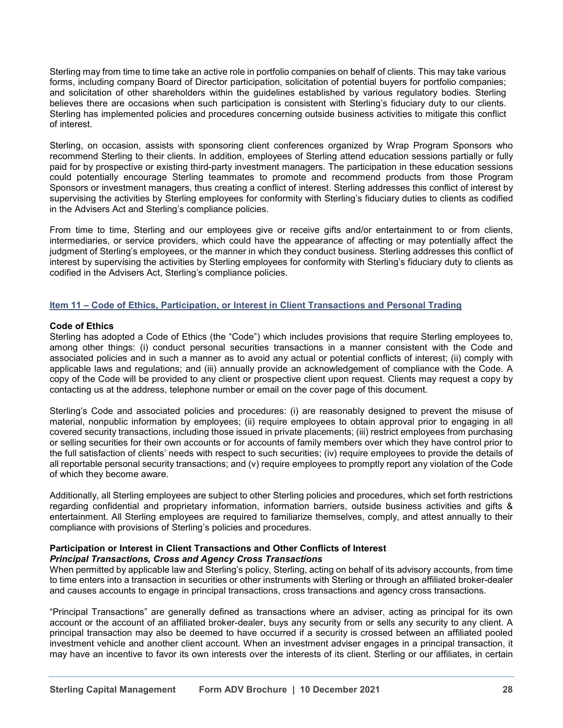Sterling may from time to time take an active role in portfolio companies on behalf of clients. This may take various forms, including company Board of Director participation, solicitation of potential buyers for portfolio companies; and solicitation of other shareholders within the guidelines established by various regulatory bodies. Sterling believes there are occasions when such participation is consistent with Sterling's fiduciary duty to our clients. Sterling has implemented policies and procedures concerning outside business activities to mitigate this conflict of interest.

Sterling, on occasion, assists with sponsoring client conferences organized by Wrap Program Sponsors who recommend Sterling to their clients. In addition, employees of Sterling attend education sessions partially or fully paid for by prospective or existing third-party investment managers. The participation in these education sessions could potentially encourage Sterling teammates to promote and recommend products from those Program Sponsors or investment managers, thus creating a conflict of interest. Sterling addresses this conflict of interest by supervising the activities by Sterling employees for conformity with Sterling's fiduciary duties to clients as codified in the Advisers Act and Sterling's compliance policies.

From time to time, Sterling and our employees give or receive gifts and/or entertainment to or from clients, intermediaries, or service providers, which could have the appearance of affecting or may potentially affect the judgment of Sterling's employees, or the manner in which they conduct business. Sterling addresses this conflict of interest by supervising the activities by Sterling employees for conformity with Sterling's fiduciary duty to clients as codified in the Advisers Act, Sterling's compliance policies.

## **Item 11 – Code of Ethics, Participation, or Interest in Client Transactions and Personal Trading**

### **Code of Ethics**

Sterling has adopted a Code of Ethics (the "Code") which includes provisions that require Sterling employees to, among other things: (i) conduct personal securities transactions in a manner consistent with the Code and associated policies and in such a manner as to avoid any actual or potential conflicts of interest; (ii) comply with applicable laws and regulations; and (iii) annually provide an acknowledgement of compliance with the Code. A copy of the Code will be provided to any client or prospective client upon request. Clients may request a copy by contacting us at the address, telephone number or email on the cover page of this document.

Sterling's Code and associated policies and procedures: (i) are reasonably designed to prevent the misuse of material, nonpublic information by employees; (ii) require employees to obtain approval prior to engaging in all covered security transactions, including those issued in private placements; (iii) restrict employees from purchasing or selling securities for their own accounts or for accounts of family members over which they have control prior to the full satisfaction of clients' needs with respect to such securities; (iv) require employees to provide the details of all reportable personal security transactions; and (v) require employees to promptly report any violation of the Code of which they become aware.

Additionally, all Sterling employees are subject to other Sterling policies and procedures, which set forth restrictions regarding confidential and proprietary information, information barriers, outside business activities and gifts & entertainment. All Sterling employees are required to familiarize themselves, comply, and attest annually to their compliance with provisions of Sterling's policies and procedures.

#### **Participation or Interest in Client Transactions and Other Conflicts of Interest** *Principal Transactions, Cross and Agency Cross Transactions*

When permitted by applicable law and Sterling's policy, Sterling, acting on behalf of its advisory accounts, from time to time enters into a transaction in securities or other instruments with Sterling or through an affiliated broker-dealer and causes accounts to engage in principal transactions, cross transactions and agency cross transactions.

"Principal Transactions" are generally defined as transactions where an adviser, acting as principal for its own account or the account of an affiliated broker-dealer, buys any security from or sells any security to any client. A principal transaction may also be deemed to have occurred if a security is crossed between an affiliated pooled investment vehicle and another client account. When an investment adviser engages in a principal transaction, it may have an incentive to favor its own interests over the interests of its client. Sterling or our affiliates, in certain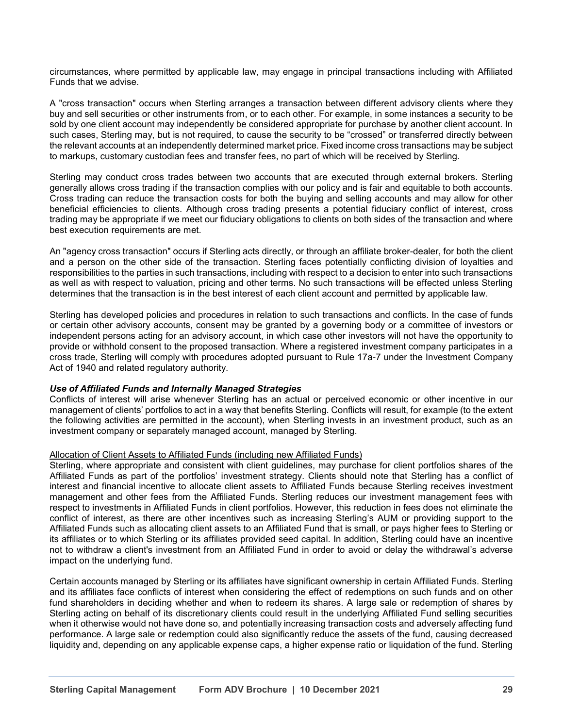circumstances, where permitted by applicable law, may engage in principal transactions including with Affiliated Funds that we advise.

A "cross transaction" occurs when Sterling arranges a transaction between different advisory clients where they buy and sell securities or other instruments from, or to each other. For example, in some instances a security to be sold by one client account may independently be considered appropriate for purchase by another client account. In such cases, Sterling may, but is not required, to cause the security to be "crossed" or transferred directly between the relevant accounts at an independently determined market price. Fixed income cross transactions may be subject to markups, customary custodian fees and transfer fees, no part of which will be received by Sterling.

Sterling may conduct cross trades between two accounts that are executed through external brokers. Sterling generally allows cross trading if the transaction complies with our policy and is fair and equitable to both accounts. Cross trading can reduce the transaction costs for both the buying and selling accounts and may allow for other beneficial efficiencies to clients. Although cross trading presents a potential fiduciary conflict of interest, cross trading may be appropriate if we meet our fiduciary obligations to clients on both sides of the transaction and where best execution requirements are met.

An "agency cross transaction" occurs if Sterling acts directly, or through an affiliate broker-dealer, for both the client and a person on the other side of the transaction. Sterling faces potentially conflicting division of loyalties and responsibilities to the parties in such transactions, including with respect to a decision to enter into such transactions as well as with respect to valuation, pricing and other terms. No such transactions will be effected unless Sterling determines that the transaction is in the best interest of each client account and permitted by applicable law.

Sterling has developed policies and procedures in relation to such transactions and conflicts. In the case of funds or certain other advisory accounts, consent may be granted by a governing body or a committee of investors or independent persons acting for an advisory account, in which case other investors will not have the opportunity to provide or withhold consent to the proposed transaction. Where a registered investment company participates in a cross trade, Sterling will comply with procedures adopted pursuant to Rule 17a-7 under the Investment Company Act of 1940 and related regulatory authority.

## *Use of Affiliated Funds and Internally Managed Strategies*

Conflicts of interest will arise whenever Sterling has an actual or perceived economic or other incentive in our management of clients' portfolios to act in a way that benefits Sterling. Conflicts will result, for example (to the extent the following activities are permitted in the account), when Sterling invests in an investment product, such as an investment company or separately managed account, managed by Sterling.

## Allocation of Client Assets to Affiliated Funds (including new Affiliated Funds)

Sterling, where appropriate and consistent with client guidelines, may purchase for client portfolios shares of the Affiliated Funds as part of the portfolios' investment strategy. Clients should note that Sterling has a conflict of interest and financial incentive to allocate client assets to Affiliated Funds because Sterling receives investment management and other fees from the Affiliated Funds. Sterling reduces our investment management fees with respect to investments in Affiliated Funds in client portfolios. However, this reduction in fees does not eliminate the conflict of interest, as there are other incentives such as increasing Sterling's AUM or providing support to the Affiliated Funds such as allocating client assets to an Affiliated Fund that is small, or pays higher fees to Sterling or its affiliates or to which Sterling or its affiliates provided seed capital. In addition, Sterling could have an incentive not to withdraw a client's investment from an Affiliated Fund in order to avoid or delay the withdrawal's adverse impact on the underlying fund.

Certain accounts managed by Sterling or its affiliates have significant ownership in certain Affiliated Funds. Sterling and its affiliates face conflicts of interest when considering the effect of redemptions on such funds and on other fund shareholders in deciding whether and when to redeem its shares. A large sale or redemption of shares by Sterling acting on behalf of its discretionary clients could result in the underlying Affiliated Fund selling securities when it otherwise would not have done so, and potentially increasing transaction costs and adversely affecting fund performance. A large sale or redemption could also significantly reduce the assets of the fund, causing decreased liquidity and, depending on any applicable expense caps, a higher expense ratio or liquidation of the fund. Sterling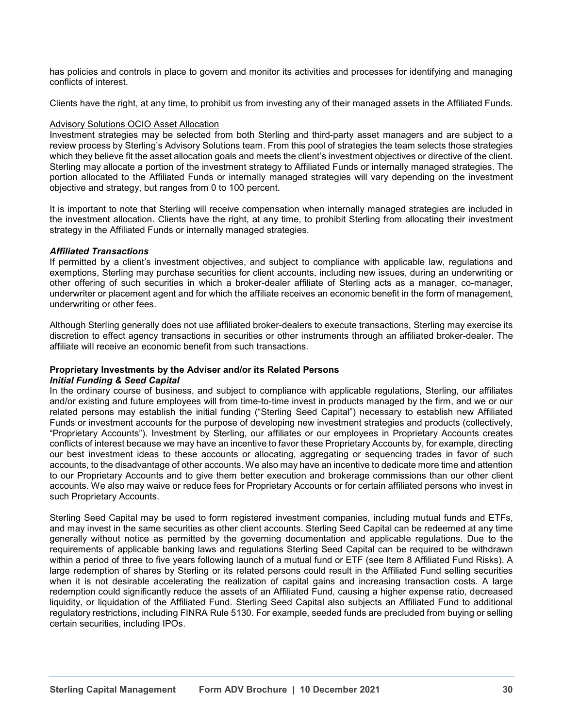has policies and controls in place to govern and monitor its activities and processes for identifying and managing conflicts of interest.

Clients have the right, at any time, to prohibit us from investing any of their managed assets in the Affiliated Funds.

### Advisory Solutions OCIO Asset Allocation

Investment strategies may be selected from both Sterling and third-party asset managers and are subject to a review process by Sterling's Advisory Solutions team. From this pool of strategies the team selects those strategies which they believe fit the asset allocation goals and meets the client's investment objectives or directive of the client. Sterling may allocate a portion of the investment strategy to Affiliated Funds or internally managed strategies. The portion allocated to the Affiliated Funds or internally managed strategies will vary depending on the investment objective and strategy, but ranges from 0 to 100 percent.

It is important to note that Sterling will receive compensation when internally managed strategies are included in the investment allocation. Clients have the right, at any time, to prohibit Sterling from allocating their investment strategy in the Affiliated Funds or internally managed strategies.

### *Affiliated Transactions*

If permitted by a client's investment objectives, and subject to compliance with applicable law, regulations and exemptions, Sterling may purchase securities for client accounts, including new issues, during an underwriting or other offering of such securities in which a broker-dealer affiliate of Sterling acts as a manager, co-manager, underwriter or placement agent and for which the affiliate receives an economic benefit in the form of management, underwriting or other fees.

Although Sterling generally does not use affiliated broker-dealers to execute transactions, Sterling may exercise its discretion to effect agency transactions in securities or other instruments through an affiliated broker-dealer. The affiliate will receive an economic benefit from such transactions.

## **Proprietary Investments by the Adviser and/or its Related Persons**

## *Initial Funding & Seed Capital*

In the ordinary course of business, and subject to compliance with applicable regulations, Sterling, our affiliates and/or existing and future employees will from time-to-time invest in products managed by the firm, and we or our related persons may establish the initial funding ("Sterling Seed Capital") necessary to establish new Affiliated Funds or investment accounts for the purpose of developing new investment strategies and products (collectively, "Proprietary Accounts"). Investment by Sterling, our affiliates or our employees in Proprietary Accounts creates conflicts of interest because we may have an incentive to favor these Proprietary Accounts by, for example, directing our best investment ideas to these accounts or allocating, aggregating or sequencing trades in favor of such accounts, to the disadvantage of other accounts. We also may have an incentive to dedicate more time and attention to our Proprietary Accounts and to give them better execution and brokerage commissions than our other client accounts. We also may waive or reduce fees for Proprietary Accounts or for certain affiliated persons who invest in such Proprietary Accounts.

Sterling Seed Capital may be used to form registered investment companies, including mutual funds and ETFs, and may invest in the same securities as other client accounts. Sterling Seed Capital can be redeemed at any time generally without notice as permitted by the governing documentation and applicable regulations. Due to the requirements of applicable banking laws and regulations Sterling Seed Capital can be required to be withdrawn within a period of three to five years following launch of a mutual fund or ETF (see Item 8 Affiliated Fund Risks). A large redemption of shares by Sterling or its related persons could result in the Affiliated Fund selling securities when it is not desirable accelerating the realization of capital gains and increasing transaction costs. A large redemption could significantly reduce the assets of an Affiliated Fund, causing a higher expense ratio, decreased liquidity, or liquidation of the Affiliated Fund. Sterling Seed Capital also subjects an Affiliated Fund to additional regulatory restrictions, including FINRA Rule 5130. For example, seeded funds are precluded from buying or selling certain securities, including IPOs.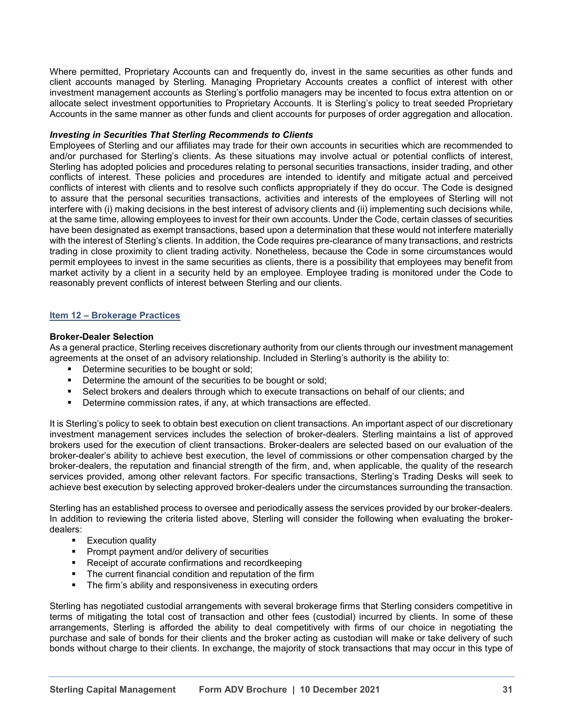Where permitted, Proprietary Accounts can and frequently do, invest in the same securities as other funds and client accounts managed by Sterling. Managing Proprietary Accounts creates a conflict of interest with other investment management accounts as Sterling's portfolio managers may be incented to focus extra attention on or allocate select investment opportunities to Proprietary Accounts. It is Sterling's policy to treat seeded Proprietary Accounts in the same manner as other funds and client accounts for purposes of order aggregation and allocation.

#### *Investing in Securities That Sterling Recommends to Clients*

Employees of Sterling and our affiliates may trade for their own accounts in securities which are recommended to and/or purchased for Sterling's clients. As these situations may involve actual or potential conflicts of interest, Sterling has adopted policies and procedures relating to personal securities transactions, insider trading, and other conflicts of interest. These policies and procedures are intended to identify and mitigate actual and perceived conflicts of interest with clients and to resolve such conflicts appropriately if they do occur. The Code is designed to assure that the personal securities transactions, activities and interests of the employees of Sterling will not interfere with (i) making decisions in the best interest of advisory clients and (ii) implementing such decisions while, at the same time, allowing employees to invest for their own accounts. Under the Code, certain classes of securities have been designated as exempt transactions, based upon a determination that these would not interfere materially with the interest of Sterling's clients. In addition, the Code requires pre-clearance of many transactions, and restricts trading in close proximity to client trading activity. Nonetheless, because the Code in some circumstances would permit employees to invest in the same securities as clients, there is a possibility that employees may benefit from market activity by a client in a security held by an employee. Employee trading is monitored under the Code to reasonably prevent conflicts of interest between Sterling and our clients.

#### **Item 12 – Brokerage Practices**

#### **Broker-Dealer Selection**

As a general practice, Sterling receives discretionary authority from our clients through our investment management agreements at the onset of an advisory relationship. Included in Sterling's authority is the ability to:

- Determine securities to be bought or sold;<br>■ Determine the amount of the securities to
- Determine the amount of the securities to be bought or sold;
- Select brokers and dealers through which to execute transactions on behalf of our clients; and<br>■ Determine commission rates, if any at which transactions are effected
- Determine commission rates, if any, at which transactions are effected.

It is Sterling's policy to seek to obtain best execution on client transactions. An important aspect of our discretionary investment management services includes the selection of broker-dealers. Sterling maintains a list of approved brokers used for the execution of client transactions. Broker-dealers are selected based on our evaluation of the broker-dealer's ability to achieve best execution, the level of commissions or other compensation charged by the broker-dealers, the reputation and financial strength of the firm, and, when applicable, the quality of the research services provided, among other relevant factors. For specific transactions, Sterling's Trading Desks will seek to achieve best execution by selecting approved broker-dealers under the circumstances surrounding the transaction.

Sterling has an established process to oversee and periodically assess the services provided by our broker-dealers. In addition to reviewing the criteria listed above, Sterling will consider the following when evaluating the brokerdealers:

- Execution quality
- Prompt payment and/or delivery of securities<br>■ Receipt of accurate confirmations and record
- Receipt of accurate confirmations and recordkeeping<br>■ The current financial condition and reputation of the fi
- The current financial condition and reputation of the firm<br>■ The firm's ability and responsiveness in executing orders
- The firm's ability and responsiveness in executing orders

Sterling has negotiated custodial arrangements with several brokerage firms that Sterling considers competitive in terms of mitigating the total cost of transaction and other fees (custodial) incurred by clients. In some of these arrangements, Sterling is afforded the ability to deal competitively with firms of our choice in negotiating the purchase and sale of bonds for their clients and the broker acting as custodian will make or take delivery of such bonds without charge to their clients. In exchange, the majority of stock transactions that may occur in this type of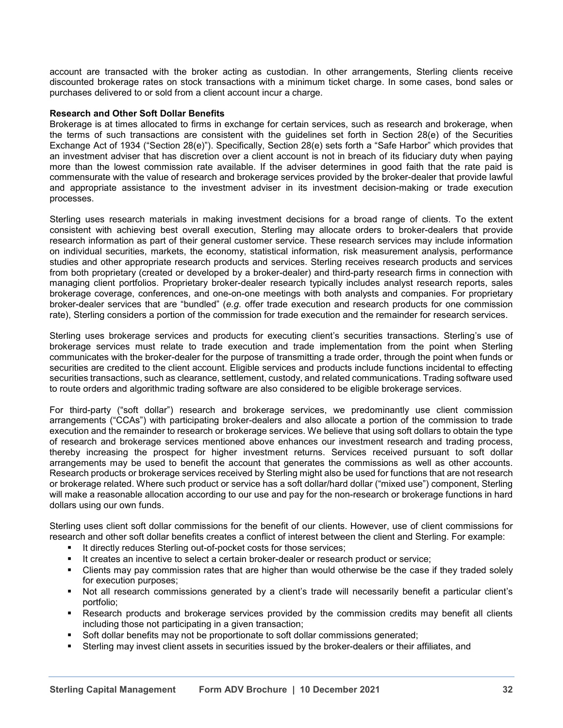account are transacted with the broker acting as custodian. In other arrangements, Sterling clients receive discounted brokerage rates on stock transactions with a minimum ticket charge. In some cases, bond sales or purchases delivered to or sold from a client account incur a charge.

### **Research and Other Soft Dollar Benefits**

Brokerage is at times allocated to firms in exchange for certain services, such as research and brokerage, when the terms of such transactions are consistent with the guidelines set forth in Section 28(e) of the Securities Exchange Act of 1934 ("Section 28(e)"). Specifically, Section 28(e) sets forth a "Safe Harbor" which provides that an investment adviser that has discretion over a client account is not in breach of its fiduciary duty when paying more than the lowest commission rate available. If the adviser determines in good faith that the rate paid is commensurate with the value of research and brokerage services provided by the broker-dealer that provide lawful and appropriate assistance to the investment adviser in its investment decision-making or trade execution processes.

Sterling uses research materials in making investment decisions for a broad range of clients. To the extent consistent with achieving best overall execution, Sterling may allocate orders to broker-dealers that provide research information as part of their general customer service. These research services may include information on individual securities, markets, the economy, statistical information, risk measurement analysis, performance studies and other appropriate research products and services. Sterling receives research products and services from both proprietary (created or developed by a broker-dealer) and third-party research firms in connection with managing client portfolios. Proprietary broker-dealer research typically includes analyst research reports, sales brokerage coverage, conferences, and one-on-one meetings with both analysts and companies. For proprietary broker-dealer services that are "bundled" (*e.g*. offer trade execution and research products for one commission rate), Sterling considers a portion of the commission for trade execution and the remainder for research services.

Sterling uses brokerage services and products for executing client's securities transactions. Sterling's use of brokerage services must relate to trade execution and trade implementation from the point when Sterling communicates with the broker-dealer for the purpose of transmitting a trade order, through the point when funds or securities are credited to the client account. Eligible services and products include functions incidental to effecting securities transactions, such as clearance, settlement, custody, and related communications. Trading software used to route orders and algorithmic trading software are also considered to be eligible brokerage services.

For third-party ("soft dollar") research and brokerage services, we predominantly use client commission arrangements ("CCAs") with participating broker-dealers and also allocate a portion of the commission to trade execution and the remainder to research or brokerage services. We believe that using soft dollars to obtain the type of research and brokerage services mentioned above enhances our investment research and trading process, thereby increasing the prospect for higher investment returns. Services received pursuant to soft dollar arrangements may be used to benefit the account that generates the commissions as well as other accounts. Research products or brokerage services received by Sterling might also be used for functions that are not research or brokerage related. Where such product or service has a soft dollar/hard dollar ("mixed use") component, Sterling will make a reasonable allocation according to our use and pay for the non-research or brokerage functions in hard dollars using our own funds.

Sterling uses client soft dollar commissions for the benefit of our clients. However, use of client commissions for research and other soft dollar benefits creates a conflict of interest between the client and Sterling. For example:

- **E** It directly reduces Sterling out-of-pocket costs for those services;
- It creates an incentive to select a certain broker-dealer or research product or service;<br>■ Clients may nay commission rates that are bigher than would otherwise be the case i
- Clients may pay commission rates that are higher than would otherwise be the case if they traded solely for execution purposes;
- Not all research commissions generated by a client's trade will necessarily benefit a particular client's portfolio;
- **EXEL** Research products and brokerage services provided by the commission credits may benefit all clients including those not participating in a given transaction;
- Soft dollar benefits may not be proportionate to soft dollar commissions generated;
- Sterling may invest client assets in securities issued by the broker-dealers or their affiliates, and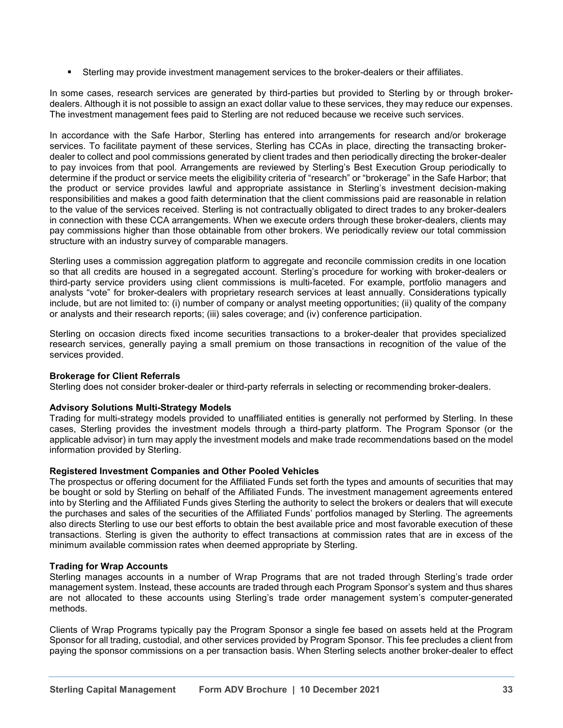**EXECT** Sterling may provide investment management services to the broker-dealers or their affiliates.

In some cases, research services are generated by third-parties but provided to Sterling by or through brokerdealers. Although it is not possible to assign an exact dollar value to these services, they may reduce our expenses. The investment management fees paid to Sterling are not reduced because we receive such services.

In accordance with the Safe Harbor, Sterling has entered into arrangements for research and/or brokerage services. To facilitate payment of these services, Sterling has CCAs in place, directing the transacting brokerdealer to collect and pool commissions generated by client trades and then periodically directing the broker-dealer to pay invoices from that pool. Arrangements are reviewed by Sterling's Best Execution Group periodically to determine if the product or service meets the eligibility criteria of "research" or "brokerage" in the Safe Harbor; that the product or service provides lawful and appropriate assistance in Sterling's investment decision-making responsibilities and makes a good faith determination that the client commissions paid are reasonable in relation to the value of the services received. Sterling is not contractually obligated to direct trades to any broker-dealers in connection with these CCA arrangements. When we execute orders through these broker-dealers, clients may pay commissions higher than those obtainable from other brokers. We periodically review our total commission structure with an industry survey of comparable managers.

Sterling uses a commission aggregation platform to aggregate and reconcile commission credits in one location so that all credits are housed in a segregated account. Sterling's procedure for working with broker-dealers or third-party service providers using client commissions is multi-faceted. For example, portfolio managers and analysts "vote" for broker-dealers with proprietary research services at least annually. Considerations typically include, but are not limited to: (i) number of company or analyst meeting opportunities; (ii) quality of the company or analysts and their research reports; (iii) sales coverage; and (iv) conference participation.

Sterling on occasion directs fixed income securities transactions to a broker-dealer that provides specialized research services, generally paying a small premium on those transactions in recognition of the value of the services provided.

## **Brokerage for Client Referrals**

Sterling does not consider broker-dealer or third-party referrals in selecting or recommending broker-dealers.

## **Advisory Solutions Multi-Strategy Models**

Trading for multi-strategy models provided to unaffiliated entities is generally not performed by Sterling. In these cases, Sterling provides the investment models through a third-party platform. The Program Sponsor (or the applicable advisor) in turn may apply the investment models and make trade recommendations based on the model information provided by Sterling.

#### **Registered Investment Companies and Other Pooled Vehicles**

The prospectus or offering document for the Affiliated Funds set forth the types and amounts of securities that may be bought or sold by Sterling on behalf of the Affiliated Funds. The investment management agreements entered into by Sterling and the Affiliated Funds gives Sterling the authority to select the brokers or dealers that will execute the purchases and sales of the securities of the Affiliated Funds' portfolios managed by Sterling. The agreements also directs Sterling to use our best efforts to obtain the best available price and most favorable execution of these transactions. Sterling is given the authority to effect transactions at commission rates that are in excess of the minimum available commission rates when deemed appropriate by Sterling.

#### **Trading for Wrap Accounts**

Sterling manages accounts in a number of Wrap Programs that are not traded through Sterling's trade order management system. Instead, these accounts are traded through each Program Sponsor's system and thus shares are not allocated to these accounts using Sterling's trade order management system's computer-generated methods.

Clients of Wrap Programs typically pay the Program Sponsor a single fee based on assets held at the Program Sponsor for all trading, custodial, and other services provided by Program Sponsor. This fee precludes a client from paying the sponsor commissions on a per transaction basis. When Sterling selects another broker-dealer to effect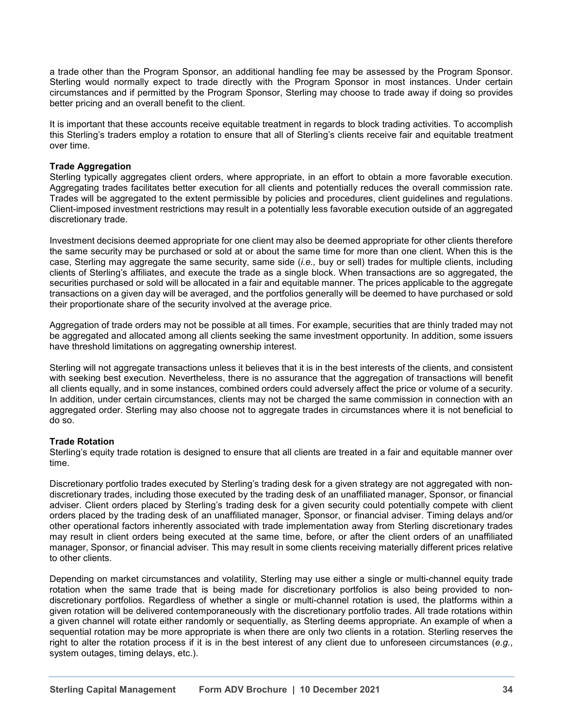a trade other than the Program Sponsor, an additional handling fee may be assessed by the Program Sponsor. Sterling would normally expect to trade directly with the Program Sponsor in most instances. Under certain circumstances and if permitted by the Program Sponsor, Sterling may choose to trade away if doing so provides better pricing and an overall benefit to the client.

It is important that these accounts receive equitable treatment in regards to block trading activities. To accomplish this Sterling's traders employ a rotation to ensure that all of Sterling's clients receive fair and equitable treatment over time.

## **Trade Aggregation**

Sterling typically aggregates client orders, where appropriate, in an effort to obtain a more favorable execution. Aggregating trades facilitates better execution for all clients and potentially reduces the overall commission rate. Trades will be aggregated to the extent permissible by policies and procedures, client guidelines and regulations. Client-imposed investment restrictions may result in a potentially less favorable execution outside of an aggregated discretionary trade.

Investment decisions deemed appropriate for one client may also be deemed appropriate for other clients therefore the same security may be purchased or sold at or about the same time for more than one client. When this is the case, Sterling may aggregate the same security, same side (*i.e.,* buy or sell) trades for multiple clients, including clients of Sterling's affiliates, and execute the trade as a single block. When transactions are so aggregated, the securities purchased or sold will be allocated in a fair and equitable manner. The prices applicable to the aggregate transactions on a given day will be averaged, and the portfolios generally will be deemed to have purchased or sold their proportionate share of the security involved at the average price.

Aggregation of trade orders may not be possible at all times. For example, securities that are thinly traded may not be aggregated and allocated among all clients seeking the same investment opportunity. In addition, some issuers have threshold limitations on aggregating ownership interest.

Sterling will not aggregate transactions unless it believes that it is in the best interests of the clients, and consistent with seeking best execution. Nevertheless, there is no assurance that the aggregation of transactions will benefit all clients equally, and in some instances, combined orders could adversely affect the price or volume of a security. In addition, under certain circumstances, clients may not be charged the same commission in connection with an aggregated order. Sterling may also choose not to aggregate trades in circumstances where it is not beneficial to do so.

#### **Trade Rotation**

Sterling's equity trade rotation is designed to ensure that all clients are treated in a fair and equitable manner over time.

Discretionary portfolio trades executed by Sterling's trading desk for a given strategy are not aggregated with nondiscretionary trades, including those executed by the trading desk of an unaffiliated manager, Sponsor, or financial adviser. Client orders placed by Sterling's trading desk for a given security could potentially compete with client orders placed by the trading desk of an unaffiliated manager, Sponsor, or financial adviser. Timing delays and/or other operational factors inherently associated with trade implementation away from Sterling discretionary trades may result in client orders being executed at the same time, before, or after the client orders of an unaffiliated manager, Sponsor, or financial adviser. This may result in some clients receiving materially different prices relative to other clients.

Depending on market circumstances and volatility, Sterling may use either a single or multi-channel equity trade rotation when the same trade that is being made for discretionary portfolios is also being provided to nondiscretionary portfolios. Regardless of whether a single or multi-channel rotation is used, the platforms within a given rotation will be delivered contemporaneously with the discretionary portfolio trades. All trade rotations within a given channel will rotate either randomly or sequentially, as Sterling deems appropriate. An example of when a sequential rotation may be more appropriate is when there are only two clients in a rotation. Sterling reserves the right to alter the rotation process if it is in the best interest of any client due to unforeseen circumstances (*e.g.*, system outages, timing delays, etc.).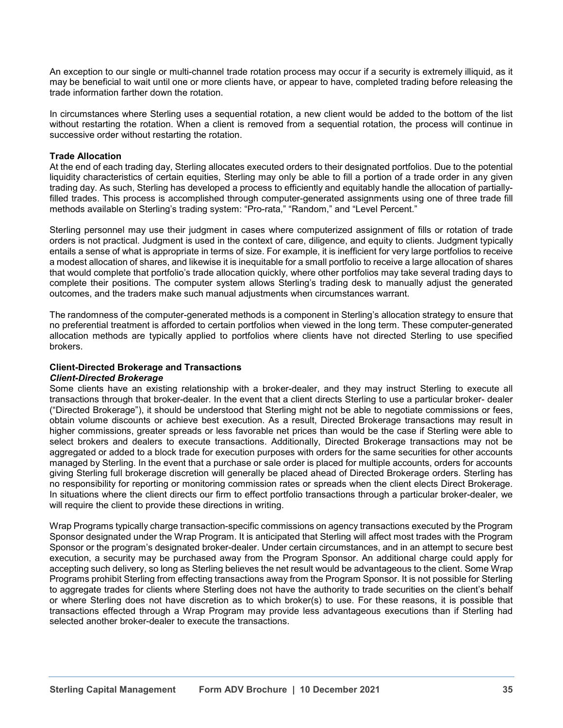An exception to our single or multi-channel trade rotation process may occur if a security is extremely illiquid, as it may be beneficial to wait until one or more clients have, or appear to have, completed trading before releasing the trade information farther down the rotation.

In circumstances where Sterling uses a sequential rotation, a new client would be added to the bottom of the list without restarting the rotation. When a client is removed from a sequential rotation, the process will continue in successive order without restarting the rotation.

#### **Trade Allocation**

At the end of each trading day, Sterling allocates executed orders to their designated portfolios. Due to the potential liquidity characteristics of certain equities, Sterling may only be able to fill a portion of a trade order in any given trading day. As such, Sterling has developed a process to efficiently and equitably handle the allocation of partiallyfilled trades. This process is accomplished through computer-generated assignments using one of three trade fill methods available on Sterling's trading system: "Pro-rata," "Random," and "Level Percent."

Sterling personnel may use their judgment in cases where computerized assignment of fills or rotation of trade orders is not practical. Judgment is used in the context of care, diligence, and equity to clients. Judgment typically entails a sense of what is appropriate in terms of size. For example, it is inefficient for very large portfolios to receive a modest allocation of shares, and likewise it is inequitable for a small portfolio to receive a large allocation of shares that would complete that portfolio's trade allocation quickly, where other portfolios may take several trading days to complete their positions. The computer system allows Sterling's trading desk to manually adjust the generated outcomes, and the traders make such manual adjustments when circumstances warrant.

The randomness of the computer-generated methods is a component in Sterling's allocation strategy to ensure that no preferential treatment is afforded to certain portfolios when viewed in the long term. These computer-generated allocation methods are typically applied to portfolios where clients have not directed Sterling to use specified brokers.

#### **Client-Directed Brokerage and Transactions** *Client-Directed Brokerage*

Some clients have an existing relationship with a broker-dealer, and they may instruct Sterling to execute all transactions through that broker-dealer. In the event that a client directs Sterling to use a particular broker- dealer ("Directed Brokerage"), it should be understood that Sterling might not be able to negotiate commissions or fees, obtain volume discounts or achieve best execution. As a result, Directed Brokerage transactions may result in higher commissions, greater spreads or less favorable net prices than would be the case if Sterling were able to select brokers and dealers to execute transactions. Additionally, Directed Brokerage transactions may not be aggregated or added to a block trade for execution purposes with orders for the same securities for other accounts managed by Sterling. In the event that a purchase or sale order is placed for multiple accounts, orders for accounts giving Sterling full brokerage discretion will generally be placed ahead of Directed Brokerage orders. Sterling has no responsibility for reporting or monitoring commission rates or spreads when the client elects Direct Brokerage. In situations where the client directs our firm to effect portfolio transactions through a particular broker-dealer, we will require the client to provide these directions in writing.

Wrap Programs typically charge transaction-specific commissions on agency transactions executed by the Program Sponsor designated under the Wrap Program. It is anticipated that Sterling will affect most trades with the Program Sponsor or the program's designated broker-dealer. Under certain circumstances, and in an attempt to secure best execution, a security may be purchased away from the Program Sponsor. An additional charge could apply for accepting such delivery, so long as Sterling believes the net result would be advantageous to the client. Some Wrap Programs prohibit Sterling from effecting transactions away from the Program Sponsor. It is not possible for Sterling to aggregate trades for clients where Sterling does not have the authority to trade securities on the client's behalf or where Sterling does not have discretion as to which broker(s) to use. For these reasons, it is possible that transactions effected through a Wrap Program may provide less advantageous executions than if Sterling had selected another broker-dealer to execute the transactions.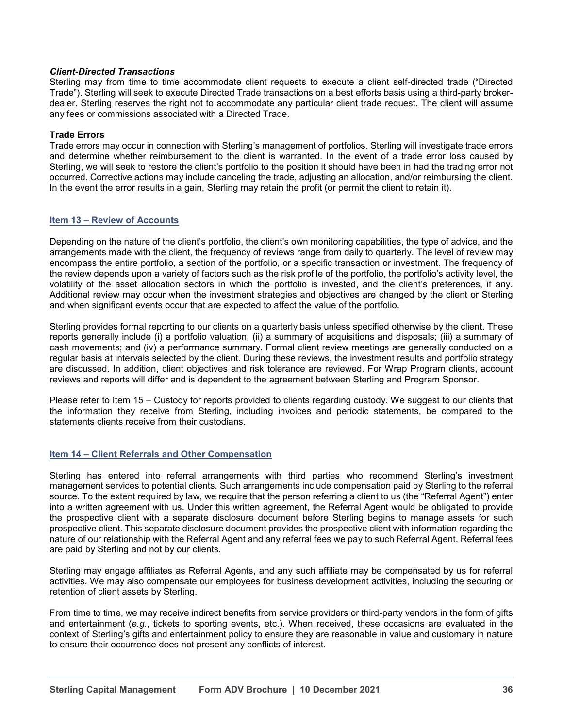## *Client-Directed Transactions*

Sterling may from time to time accommodate client requests to execute a client self-directed trade ("Directed Trade"). Sterling will seek to execute Directed Trade transactions on a best efforts basis using a third-party brokerdealer. Sterling reserves the right not to accommodate any particular client trade request. The client will assume any fees or commissions associated with a Directed Trade.

### **Trade Errors**

Trade errors may occur in connection with Sterling's management of portfolios. Sterling will investigate trade errors and determine whether reimbursement to the client is warranted. In the event of a trade error loss caused by Sterling, we will seek to restore the client's portfolio to the position it should have been in had the trading error not occurred. Corrective actions may include canceling the trade, adjusting an allocation, and/or reimbursing the client. In the event the error results in a gain, Sterling may retain the profit (or permit the client to retain it).

#### **Item 13 – Review of Accounts**

Depending on the nature of the client's portfolio, the client's own monitoring capabilities, the type of advice, and the arrangements made with the client, the frequency of reviews range from daily to quarterly. The level of review may encompass the entire portfolio, a section of the portfolio, or a specific transaction or investment. The frequency of the review depends upon a variety of factors such as the risk profile of the portfolio, the portfolio's activity level, the volatility of the asset allocation sectors in which the portfolio is invested, and the client's preferences, if any. Additional review may occur when the investment strategies and objectives are changed by the client or Sterling and when significant events occur that are expected to affect the value of the portfolio.

Sterling provides formal reporting to our clients on a quarterly basis unless specified otherwise by the client. These reports generally include (i) a portfolio valuation; (ii) a summary of acquisitions and disposals; (iii) a summary of cash movements; and (iv) a performance summary. Formal client review meetings are generally conducted on a regular basis at intervals selected by the client. During these reviews, the investment results and portfolio strategy are discussed. In addition, client objectives and risk tolerance are reviewed. For Wrap Program clients, account reviews and reports will differ and is dependent to the agreement between Sterling and Program Sponsor.

Please refer to Item 15 – Custody for reports provided to clients regarding custody. We suggest to our clients that the information they receive from Sterling, including invoices and periodic statements, be compared to the statements clients receive from their custodians.

#### **Item 14 – Client Referrals and Other Compensation**

Sterling has entered into referral arrangements with third parties who recommend Sterling's investment management services to potential clients. Such arrangements include compensation paid by Sterling to the referral source. To the extent required by law, we require that the person referring a client to us (the "Referral Agent") enter into a written agreement with us. Under this written agreement, the Referral Agent would be obligated to provide the prospective client with a separate disclosure document before Sterling begins to manage assets for such prospective client. This separate disclosure document provides the prospective client with information regarding the nature of our relationship with the Referral Agent and any referral fees we pay to such Referral Agent. Referral fees are paid by Sterling and not by our clients.

Sterling may engage affiliates as Referral Agents, and any such affiliate may be compensated by us for referral activities. We may also compensate our employees for business development activities, including the securing or retention of client assets by Sterling.

From time to time, we may receive indirect benefits from service providers or third-party vendors in the form of gifts and entertainment (*e.g.*, tickets to sporting events, etc.). When received, these occasions are evaluated in the context of Sterling's gifts and entertainment policy to ensure they are reasonable in value and customary in nature to ensure their occurrence does not present any conflicts of interest.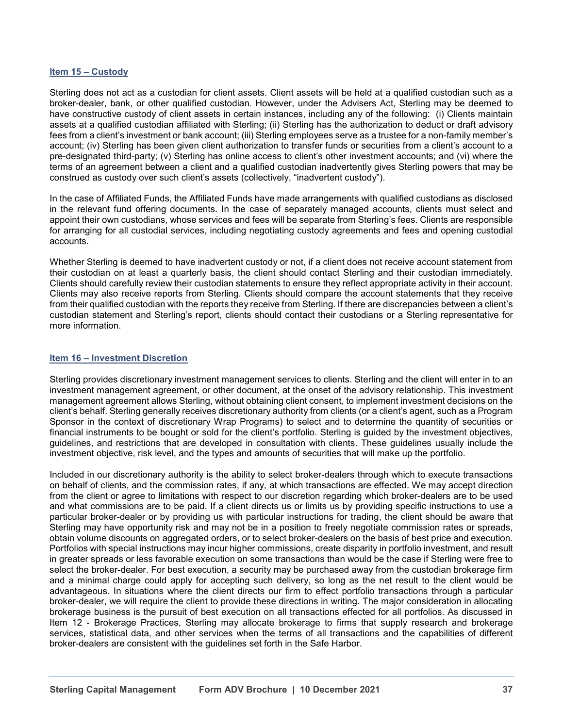#### **Item 15 – Custody**

Sterling does not act as a custodian for client assets. Client assets will be held at a qualified custodian such as a broker-dealer, bank, or other qualified custodian. However, under the Advisers Act, Sterling may be deemed to have constructive custody of client assets in certain instances, including any of the following: (i) Clients maintain assets at a qualified custodian affiliated with Sterling; (ii) Sterling has the authorization to deduct or draft advisory fees from a client's investment or bank account; (iii) Sterling employees serve as a trustee for a non-family member's account; (iv) Sterling has been given client authorization to transfer funds or securities from a client's account to a pre-designated third-party; (v) Sterling has online access to client's other investment accounts; and (vi) where the terms of an agreement between a client and a qualified custodian inadvertently gives Sterling powers that may be construed as custody over such client's assets (collectively, "inadvertent custody").

In the case of Affiliated Funds, the Affiliated Funds have made arrangements with qualified custodians as disclosed in the relevant fund offering documents. In the case of separately managed accounts, clients must select and appoint their own custodians, whose services and fees will be separate from Sterling's fees. Clients are responsible for arranging for all custodial services, including negotiating custody agreements and fees and opening custodial accounts.

Whether Sterling is deemed to have inadvertent custody or not, if a client does not receive account statement from their custodian on at least a quarterly basis, the client should contact Sterling and their custodian immediately. Clients should carefully review their custodian statements to ensure they reflect appropriate activity in their account. Clients may also receive reports from Sterling. Clients should compare the account statements that they receive from their qualified custodian with the reports they receive from Sterling. If there are discrepancies between a client's custodian statement and Sterling's report, clients should contact their custodians or a Sterling representative for more information.

#### **Item 16 – Investment Discretion**

Sterling provides discretionary investment management services to clients. Sterling and the client will enter in to an investment management agreement, or other document, at the onset of the advisory relationship. This investment management agreement allows Sterling, without obtaining client consent, to implement investment decisions on the client's behalf. Sterling generally receives discretionary authority from clients (or a client's agent, such as a Program Sponsor in the context of discretionary Wrap Programs) to select and to determine the quantity of securities or financial instruments to be bought or sold for the client's portfolio. Sterling is guided by the investment objectives, guidelines, and restrictions that are developed in consultation with clients. These guidelines usually include the investment objective, risk level, and the types and amounts of securities that will make up the portfolio.

Included in our discretionary authority is the ability to select broker-dealers through which to execute transactions on behalf of clients, and the commission rates, if any, at which transactions are effected. We may accept direction from the client or agree to limitations with respect to our discretion regarding which broker-dealers are to be used and what commissions are to be paid. If a client directs us or limits us by providing specific instructions to use a particular broker-dealer or by providing us with particular instructions for trading, the client should be aware that Sterling may have opportunity risk and may not be in a position to freely negotiate commission rates or spreads, obtain volume discounts on aggregated orders, or to select broker-dealers on the basis of best price and execution. Portfolios with special instructions may incur higher commissions, create disparity in portfolio investment, and result in greater spreads or less favorable execution on some transactions than would be the case if Sterling were free to select the broker-dealer. For best execution, a security may be purchased away from the custodian brokerage firm and a minimal charge could apply for accepting such delivery, so long as the net result to the client would be advantageous. In situations where the client directs our firm to effect portfolio transactions through a particular broker-dealer, we will require the client to provide these directions in writing. The major consideration in allocating brokerage business is the pursuit of best execution on all transactions effected for all portfolios. As discussed in Item 12 - Brokerage Practices, Sterling may allocate brokerage to firms that supply research and brokerage services, statistical data, and other services when the terms of all transactions and the capabilities of different broker-dealers are consistent with the guidelines set forth in the Safe Harbor.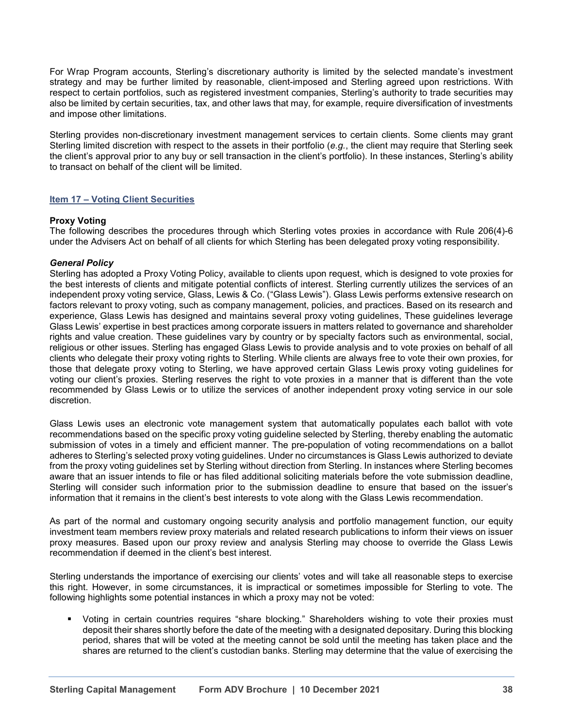For Wrap Program accounts, Sterling's discretionary authority is limited by the selected mandate's investment strategy and may be further limited by reasonable, client-imposed and Sterling agreed upon restrictions. With respect to certain portfolios, such as registered investment companies, Sterling's authority to trade securities may also be limited by certain securities, tax, and other laws that may, for example, require diversification of investments and impose other limitations.

Sterling provides non-discretionary investment management services to certain clients. Some clients may grant Sterling limited discretion with respect to the assets in their portfolio (*e.g.*, the client may require that Sterling seek the client's approval prior to any buy or sell transaction in the client's portfolio). In these instances, Sterling's ability to transact on behalf of the client will be limited.

# **Item 17 – Voting Client Securities**

#### **Proxy Voting**

The following describes the procedures through which Sterling votes proxies in accordance with Rule 206(4)-6 under the Advisers Act on behalf of all clients for which Sterling has been delegated proxy voting responsibility.

#### *General Policy*

Sterling has adopted a Proxy Voting Policy, available to clients upon request, which is designed to vote proxies for the best interests of clients and mitigate potential conflicts of interest. Sterling currently utilizes the services of an independent proxy voting service, Glass, Lewis & Co. ("Glass Lewis"). Glass Lewis performs extensive research on factors relevant to proxy voting, such as company management, policies, and practices. Based on its research and experience, Glass Lewis has designed and maintains several proxy voting guidelines, These guidelines leverage Glass Lewis' expertise in best practices among corporate issuers in matters related to governance and shareholder rights and value creation. These guidelines vary by country or by specialty factors such as environmental, social, religious or other issues. Sterling has engaged Glass Lewis to provide analysis and to vote proxies on behalf of all clients who delegate their proxy voting rights to Sterling. While clients are always free to vote their own proxies, for those that delegate proxy voting to Sterling, we have approved certain Glass Lewis proxy voting guidelines for voting our client's proxies. Sterling reserves the right to vote proxies in a manner that is different than the vote recommended by Glass Lewis or to utilize the services of another independent proxy voting service in our sole discretion.

Glass Lewis uses an electronic vote management system that automatically populates each ballot with vote recommendations based on the specific proxy voting guideline selected by Sterling, thereby enabling the automatic submission of votes in a timely and efficient manner. The pre-population of voting recommendations on a ballot adheres to Sterling's selected proxy voting guidelines. Under no circumstances is Glass Lewis authorized to deviate from the proxy voting guidelines set by Sterling without direction from Sterling. In instances where Sterling becomes aware that an issuer intends to file or has filed additional soliciting materials before the vote submission deadline, Sterling will consider such information prior to the submission deadline to ensure that based on the issuer's information that it remains in the client's best interests to vote along with the Glass Lewis recommendation.

As part of the normal and customary ongoing security analysis and portfolio management function, our equity investment team members review proxy materials and related research publications to inform their views on issuer proxy measures. Based upon our proxy review and analysis Sterling may choose to override the Glass Lewis recommendation if deemed in the client's best interest.

Sterling understands the importance of exercising our clients' votes and will take all reasonable steps to exercise this right. However, in some circumstances, it is impractical or sometimes impossible for Sterling to vote. The following highlights some potential instances in which a proxy may not be voted:

Voting in certain countries requires "share blocking." Shareholders wishing to vote their proxies must deposit their shares shortly before the date of the meeting with a designated depositary. During this blocking period, shares that will be voted at the meeting cannot be sold until the meeting has taken place and the shares are returned to the client's custodian banks. Sterling may determine that the value of exercising the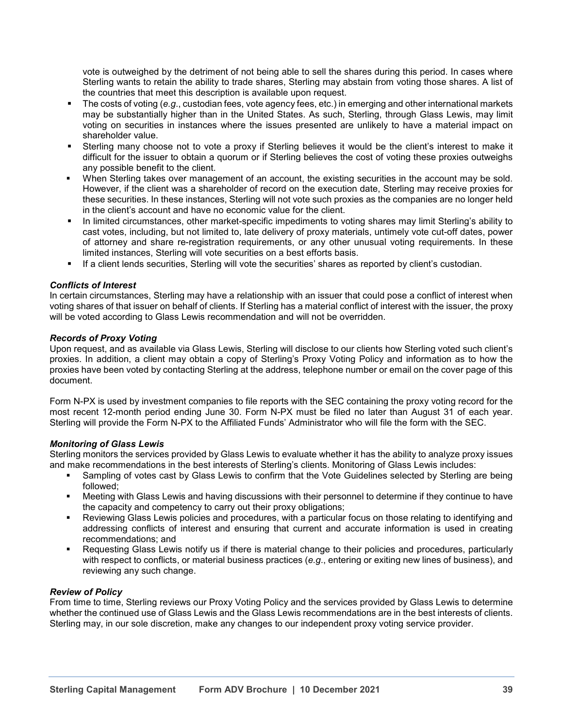vote is outweighed by the detriment of not being able to sell the shares during this period. In cases where Sterling wants to retain the ability to trade shares, Sterling may abstain from voting those shares. A list of the countries that meet this description is available upon request.

- The costs of voting (*e.g*., custodian fees, vote agency fees, etc.) in emerging and other international markets may be substantially higher than in the United States. As such, Sterling, through Glass Lewis, may limit voting on securities in instances where the issues presented are unlikely to have a material impact on shareholder value.
- Sterling many choose not to vote a proxy if Sterling believes it would be the client's interest to make it difficult for the issuer to obtain a quorum or if Sterling believes the cost of voting these proxies outweighs any possible benefit to the client.
- When Sterling takes over management of an account, the existing securities in the account may be sold. However, if the client was a shareholder of record on the execution date, Sterling may receive proxies for these securities. In these instances, Sterling will not vote such proxies as the companies are no longer held in the client's account and have no economic value for the client.
- In limited circumstances, other market-specific impediments to voting shares may limit Sterling's ability to cast votes, including, but not limited to, late delivery of proxy materials, untimely vote cut-off dates, power of attorney and share re-registration requirements, or any other unusual voting requirements. In these limited instances, Sterling will vote securities on a best efforts basis.
- If a client lends securities, Sterling will vote the securities' shares as reported by client's custodian.

# *Conflicts of Interest*

In certain circumstances, Sterling may have a relationship with an issuer that could pose a conflict of interest when voting shares of that issuer on behalf of clients. If Sterling has a material conflict of interest with the issuer, the proxy will be voted according to Glass Lewis recommendation and will not be overridden.

#### *Records of Proxy Voting*

Upon request, and as available via Glass Lewis, Sterling will disclose to our clients how Sterling voted such client's proxies. In addition, a client may obtain a copy of Sterling's Proxy Voting Policy and information as to how the proxies have been voted by contacting Sterling at the address, telephone number or email on the cover page of this document.

Form N-PX is used by investment companies to file reports with the SEC containing the proxy voting record for the most recent 12-month period ending June 30. Form N-PX must be filed no later than August 31 of each year. Sterling will provide the Form N-PX to the Affiliated Funds' Administrator who will file the form with the SEC.

#### *Monitoring of Glass Lewis*

Sterling monitors the services provided by Glass Lewis to evaluate whether it has the ability to analyze proxy issues and make recommendations in the best interests of Sterling's clients. Monitoring of Glass Lewis includes:

- Sampling of votes cast by Glass Lewis to confirm that the Vote Guidelines selected by Sterling are being followed;
- Meeting with Glass Lewis and having discussions with their personnel to determine if they continue to have the capacity and competency to carry out their proxy obligations;
- Reviewing Glass Lewis policies and procedures, with a particular focus on those relating to identifying and addressing conflicts of interest and ensuring that current and accurate information is used in creating recommendations; and
- Requesting Glass Lewis notify us if there is material change to their policies and procedures, particularly with respect to conflicts, or material business practices (*e.g*., entering or exiting new lines of business), and reviewing any such change.

# *Review of Policy*

From time to time, Sterling reviews our Proxy Voting Policy and the services provided by Glass Lewis to determine whether the continued use of Glass Lewis and the Glass Lewis recommendations are in the best interests of clients. Sterling may, in our sole discretion, make any changes to our independent proxy voting service provider.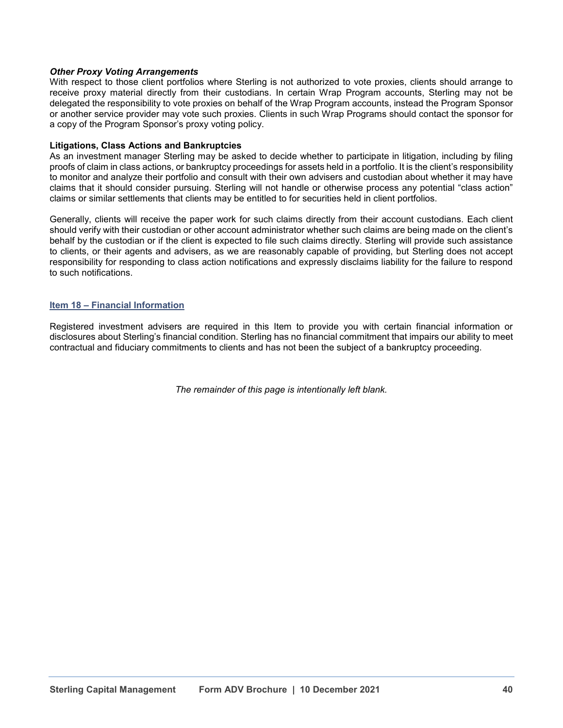# *Other Proxy Voting Arrangements*

With respect to those client portfolios where Sterling is not authorized to vote proxies, clients should arrange to receive proxy material directly from their custodians. In certain Wrap Program accounts, Sterling may not be delegated the responsibility to vote proxies on behalf of the Wrap Program accounts, instead the Program Sponsor or another service provider may vote such proxies. Clients in such Wrap Programs should contact the sponsor for a copy of the Program Sponsor's proxy voting policy.

#### **Litigations, Class Actions and Bankruptcies**

As an investment manager Sterling may be asked to decide whether to participate in litigation, including by filing proofs of claim in class actions, or bankruptcy proceedings for assets held in a portfolio. It is the client's responsibility to monitor and analyze their portfolio and consult with their own advisers and custodian about whether it may have claims that it should consider pursuing. Sterling will not handle or otherwise process any potential "class action" claims or similar settlements that clients may be entitled to for securities held in client portfolios.

Generally, clients will receive the paper work for such claims directly from their account custodians. Each client should verify with their custodian or other account administrator whether such claims are being made on the client's behalf by the custodian or if the client is expected to file such claims directly. Sterling will provide such assistance to clients, or their agents and advisers, as we are reasonably capable of providing, but Sterling does not accept responsibility for responding to class action notifications and expressly disclaims liability for the failure to respond to such notifications.

#### **Item 18 – Financial Information**

Registered investment advisers are required in this Item to provide you with certain financial information or disclosures about Sterling's financial condition. Sterling has no financial commitment that impairs our ability to meet contractual and fiduciary commitments to clients and has not been the subject of a bankruptcy proceeding.

*The remainder of this page is intentionally left blank.*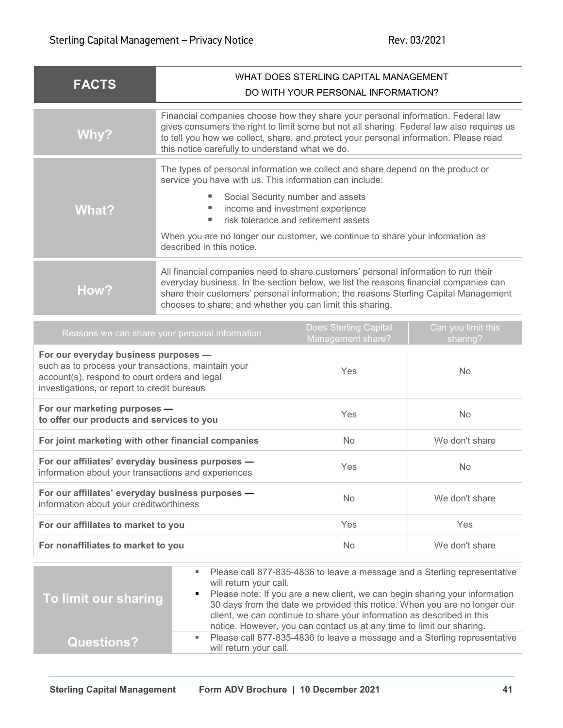| <b>FACTS</b> | WHAT DOES STERLING CAPITAL MANAGEMENT<br>DO WITH YOUR PERSONAL INFORMATION?                                                                                                                                                                                                                                                                                                    |  |
|--------------|--------------------------------------------------------------------------------------------------------------------------------------------------------------------------------------------------------------------------------------------------------------------------------------------------------------------------------------------------------------------------------|--|
| Why?         | Financial companies choose how they share your personal information. Federal law<br>gives consumers the right to limit some but not all sharing. Federal law also requires us<br>to tell you how we collect, share, and protect your personal information. Please read<br>this notice carefully to understand what we do.                                                      |  |
| What?        | The types of personal information we collect and share depend on the product or<br>service you have with us. This information can include:<br>Social Security number and assets<br>income and investment experience<br>risk tolerance and retirement assets<br>٠<br>When you are no longer our customer, we continue to share your information as<br>described in this notice. |  |
| How?         | All financial companies need to share customers' personal information to run their<br>everyday business. In the section below, we list the reasons financial companies can<br>share their customers' personal information; the reasons Sterling Capital Management<br>chooses to share; and whether you can limit this sharing.                                                |  |

| Reasons we can share your personal information                                                                                                                                              | <b>Does Sterling Capital</b><br>Management share? | Can you limit this<br>sharing? |
|---------------------------------------------------------------------------------------------------------------------------------------------------------------------------------------------|---------------------------------------------------|--------------------------------|
| For our everyday business purposes -<br>such as to process your transactions, maintain your<br>account(s), respond to court orders and legal<br>investigations, or report to credit bureaus | <b>Yes</b>                                        | No.                            |
| For our marketing purposes -<br>to offer our products and services to you                                                                                                                   | Yes                                               | No.                            |
| For joint marketing with other financial companies                                                                                                                                          | No.                                               | We don't share                 |
| For our affiliates' everyday business purposes -<br>information about your transactions and experiences                                                                                     | Yes                                               | No.                            |
| For our affiliates' everyday business purposes -<br>information about your creditworthiness                                                                                                 | No.                                               | We don't share                 |
| For our affiliates to market to you                                                                                                                                                         | Yes                                               | Yes                            |
| For nonaffiliates to market to you                                                                                                                                                          | No                                                | We don't share                 |

| To limit our sharing |                | ■ Please call 877-835-4836 to leave a message and a Sterling representative<br>will return your call.                                                    |
|----------------------|----------------|----------------------------------------------------------------------------------------------------------------------------------------------------------|
|                      | $\blacksquare$ | Please note: If you are a new client, we can begin sharing your information<br>30 days from the date we provided this notice. When you are no longer our |
|                      |                | client, we can continue to share your information as described in this                                                                                   |
|                      |                | notice. However, you can contact us at any time to limit our sharing.                                                                                    |
| Questions?           | ш              | Please call 877-835-4836 to leave a message and a Sterling representative<br>will return your call.                                                      |
|                      |                |                                                                                                                                                          |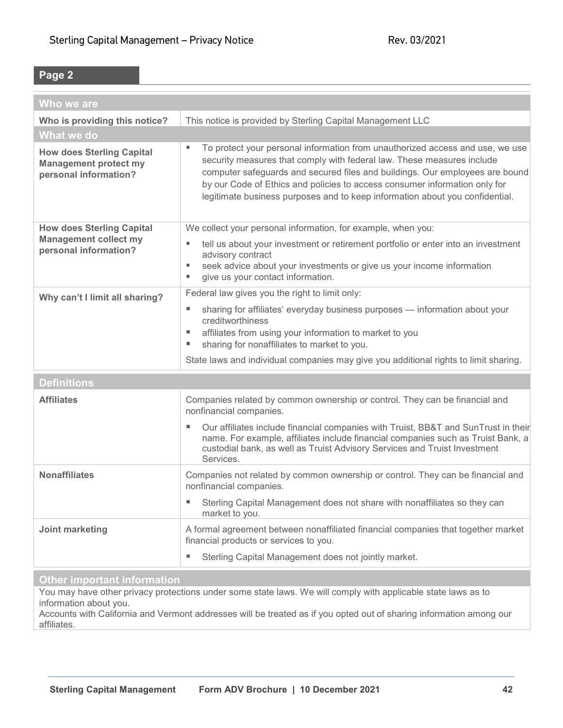# **Page 2**

| Who we are                                                                                |                                                                                                                                                                                                                                                                                                                                                                                                            |  |
|-------------------------------------------------------------------------------------------|------------------------------------------------------------------------------------------------------------------------------------------------------------------------------------------------------------------------------------------------------------------------------------------------------------------------------------------------------------------------------------------------------------|--|
| Who is providing this notice?                                                             | This notice is provided by Sterling Capital Management LLC                                                                                                                                                                                                                                                                                                                                                 |  |
| What we do                                                                                |                                                                                                                                                                                                                                                                                                                                                                                                            |  |
| <b>How does Sterling Capital</b><br><b>Management protect my</b><br>personal information? | To protect your personal information from unauthorized access and use, we use<br>ш<br>security measures that comply with federal law. These measures include<br>computer safeguards and secured files and buildings. Our employees are bound<br>by our Code of Ethics and policies to access consumer information only for<br>legitimate business purposes and to keep information about you confidential. |  |
| <b>How does Sterling Capital</b>                                                          | We collect your personal information, for example, when you:                                                                                                                                                                                                                                                                                                                                               |  |
| <b>Management collect my</b><br>personal information?                                     | tell us about your investment or retirement portfolio or enter into an investment<br>ш<br>advisory contract<br>seek advice about your investments or give us your income information<br>ш<br>give us your contact information.<br>ш                                                                                                                                                                        |  |
| Why can't I limit all sharing?                                                            | Federal law gives you the right to limit only:                                                                                                                                                                                                                                                                                                                                                             |  |
|                                                                                           | sharing for affiliates' everyday business purposes - information about your<br>ш<br>creditworthiness<br>affiliates from using your information to market to you<br>ш<br>sharing for nonaffiliates to market to you.<br>ш                                                                                                                                                                                   |  |
|                                                                                           | State laws and individual companies may give you additional rights to limit sharing.                                                                                                                                                                                                                                                                                                                       |  |
| <b>Definitions</b>                                                                        |                                                                                                                                                                                                                                                                                                                                                                                                            |  |
| <b>Affiliates</b>                                                                         | Companies related by common ownership or control. They can be financial and<br>nonfinancial companies.                                                                                                                                                                                                                                                                                                     |  |
|                                                                                           | Our affiliates include financial companies with Truist, BB&T and SunTrust in their<br>name. For example, affiliates include financial companies such as Truist Bank, a<br>custodial bank, as well as Truist Advisory Services and Truist Investment<br>Services.                                                                                                                                           |  |
| <b>Nonaffiliates</b>                                                                      | Companies not related by common ownership or control. They can be financial and<br>nonfinancial companies.                                                                                                                                                                                                                                                                                                 |  |
|                                                                                           | Sterling Capital Management does not share with nonaffiliates so they can<br>market to you.                                                                                                                                                                                                                                                                                                                |  |
| Joint marketing                                                                           | A formal agreement between nonaffiliated financial companies that together market<br>financial products or services to you.                                                                                                                                                                                                                                                                                |  |
|                                                                                           | Sterling Capital Management does not jointly market.                                                                                                                                                                                                                                                                                                                                                       |  |
| <b>Other important information</b>                                                        |                                                                                                                                                                                                                                                                                                                                                                                                            |  |

You may have other privacy protections under some state laws. We will comply with applicable state laws as to information about you.

Accounts with California and Vermont addresses will be treated as if you opted out of sharing information among our affiliates.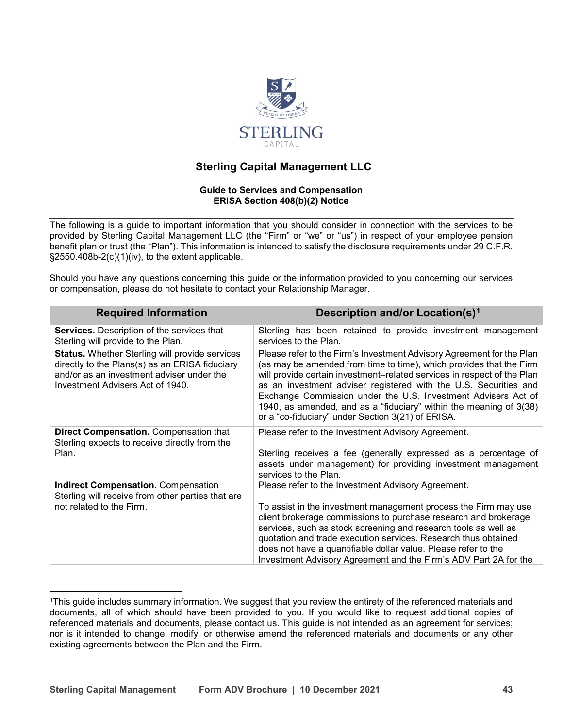

# **Sterling Capital Management LLC**

#### **Guide to Services and Compensation ERISA Section 408(b)(2) Notice**

The following is a guide to important information that you should consider in connection with the services to be provided by Sterling Capital Management LLC (the "Firm" or "we" or "us") in respect of your employee pension benefit plan or trust (the "Plan"). This information is intended to satisfy the disclosure requirements under 29 C.F.R. §2550.408b-2(c)(1)(iv), to the extent applicable.

Should you have any questions concerning this guide or the information provided to you concerning our services or compensation, please do not hesitate to contact your Relationship Manager.

| <b>Required Information</b>                                                                                                                                                              | <b>Description and/or Location(s)<sup>1</sup></b>                                                                                                                                                                                                                                                                                                                                                                                                                                       |
|------------------------------------------------------------------------------------------------------------------------------------------------------------------------------------------|-----------------------------------------------------------------------------------------------------------------------------------------------------------------------------------------------------------------------------------------------------------------------------------------------------------------------------------------------------------------------------------------------------------------------------------------------------------------------------------------|
| <b>Services.</b> Description of the services that<br>Sterling will provide to the Plan.                                                                                                  | Sterling has been retained to provide investment management<br>services to the Plan.                                                                                                                                                                                                                                                                                                                                                                                                    |
| <b>Status.</b> Whether Sterling will provide services<br>directly to the Plans(s) as an ERISA fiduciary<br>and/or as an investment adviser under the<br>Investment Advisers Act of 1940. | Please refer to the Firm's Investment Advisory Agreement for the Plan<br>(as may be amended from time to time), which provides that the Firm<br>will provide certain investment-related services in respect of the Plan<br>as an investment adviser registered with the U.S. Securities and<br>Exchange Commission under the U.S. Investment Advisers Act of<br>1940, as amended, and as a "fiduciary" within the meaning of 3(38)<br>or a "co-fiduciary" under Section 3(21) of ERISA. |
| Direct Compensation. Compensation that<br>Sterling expects to receive directly from the                                                                                                  | Please refer to the Investment Advisory Agreement.                                                                                                                                                                                                                                                                                                                                                                                                                                      |
| Plan.                                                                                                                                                                                    | Sterling receives a fee (generally expressed as a percentage of<br>assets under management) for providing investment management<br>services to the Plan.                                                                                                                                                                                                                                                                                                                                |
| <b>Indirect Compensation.</b> Compensation<br>Sterling will receive from other parties that are                                                                                          | Please refer to the Investment Advisory Agreement.                                                                                                                                                                                                                                                                                                                                                                                                                                      |
| not related to the Firm.                                                                                                                                                                 | To assist in the investment management process the Firm may use<br>client brokerage commissions to purchase research and brokerage<br>services, such as stock screening and research tools as well as<br>quotation and trade execution services. Research thus obtained<br>does not have a quantifiable dollar value. Please refer to the<br>Investment Advisory Agreement and the Firm's ADV Part 2A for the                                                                           |

<sup>&</sup>lt;sup>1</sup>This guide includes summary information. We suggest that you review the entirety of the referenced materials and documents, all of which should have been provided to you. If you would like to request additional copies of referenced materials and documents, please contact us. This guide is not intended as an agreement for services; nor is it intended to change, modify, or otherwise amend the referenced materials and documents or any other existing agreements between the Plan and the Firm.

 $\overline{a}$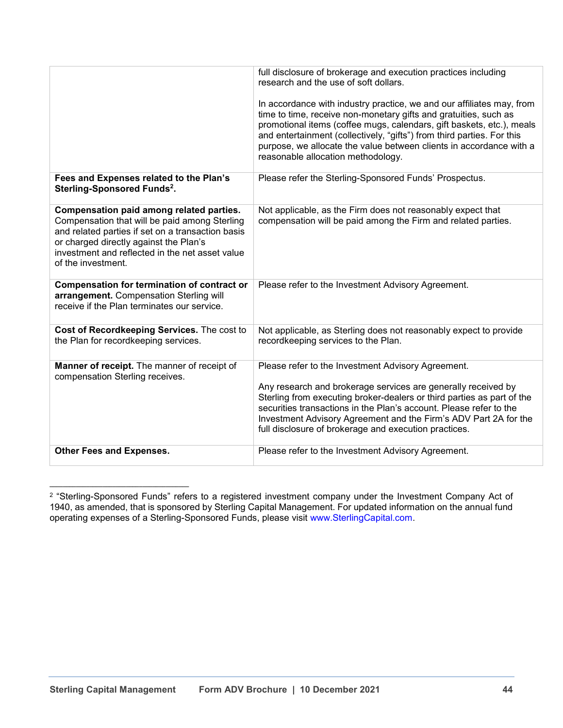|                                                                                                                                                                                                                                                                   | full disclosure of brokerage and execution practices including<br>research and the use of soft dollars.                                                                                                                                                                                                                                                                                                   |
|-------------------------------------------------------------------------------------------------------------------------------------------------------------------------------------------------------------------------------------------------------------------|-----------------------------------------------------------------------------------------------------------------------------------------------------------------------------------------------------------------------------------------------------------------------------------------------------------------------------------------------------------------------------------------------------------|
|                                                                                                                                                                                                                                                                   | In accordance with industry practice, we and our affiliates may, from<br>time to time, receive non-monetary gifts and gratuities, such as<br>promotional items (coffee mugs, calendars, gift baskets, etc.), meals<br>and entertainment (collectively, "gifts") from third parties. For this<br>purpose, we allocate the value between clients in accordance with a<br>reasonable allocation methodology. |
| Fees and Expenses related to the Plan's<br>Sterling-Sponsored Funds <sup>2</sup> .                                                                                                                                                                                | Please refer the Sterling-Sponsored Funds' Prospectus.                                                                                                                                                                                                                                                                                                                                                    |
| Compensation paid among related parties.<br>Compensation that will be paid among Sterling<br>and related parties if set on a transaction basis<br>or charged directly against the Plan's<br>investment and reflected in the net asset value<br>of the investment. | Not applicable, as the Firm does not reasonably expect that<br>compensation will be paid among the Firm and related parties.                                                                                                                                                                                                                                                                              |
| <b>Compensation for termination of contract or</b><br>arrangement. Compensation Sterling will<br>receive if the Plan terminates our service.                                                                                                                      | Please refer to the Investment Advisory Agreement.                                                                                                                                                                                                                                                                                                                                                        |
| Cost of Recordkeeping Services. The cost to<br>the Plan for recordkeeping services.                                                                                                                                                                               | Not applicable, as Sterling does not reasonably expect to provide<br>recordkeeping services to the Plan.                                                                                                                                                                                                                                                                                                  |
| Manner of receipt. The manner of receipt of<br>compensation Sterling receives.                                                                                                                                                                                    | Please refer to the Investment Advisory Agreement.<br>Any research and brokerage services are generally received by<br>Sterling from executing broker-dealers or third parties as part of the<br>securities transactions in the Plan's account. Please refer to the<br>Investment Advisory Agreement and the Firm's ADV Part 2A for the<br>full disclosure of brokerage and execution practices.          |
| Other Fees and Expenses.                                                                                                                                                                                                                                          | Please refer to the Investment Advisory Agreement.                                                                                                                                                                                                                                                                                                                                                        |

<span id="page-43-0"></span> $^2$  "Sterling-Sponsored Funds" refers to a registered investment company under the Investment Company Act of 1940, as amended, that is sponsored by Sterling Capital Management. For updated information on the annual fund operating expenses of a Sterling-Sponsored Funds, please visit www.SterlingCapital.com.

**\_\_\_\_\_\_\_\_\_\_\_\_\_\_\_\_\_\_\_\_\_\_\_\_\_\_\_\_\_\_\_\_\_\_\_\_\_\_\_\_\_\_**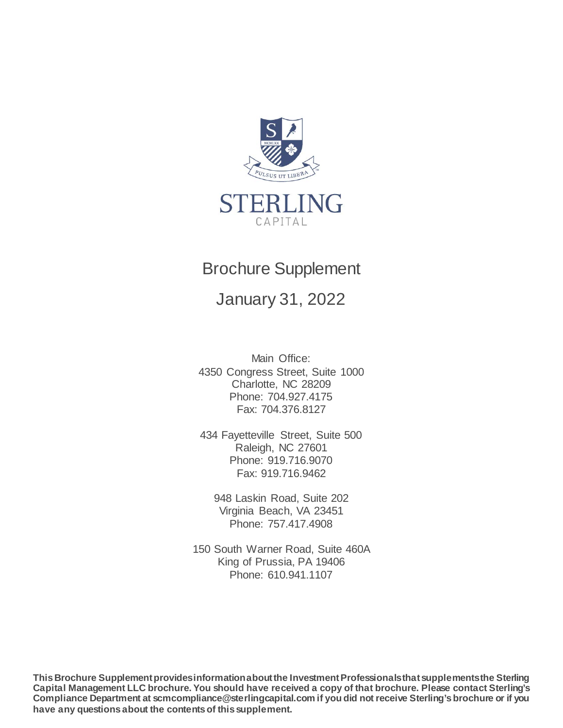

# Brochure Supplement

January 31, 2022

Main Office: 4350 Congress Street, Suite 1000 Charlotte, NC 28209 Phone: 704.927.4175 Fax: 704.376.8127

434 Fayetteville Street, Suite 500 Raleigh, NC 27601 Phone: 919.716.9070 Fax: 919.716.9462

948 Laskin Road, Suite 202 Virginia Beach, VA 23451 Phone: 757.417.4908

150 South Warner Road, Suite 460A King of Prussia, PA 19406 Phone: 610.941.1107

**This Brochure Supplement provides information about the Investment Professionals that supplements the Sterling Capital Management LLC brochure. You should have received a copy of that brochure. Please contact Sterling's Compliance Department at scmcompliance@sterlingcapital.com if you did not receive Sterling's brochure or if you have any questions about the contents of this supplement.**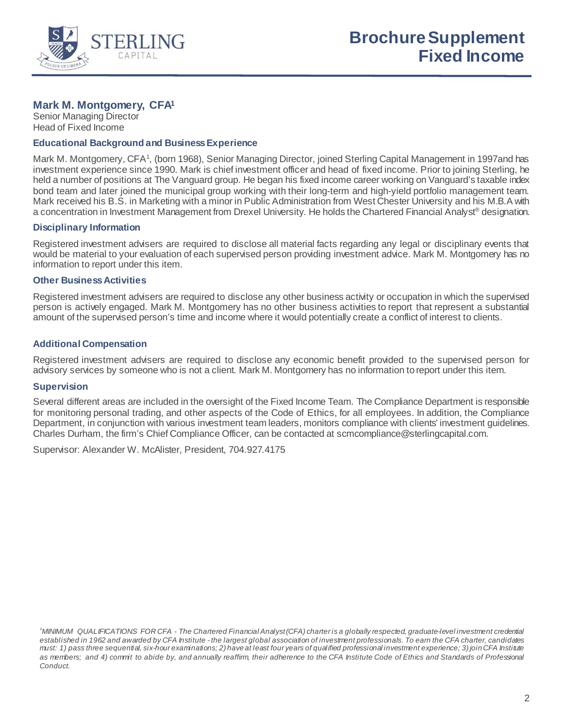

# **Mark M. Montgomery, CFA1**

Senior Managing Director Head of Fixed Income

# **Educational Background and Business Experience**

Mark M. Montgomery, CFA<sup>1</sup>, (born 1968), Senior Managing Director, joined Sterling Capital Management in 1997and has investment experience since 1990. Mark is chief investment officer and head of fixed income. Prior to joining Sterling, he held a number of positions at The Vanguard group. He began his fixed income career working on Vanguard's taxable index bond team and later joined the municipal group working with their long-term and high-yield portfolio management team. Mark received his B.S. in Marketing with a minor in Public Administration from West Chester University and his M.B.A with a concentration in Investment Management from Drexel University. He holds the Chartered Financial Analyst® designation.

# **Disciplinary Information**

Registered investment advisers are required to disclose all material facts regarding any legal or disciplinary events that would be material to your evaluation of each supervised person providing investment advice. Mark M. Montgomery has no information to report under this item.

# **Other Business Activities**

Registered investment advisers are required to disclose any other business activity or occupation in which the supervised person is actively engaged. Mark M. Montgomery has no other business activities to report that represent a substantial amount of the supervised person's time and income where it would potentially create a conflict of interest to clients.

# **Additional Compensation**

Registered investment advisers are required to disclose any economic benefit provided to the supervised person for advisory services by someone who is not a client. Mark M. Montgomery has no information to report under this item.

# **Supervision**

Several different areas are included in the oversight of the Fixed Income Team*.* The Compliance Department is responsible for monitoring personal trading, and other aspects of the Code of Ethics, for all employees. In addition, the Compliance Department, in conjunction with various investment team leaders, monitors compliance with clients' investment guidelines. Charles Durham, the firm's Chief Compliance Officer, can be contacted at scmcompliance@sterlingcapital.com.

Supervisor: Alexander W. McAlister, President, 704.927.4175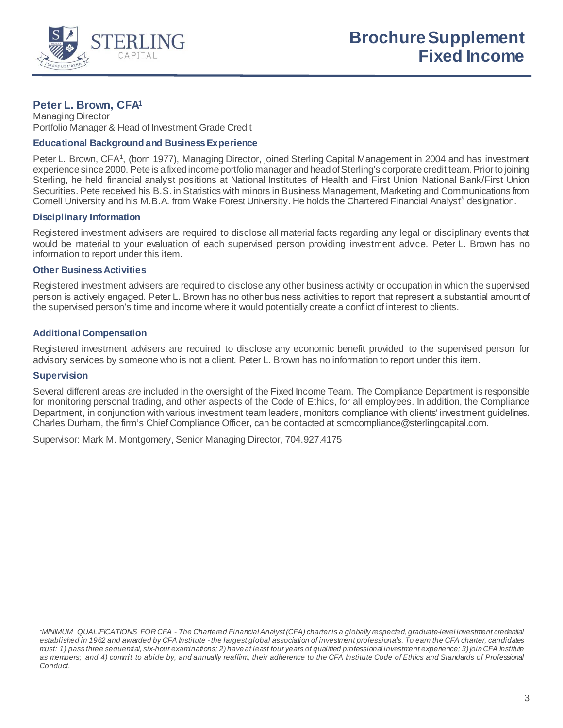

# **Peter L. Brown, CFA1**

Managing Director Portfolio Manager & Head of Investment Grade Credit

# **Educational Background and Business Experience**

Peter L. Brown, CFA<sup>1</sup>, (born 1977), Managing Director, joined Sterling Capital Management in 2004 and has investment experience since 2000. Pete is a fixed income portfolio manager and head of Sterling's corporate credit team. Prior to joining Sterling, he held financial analyst positions at National Institutes of Health and First Union National Bank/First Union Securities. Pete received his B.S. in Statistics with minors in Business Management, Marketing and Communications from Cornell University and his M.B.A. from Wake Forest University. He holds the Chartered Financial Analyst<sup>®</sup> designation.

# **Disciplinary Information**

Registered investment advisers are required to disclose all material facts regarding any legal or disciplinary events that would be material to your evaluation of each supervised person providing investment advice. Peter L. Brown has no information to report under this item.

# **Other Business Activities**

Registered investment advisers are required to disclose any other business activity or occupation in which the supervised person is actively engaged. Peter L. Brown has no other business activities to report that represent a substantial amount of the supervised person's time and income where it would potentially create a conflict of interest to clients.

# **Additional Compensation**

Registered investment advisers are required to disclose any economic benefit provided to the supervised person for advisory services by someone who is not a client. Peter L. Brown has no information to report under this item.

#### **Supervision**

Several different areas are included in the oversight of the Fixed Income Team*.* The Compliance Department is responsible for monitoring personal trading, and other aspects of the Code of Ethics, for all employees. In addition, the Compliance Department, in conjunction with various investment team leaders, monitors compliance with clients' investment guidelines. Charles Durham, the firm's Chief Compliance Officer, can be contacted at scmcompliance@sterlingcapital.com.

*<sup>1</sup> MINIMUM QUALIFICATIONS FOR CFA - The Chartered Financial Analyst (CFA) charter is a globally respected, graduate-level investment credential established in 1962 and awarded by CFA Institute - the largest global association of investment professionals. To earn the CFA charter, candidates must: 1) pass three sequential, six-hour examinations; 2) have at least four years of qualified professional investment experience; 3) join CFA Institute as members; and 4) commit to abide by, and annually reaffirm, their adherence to the CFA Institute Code of Ethics and Standards of Professional Conduct.*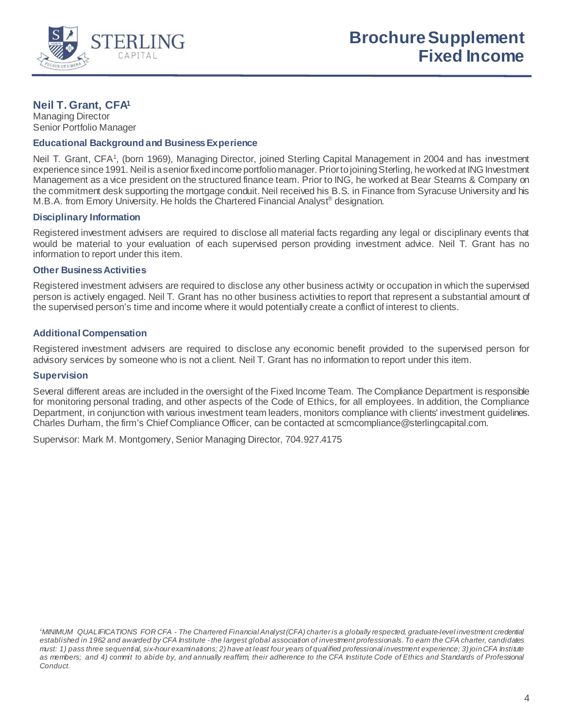

# **Neil T. Grant, CFA1**

Managing Director Senior Portfolio Manager

# **Educational Background and Business Experience**

Neil T. Grant, CFA<sup>1</sup>, (born 1969), Managing Director, joined Sterling Capital Management in 2004 and has investment experience since 1991. Neil is a senior fixed income portfolio manager. Prior to joining Sterling, he worked at ING Investment Management as a vice president on the structured finance team. Prior to ING, he worked at Bear Stearns & Company on the commitment desk supporting the mortgage conduit. Neil received his B.S. in Finance from Syracuse University and his M.B.A. from Emory University. He holds the Chartered Financial Analyst® designation.

# **Disciplinary Information**

Registered investment advisers are required to disclose all material facts regarding any legal or disciplinary events that would be material to your evaluation of each supervised person providing investment advice. Neil T. Grant has no information to report under this item.

# **Other Business Activities**

Registered investment advisers are required to disclose any other business activity or occupation in which the supervised person is actively engaged. Neil T. Grant has no other business activities to report that represent a substantial amount of the supervised person's time and income where it would potentially create a conflict of interest to clients.

# **Additional Compensation**

Registered investment advisers are required to disclose any economic benefit provided to the supervised person for advisory services by someone who is not a client. Neil T. Grant has no information to report under this item.

#### **Supervision**

Several different areas are included in the oversight of the Fixed Income Team*.* The Compliance Department is responsible for monitoring personal trading, and other aspects of the Code of Ethics, for all employees. In addition, the Compliance Department, in conjunction with various investment team leaders, monitors compliance with clients' investment guidelines. Charles Durham, the firm's Chief Compliance Officer, can be contacted at scmcompliance@sterlingcapital.com.

*<sup>1</sup> MINIMUM QUALIFICATIONS FOR CFA - The Chartered Financial Analyst (CFA) charter is a globally respected, graduate-level investment credential established in 1962 and awarded by CFA Institute - the largest global association of investment professionals. To earn the CFA charter, candidates must: 1) pass three sequential, six-hour examinations; 2) have at least four years of qualified professional investment experience; 3) join CFA Institute as members; and 4) commit to abide by, and annually reaffirm, their adherence to the CFA Institute Code of Ethics and Standards of Professional Conduct.*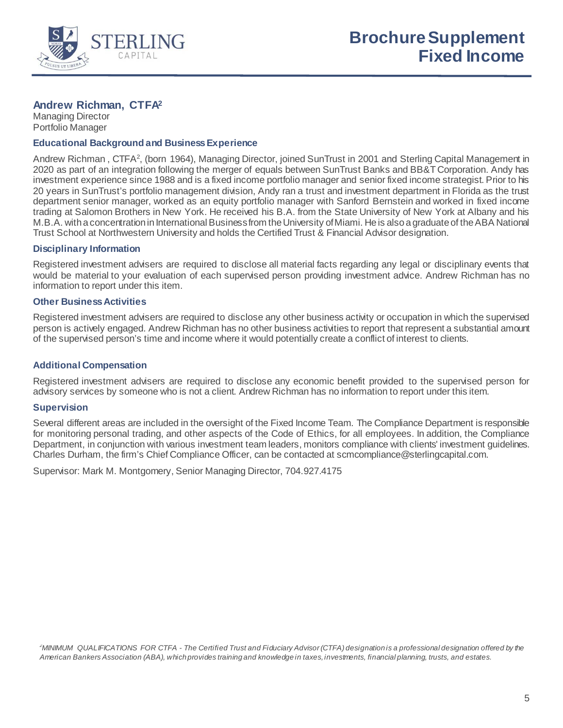

# **Andrew Richman, CTFA2**

Managing Director Portfolio Manager

# **Educational Background and Business Experience**

Andrew Richman, CTFA<sup>2</sup>, (born 1964), Managing Director, joined SunTrust in 2001 and Sterling Capital Management in 2020 as part of an integration following the merger of equals between SunTrust Banks and BB&T Corporation. Andy has investment experience since 1988 and is a fixed income portfolio manager and senior fixed income strategist. Prior to his 20 years in SunTrust's portfolio management division, Andy ran a trust and investment department in Florida as the trust department senior manager, worked as an equity portfolio manager with Sanford Bernstein and worked in fixed income trading at Salomon Brothers in New York. He received his B.A. from the State University of New York at Albany and his M.B.A. with a concentration in International Business from the University of Miami. He is also a graduate of the ABA National Trust School at Northwestern University and holds the Certified Trust & Financial Advisor designation.

# **Disciplinary Information**

Registered investment advisers are required to disclose all material facts regarding any legal or disciplinary events that would be material to your evaluation of each supervised person providing investment advice. Andrew Richman has no information to report under this item.

# **Other Business Activities**

Registered investment advisers are required to disclose any other business activity or occupation in which the supervised person is actively engaged. Andrew Richman has no other business activities to report that represent a substantial amount of the supervised person's time and income where it would potentially create a conflict of interest to clients.

# **Additional Compensation**

Registered investment advisers are required to disclose any economic benefit provided to the supervised person for advisory services by someone who is not a client. Andrew Richman has no information to report under this item.

# **Supervision**

Several different areas are included in the oversight of the Fixed Income Team*.* The Compliance Department is responsible for monitoring personal trading, and other aspects of the Code of Ethics, for all employees. In addition, the Compliance Department, in conjunction with various investment team leaders, monitors compliance with clients' investment guidelines. Charles Durham, the firm's Chief Compliance Officer, can be contacted at scmcompliance@sterlingcapital.com.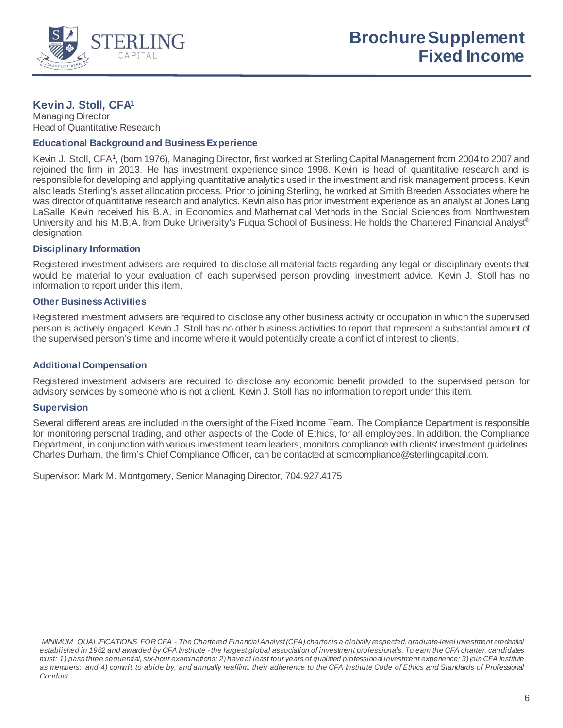

# **Kevin J. Stoll, CFA1**

Managing Director Head of Quantitative Research

# **Educational Background and Business Experience**

Kevin J. Stoll, CFA<sup>1</sup>, (born 1976), Managing Director, first worked at Sterling Capital Management from 2004 to 2007 and rejoined the firm in 2013. He has investment experience since 1998. Kevin is head of quantitative research and is responsible for developing and applying quantitative analytics used in the investment and risk management process. Kevin also leads Sterling's asset allocation process. Prior to joining Sterling, he worked at Smith Breeden Associates where he was director of quantitative research and analytics. Kevin also has prior investment experience as an analyst at Jones Lang LaSalle. Kevin received his B.A. in Economics and Mathematical Methods in the Social Sciences from Northwestern University and his M.B.A. from Duke University's Fuqua School of Business. He holds the Chartered Financial Analyst® designation.

# **Disciplinary Information**

Registered investment advisers are required to disclose all material facts regarding any legal or disciplinary events that would be material to your evaluation of each supervised person providing investment advice. Kevin J. Stoll has no information to report under this item.

# **Other Business Activities**

Registered investment advisers are required to disclose any other business activity or occupation in which the supervised person is actively engaged. Kevin J. Stoll has no other business activities to report that represent a substantial amount of the supervised person's time and income where it would potentially create a conflict of interest to clients.

# **Additional Compensation**

Registered investment advisers are required to disclose any economic benefit provided to the supervised person for advisory services by someone who is not a client. Kevin J. Stoll has no information to report under this item.

#### **Supervision**

Several different areas are included in the oversight of the Fixed Income Team. The Compliance Department is responsible for monitoring personal trading, and other aspects of the Code of Ethics, for all employees. In addition, the Compliance Department, in conjunction with various investment team leaders, monitors compliance with clients' investment guidelines. Charles Durham, the firm's Chief Compliance Officer, can be contacted at scmcompliance@sterlingcapital.com.

Supervisor: Mark M. Montgomery, Senior Managing Director, 704.927.4175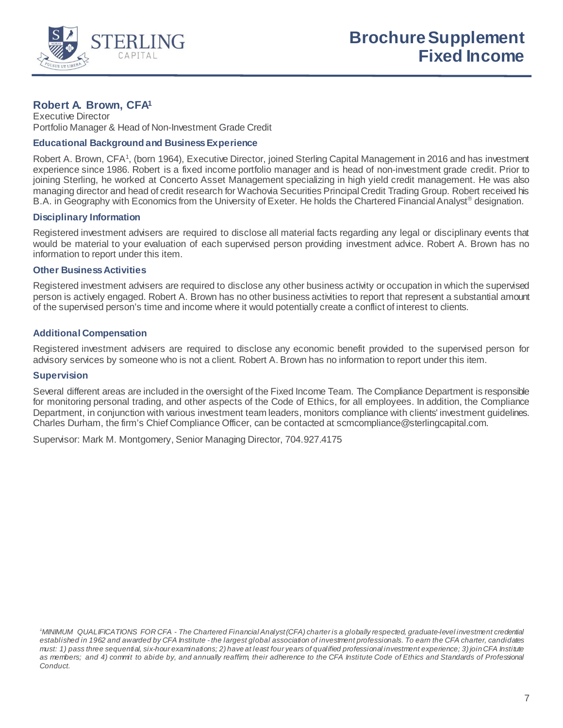

# **Robert A. Brown, CFA1**

Executive Director Portfolio Manager & Head of Non-Investment Grade Credit

# **Educational Background and Business Experience**

Robert A. Brown, CFA<sup>1</sup>, (born 1964), Executive Director, joined Sterling Capital Management in 2016 and has investment experience since 1986. Robert is a fixed income portfolio manager and is head of non-investment grade credit. Prior to joining Sterling, he worked at Concerto Asset Management specializing in high yield credit management. He was also managing director and head of credit research for Wachovia Securities Principal Credit Trading Group. Robert received his B.A. in Geography with Economics from the University of Exeter. He holds the Chartered Financial Analyst<sup>®</sup> designation.

# **Disciplinary Information**

Registered investment advisers are required to disclose all material facts regarding any legal or disciplinary events that would be material to your evaluation of each supervised person providing investment advice. Robert A. Brown has no information to report under this item.

#### **Other Business Activities**

Registered investment advisers are required to disclose any other business activity or occupation in which the supervised person is actively engaged. Robert A. Brown has no other business activities to report that represent a substantial amount of the supervised person's time and income where it would potentially create a conflict of interest to clients.

# **Additional Compensation**

Registered investment advisers are required to disclose any economic benefit provided to the supervised person for advisory services by someone who is not a client. Robert A. Brown has no information to report under this item.

#### **Supervision**

Several different areas are included in the oversight of the Fixed Income Team*.* The Compliance Department is responsible for monitoring personal trading, and other aspects of the Code of Ethics, for all employees. In addition, the Compliance Department, in conjunction with various investment team leaders, monitors compliance with clients' investment guidelines. Charles Durham, the firm's Chief Compliance Officer, can be contacted at scmcompliance@sterlingcapital.com.

*<sup>1</sup> MINIMUM QUALIFICATIONS FOR CFA - The Chartered Financial Analyst (CFA) charter is a globally respected, graduate-level investment credential established in 1962 and awarded by CFA Institute - the largest global association of investment professionals. To earn the CFA charter, candidates must: 1) pass three sequential, six-hour examinations; 2) have at least four years of qualified professional investment experience; 3) join CFA Institute as members; and 4) commit to abide by, and annually reaffirm, their adherence to the CFA Institute Code of Ethics and Standards of Professional Conduct.*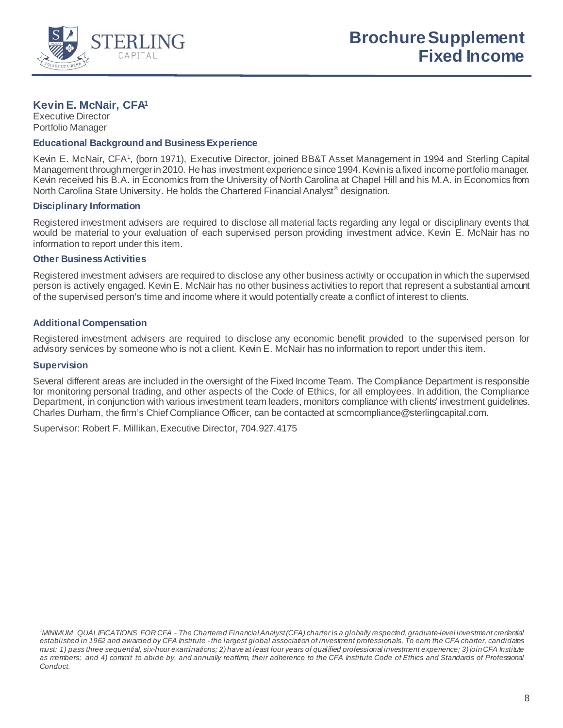

# **Kevin E. McNair, CFA1**

Executive Director Portfolio Manager

# **Educational Background and Business Experience**

Kevin E. McNair, CFA<sup>1</sup>, (born 1971), Executive Director, joined BB&T Asset Management in 1994 and Sterling Capital Management through merger in 2010. He has investment experience since 1994. Kevin is a fixed income portfolio manager. Kevin received his B.A. in Economics from the University of North Carolina at Chapel Hill and his M.A. in Economics from North Carolina State University. He holds the Chartered Financial Analyst<sup>®</sup> designation.

# **Disciplinary Information**

Registered investment advisers are required to disclose all material facts regarding any legal or disciplinary events that would be material to your evaluation of each supervised person providing investment advice. Kevin E. McNair has no information to report under this item.

# **Other Business Activities**

Registered investment advisers are required to disclose any other business activity or occupation in which the supervised person is actively engaged. Kevin E. McNair has no other business activities to report that represent a substantial amount of the supervised person's time and income where it would potentially create a conflict of interest to clients.

# **Additional Compensation**

Registered investment advisers are required to disclose any economic benefit provided to the supervised person for advisory services by someone who is not a client. Kevin E. McNair has no information to report under this item.

#### **Supervision**

Several different areas are included in the oversight of the Fixed Income Team*.* The Compliance Department is responsible for monitoring personal trading, and other aspects of the Code of Ethics, for all employees. In addition, the Compliance Department, in conjunction with various investment team leaders, monitors compliance with clients' investment guidelines. Charles Durham, the firm's Chief Compliance Officer, can be contacted at scmcompliance@sterlingcapital.com.

Supervisor: Robert F. Millikan, Executive Director, 704.927.4175

*<sup>1</sup> MINIMUM QUALIFICATIONS FOR CFA - The Chartered Financial Analyst (CFA) charter is a globally respected, graduate-level investment credential established in 1962 and awarded by CFA Institute - the largest global association of investment professionals. To earn the CFA charter, candidates must: 1) pass three sequential, six-hour examinations; 2) have at least four years of qualified professional investment experience; 3) join CFA Institute as members; and 4) commit to abide by, and annually reaffirm, their adherence to the CFA Institute Code of Ethics and Standards of Professional Conduct.*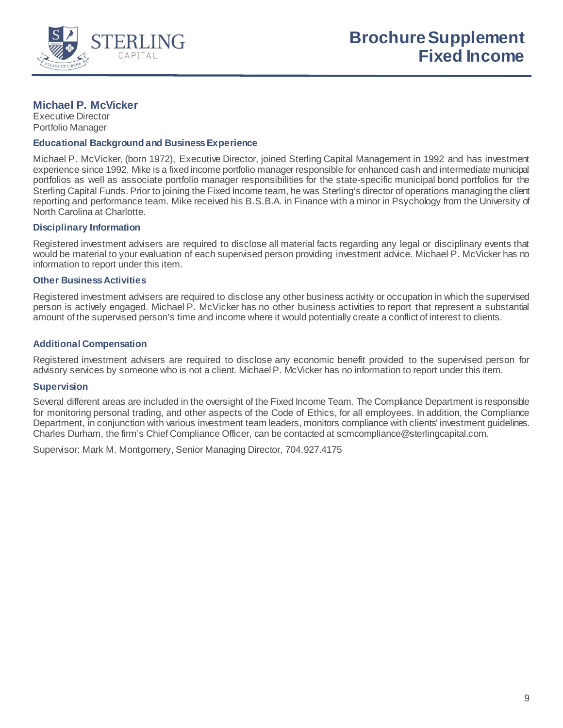

# **Michael P. McVicker**

Executive Director Portfolio Manager

#### **Educational Background and Business Experience**

Michael P. McVicker, (born 1972), Executive Director, joined Sterling Capital Management in 1992 and has investment experience since 1992. Mike is a fixed income portfolio manager responsible for enhanced cash and intermediate municipal portfolios as well as associate portfolio manager responsibilities for the state-specific municipal bond portfolios for the Sterling Capital Funds. Prior to joining the Fixed Income team, he was Sterling's director of operations managing the client reporting and performance team. Mike received his B.S.B.A. in Finance with a minor in Psychology from the University of North Carolina at Charlotte.

# **Disciplinary Information**

Registered investment advisers are required to disclose all material facts regarding any legal or disciplinary events that would be material to your evaluation of each supervised person providing investment advice. Michael P. McVicker has no information to report under this item.

# **Other Business Activities**

Registered investment advisers are required to disclose any other business activity or occupation in which the supervised person is actively engaged. Michael P. McVicker has no other business activities to report that represent a substantial amount of the supervised person's time and income where it would potentially create a conflict of interest to clients.

# **Additional Compensation**

Registered investment advisers are required to disclose any economic benefit provided to the supervised person for advisory services by someone who is not a client. Michael P. McVicker has no information to report under this item.

#### **Supervision**

Several different areas are included in the oversight of the Fixed Income Team*.* The Compliance Department is responsible for monitoring personal trading, and other aspects of the Code of Ethics, for all employees. In addition, the Compliance Department, in conjunction with various investment team leaders, monitors compliance with clients' investment guidelines. Charles Durham, the firm's Chief Compliance Officer, can be contacted at scmcompliance@sterlingcapital.com.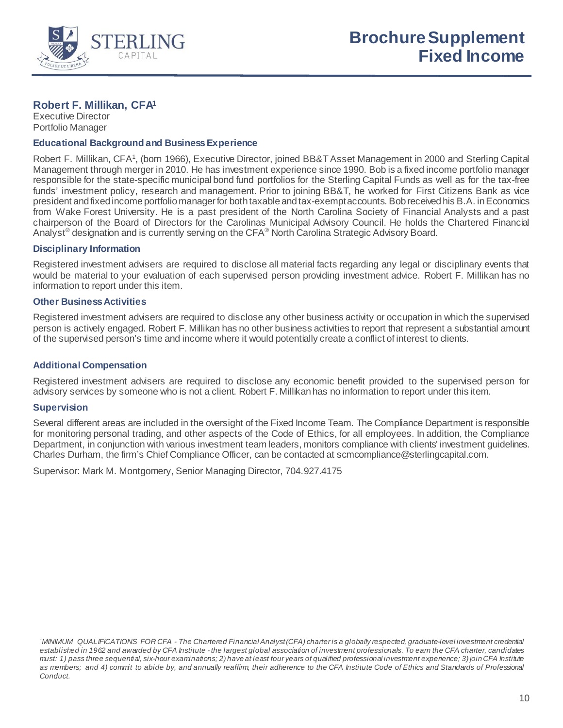

# **Robert F. Millikan, CFA1**

Executive Director Portfolio Manager

# **Educational Background and Business Experience**

Robert F. Millikan, CFA<sup>1</sup>, (born 1966), Executive Director, joined BB&T Asset Management in 2000 and Sterling Capital Management through merger in 2010. He has investment experience since 1990. Bob is a fixed income portfolio manager responsible for the state-specific municipal bond fund portfolios for the Sterling Capital Funds as well as for the tax-free funds' investment policy, research and management. Prior to joining BB&T, he worked for First Citizens Bank as vice president and fixed income portfolio manager for both taxable and tax-exempt accounts. Bob received his B.A. in Economics from Wake Forest University. He is a past president of the North Carolina Society of Financial Analysts and a past chairperson of the Board of Directors for the Carolinas Municipal Advisory Council. He holds the Chartered Financial Analyst<sup>®</sup> designation and is currently serving on the CFA<sup>®</sup> North Carolina Strategic Advisory Board.

# **Disciplinary Information**

Registered investment advisers are required to disclose all material facts regarding any legal or disciplinary events that would be material to your evaluation of each supervised person providing investment advice. Robert F. Millikan has no information to report under this item.

# **Other Business Activities**

Registered investment advisers are required to disclose any other business activity or occupation in which the supervised person is actively engaged. Robert F. Millikan has no other business activities to report that represent a substantial amount of the supervised person's time and income where it would potentially create a conflict of interest to clients.

# **Additional Compensation**

Registered investment advisers are required to disclose any economic benefit provided to the supervised person for advisory services by someone who is not a client. Robert F. Millikan has no information to report under this item.

#### **Supervision**

Several different areas are included in the oversight of the Fixed Income Team*.* The Compliance Department is responsible for monitoring personal trading, and other aspects of the Code of Ethics, for all employees. In addition, the Compliance Department, in conjunction with various investment team leaders, monitors compliance with clients' investment guidelines. Charles Durham, the firm's Chief Compliance Officer, can be contacted at scmcompliance@sterlingcapital.com.

Supervisor: Mark M. Montgomery, Senior Managing Director, 704.927.4175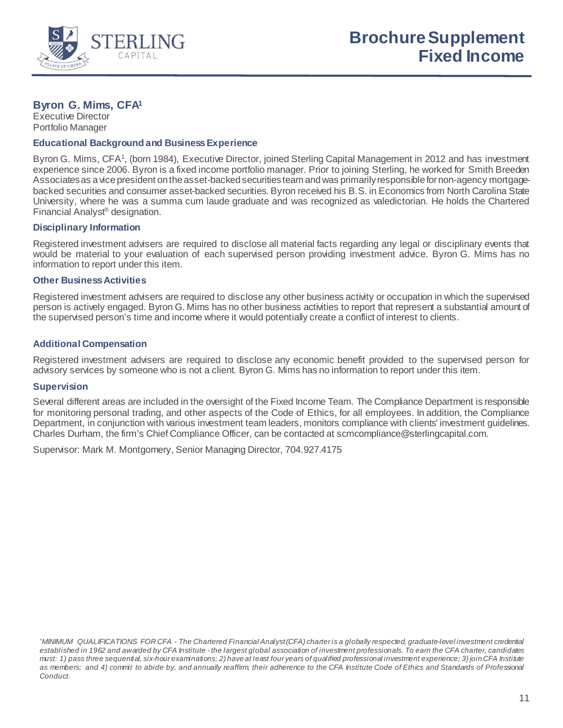

# **Byron G. Mims, CFA1**

Executive Director Portfolio Manager

# **Educational Background and Business Experience**

Byron G. Mims, CFA<sup>1</sup>, (born 1984), Executive Director, joined Sterling Capital Management in 2012 and has investment experience since 2006. Byron is a fixed income portfolio manager. Prior to joining Sterling, he worked for Smith Breeden Associates as a vice president on the asset-backed securities team and was primarily responsible for non-agency mortgagebacked securities and consumer asset-backed securities. Byron received his B.S. in Economics from North Carolina State University, where he was a summa cum laude graduate and was recognized as valedictorian. He holds the Chartered Financial Analyst® designation.

# **Disciplinary Information**

Registered investment advisers are required to disclose all material facts regarding any legal or disciplinary events that would be material to your evaluation of each supervised person providing investment advice. Byron G. Mims has no information to report under this item.

# **Other Business Activities**

Registered investment advisers are required to disclose any other business activity or occupation in which the supervised person is actively engaged. Byron G. Mims has no other business activities to report that represent a substantial amount of the supervised person's time and income where it would potentially create a conflict of interest to clients.

# **Additional Compensation**

Registered investment advisers are required to disclose any economic benefit provided to the supervised person for advisory services by someone who is not a client. Byron G. Mims has no information to report under this item.

#### **Supervision**

Several different areas are included in the oversight of the Fixed Income Team*.* The Compliance Department is responsible for monitoring personal trading, and other aspects of the Code of Ethics, for all employees. In addition, the Compliance Department, in conjunction with various investment team leaders, monitors compliance with clients' investment guidelines. Charles Durham, the firm's Chief Compliance Officer, can be contacted at scmcompliance@sterlingcapital.com.

Supervisor: Mark M. Montgomery, Senior Managing Director, 704.927.4175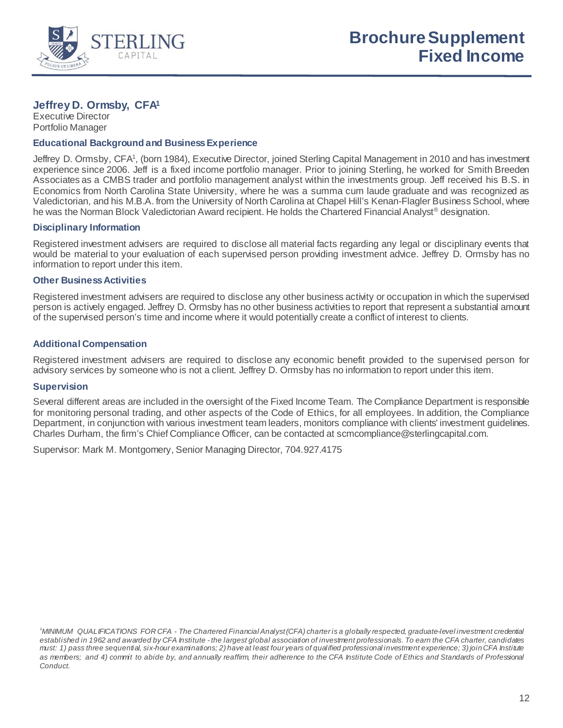

# **Jeffrey D. Ormsby, CFA1**

Executive Director Portfolio Manager

# **Educational Background and Business Experience**

Jeffrey D. Ormsby, CFA<sup>1</sup>, (born 1984), Executive Director, joined Sterling Capital Management in 2010 and has investment experience since 2006. Jeff is a fixed income portfolio manager. Prior to joining Sterling, he worked for Smith Breeden Associates as a CMBS trader and portfolio management analyst within the investments group. Jeff received his B.S. in Economics from North Carolina State University, where he was a summa cum laude graduate and was recognized as Valedictorian, and his M.B.A. from the University of North Carolina at Chapel Hill's Kenan-Flagler Business School, where he was the Norman Block Valedictorian Award recipient. He holds the Chartered Financial Analyst® designation.

# **Disciplinary Information**

Registered investment advisers are required to disclose all material facts regarding any legal or disciplinary events that would be material to your evaluation of each supervised person providing investment advice. Jeffrey D. Ormsby has no information to report under this item.

# **Other Business Activities**

Registered investment advisers are required to disclose any other business activity or occupation in which the supervised person is actively engaged. Jeffrey D. Ormsby has no other business activities to report that represent a substantial amount of the supervised person's time and income where it would potentially create a conflict of interest to clients.

# **Additional Compensation**

Registered investment advisers are required to disclose any economic benefit provided to the supervised person for advisory services by someone who is not a client. Jeffrey D. Ormsby has no information to report under this item.

#### **Supervision**

Several different areas are included in the oversight of the Fixed Income Team*.* The Compliance Department is responsible for monitoring personal trading, and other aspects of the Code of Ethics, for all employees. In addition, the Compliance Department, in conjunction with various investment team leaders, monitors compliance with clients' investment guidelines. Charles Durham, the firm's Chief Compliance Officer, can be contacted at scmcompliance@sterlingcapital.com.

Supervisor: Mark M. Montgomery, Senior Managing Director, 704.927.4175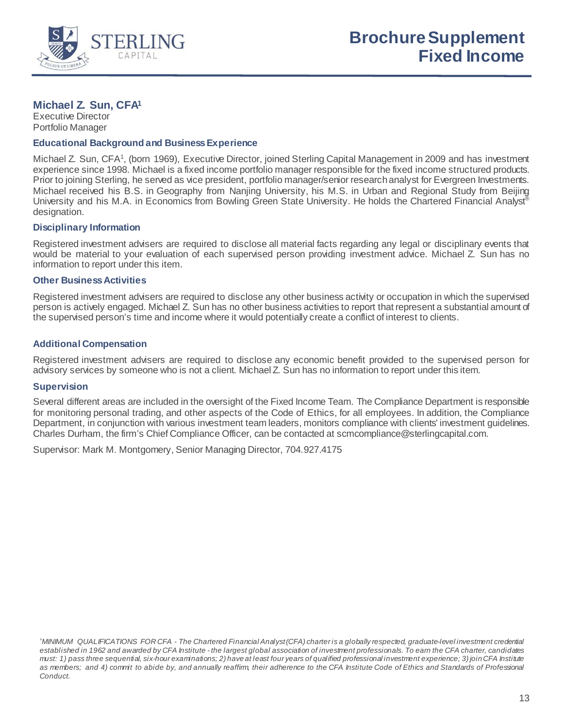

# **Michael Z. Sun, CFA1**

Executive Director Portfolio Manager

# **Educational Background and Business Experience**

Michael Z. Sun, CFA<sup>1</sup>, (born 1969), Executive Director, joined Sterling Capital Management in 2009 and has investment experience since 1998. Michael is a fixed income portfolio manager responsible for the fixed income structured products. Prior to joining Sterling, he served as vice president, portfolio manager/senior research analyst for Evergreen Investments. Michael received his B.S. in Geography from Nanjing University, his M.S. in Urban and Regional Study from Beijing University and his M.A. in Economics from Bowling Green State University. He holds the Chartered Financial Analyst® designation.

# **Disciplinary Information**

Registered investment advisers are required to disclose all material facts regarding any legal or disciplinary events that would be material to your evaluation of each supervised person providing investment advice. Michael Z. Sun has no information to report under this item.

# **Other Business Activities**

Registered investment advisers are required to disclose any other business activity or occupation in which the supervised person is actively engaged. Michael Z. Sun has no other business activities to report that represent a substantial amount of the supervised person's time and income where it would potentially create a conflict of interest to clients.

# **Additional Compensation**

Registered investment advisers are required to disclose any economic benefit provided to the supervised person for advisory services by someone who is not a client. Michael Z. Sun has no information to report under this item.

#### **Supervision**

Several different areas are included in the oversight of the Fixed Income Team*.* The Compliance Department is responsible for monitoring personal trading, and other aspects of the Code of Ethics, for all employees. In addition, the Compliance Department, in conjunction with various investment team leaders, monitors compliance with clients' investment guidelines. Charles Durham, the firm's Chief Compliance Officer, can be contacted at scmcompliance@sterlingcapital.com.

Supervisor: Mark M. Montgomery, Senior Managing Director, 704.927.4175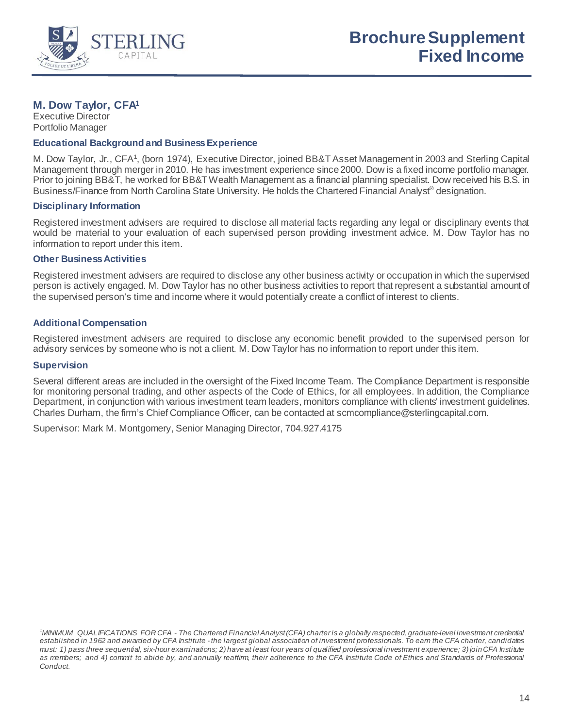

# **M. Dow Taylor, CFA1**

Executive Director Portfolio Manager

# **Educational Background and Business Experience**

M. Dow Taylor, Jr., CFA<sup>1</sup>, (born 1974), Executive Director, joined BB&T Asset Management in 2003 and Sterling Capital Management through merger in 2010. He has investment experience since 2000. Dow is a fixed income portfolio manager. Prior to joining BB&T, he worked for BB&T Wealth Management as a financial planning specialist. Dow received his B.S. in Business/Finance from North Carolina State University. He holds the Chartered Financial Analyst<sup>®</sup> designation.

# **Disciplinary Information**

Registered investment advisers are required to disclose all material facts regarding any legal or disciplinary events that would be material to your evaluation of each supervised person providing investment advice. M. Dow Taylor has no information to report under this item.

# **Other Business Activities**

Registered investment advisers are required to disclose any other business activity or occupation in which the supervised person is actively engaged. M. Dow Taylor has no other business activities to report that represent a substantial amount of the supervised person's time and income where it would potentially create a conflict of interest to clients.

# **Additional Compensation**

Registered investment advisers are required to disclose any economic benefit provided to the supervised person for advisory services by someone who is not a client. M. Dow Taylor has no information to report under this item.

#### **Supervision**

Several different areas are included in the oversight of the Fixed Income Team*.* The Compliance Department is responsible for monitoring personal trading, and other aspects of the Code of Ethics, for all employees. In addition, the Compliance Department, in conjunction with various investment team leaders, monitors compliance with clients' investment guidelines. Charles Durham, the firm's Chief Compliance Officer, can be contacted at scmcompliance@sterlingcapital.com.

*<sup>1</sup> MINIMUM QUALIFICATIONS FOR CFA - The Chartered Financial Analyst (CFA) charter is a globally respected, graduate-level investment credential established in 1962 and awarded by CFA Institute - the largest global association of investment professionals. To earn the CFA charter, candidates must: 1) pass three sequential, six-hour examinations; 2) have at least four years of qualified professional investment experience; 3) join CFA Institute as members; and 4) commit to abide by, and annually reaffirm, their adherence to the CFA Institute Code of Ethics and Standards of Professional Conduct.*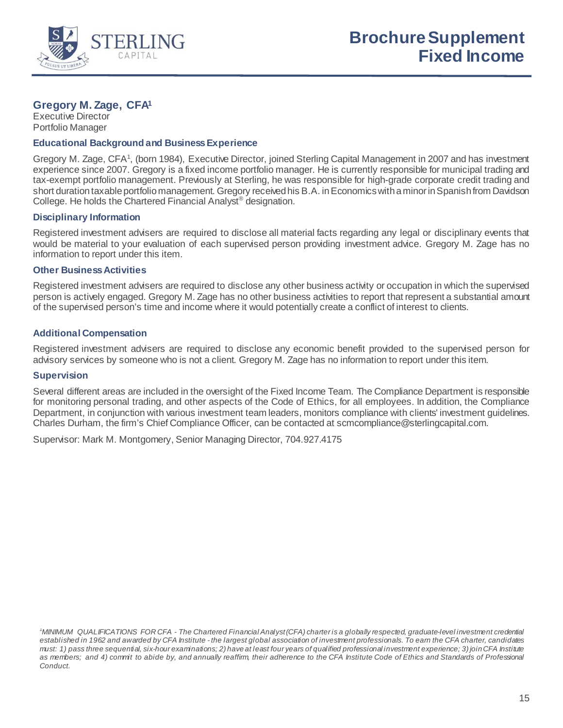

# **Gregory M. Zage, CFA1**

Executive Director Portfolio Manager

# **Educational Background and Business Experience**

Gregory M. Zage, CFA<sup>1</sup>, (born 1984), Executive Director, joined Sterling Capital Management in 2007 and has investment experience since 2007. Gregory is a fixed income portfolio manager. He is currently responsible for municipal trading and tax-exempt portfolio management. Previously at Sterling, he was responsible for high-grade corporate credit trading and short duration taxable portfolio management. Gregory received his B.A. in Economics with a minor in Spanish from Davidson College. He holds the Chartered Financial Analyst® designation.

# **Disciplinary Information**

Registered investment advisers are required to disclose all material facts regarding any legal or disciplinary events that would be material to your evaluation of each supervised person providing investment advice. Gregory M. Zage has no information to report under this item.

#### **Other Business Activities**

Registered investment advisers are required to disclose any other business activity or occupation in which the supervised person is actively engaged. Gregory M. Zage has no other business activities to report that represent a substantial amount of the supervised person's time and income where it would potentially create a conflict of interest to clients.

# **Additional Compensation**

Registered investment advisers are required to disclose any economic benefit provided to the supervised person for advisory services by someone who is not a client. Gregory M. Zage has no information to report under this item.

#### **Supervision**

Several different areas are included in the oversight of the Fixed Income Team*.* The Compliance Department is responsible for monitoring personal trading, and other aspects of the Code of Ethics, for all employees. In addition, the Compliance Department, in conjunction with various investment team leaders, monitors compliance with clients' investment guidelines. Charles Durham, the firm's Chief Compliance Officer, can be contacted at scmcompliance@sterlingcapital.com.

*<sup>1</sup> MINIMUM QUALIFICATIONS FOR CFA - The Chartered Financial Analyst (CFA) charter is a globally respected, graduate-level investment credential established in 1962 and awarded by CFA Institute - the largest global association of investment professionals. To earn the CFA charter, candidates must: 1) pass three sequential, six-hour examinations; 2) have at least four years of qualified professional investment experience; 3) join CFA Institute as members; and 4) commit to abide by, and annually reaffirm, their adherence to the CFA Institute Code of Ethics and Standards of Professional Conduct.*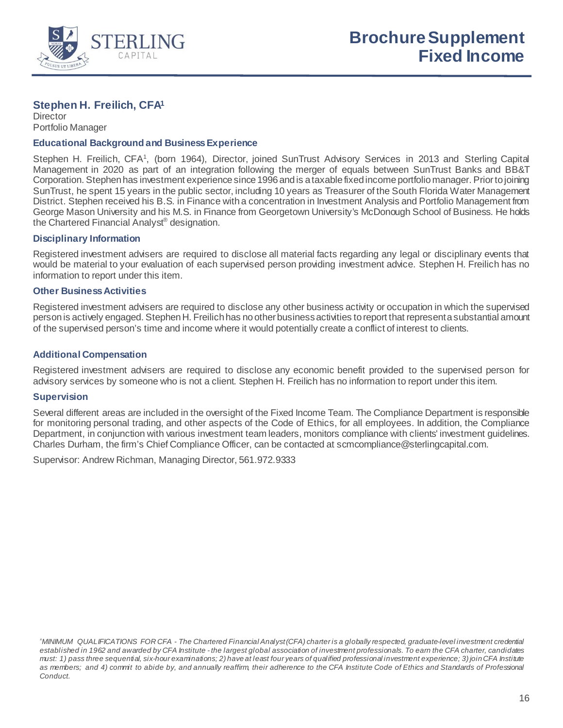

# **Stephen H. Freilich, CFA1**

**Director** Portfolio Manager

# **Educational Background and Business Experience**

Stephen H. Freilich, CFA<sup>1</sup>, (born 1964), Director, joined SunTrust Advisory Services in 2013 and Sterling Capital Management in 2020 as part of an integration following the merger of equals between SunTrust Banks and BB&T Corporation. Stephen has investment experience since 1996 and is a taxable fixed income portfolio manager. Prior to joining SunTrust, he spent 15 years in the public sector, including 10 years as Treasurer of the South Florida Water Management District. Stephen received his B.S. in Finance with a concentration in Investment Analysis and Portfolio Management from George Mason University and his M.S. in Finance from Georgetown University's McDonough School of Business. He holds the Chartered Financial Analyst® designation.

# **Disciplinary Information**

Registered investment advisers are required to disclose all material facts regarding any legal or disciplinary events that would be material to your evaluation of each supervised person providing investment advice. Stephen H. Freilich has no information to report under this item.

# **Other Business Activities**

Registered investment advisers are required to disclose any other business activity or occupation in which the supervised person is actively engaged. Stephen H. Freilich has no other business activities to report that represent a substantial amount of the supervised person's time and income where it would potentially create a conflict of interest to clients.

# **Additional Compensation**

Registered investment advisers are required to disclose any economic benefit provided to the supervised person for advisory services by someone who is not a client. Stephen H. Freilich has no information to report under this item.

#### **Supervision**

Several different areas are included in the oversight of the Fixed Income Team*.* The Compliance Department is responsible for monitoring personal trading, and other aspects of the Code of Ethics, for all employees. In addition, the Compliance Department, in conjunction with various investment team leaders, monitors compliance with clients' investment guidelines. Charles Durham, the firm's Chief Compliance Officer, can be contacted at scmcompliance@sterlingcapital.com.

Supervisor: Andrew Richman, Managing Director, 561.972.9333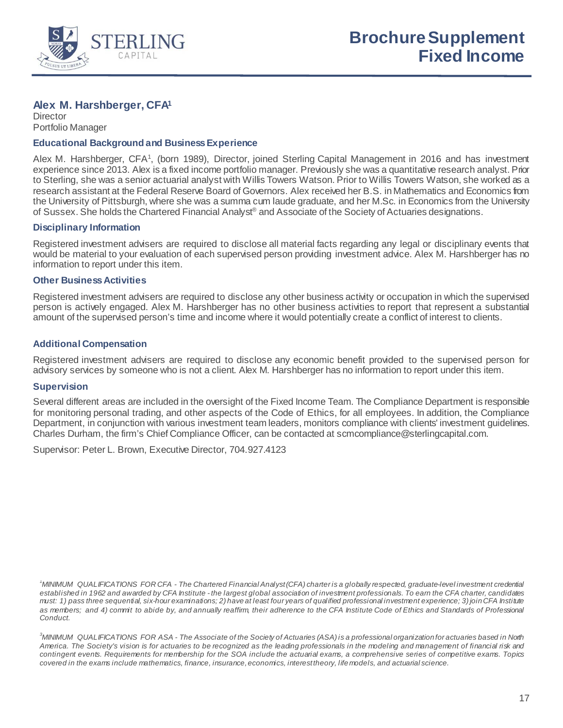

# **Alex M. Harshberger, CFA1**

**Director** Portfolio Manager

#### **Educational Background and Business Experience**

Alex M. Harshberger, CFA<sup>1</sup>, (born 1989), Director, joined Sterling Capital Management in 2016 and has investment experience since 2013. Alex is a fixed income portfolio manager. Previously she was a quantitative research analyst. Prior to Sterling, she was a senior actuarial analyst with Willis Towers Watson. Prior to Willis Towers Watson, she worked as a research assistant at the Federal Reserve Board of Governors. Alex received her B.S. in Mathematics and Economics from the University of Pittsburgh, where she was a summa cum laude graduate, and her M.Sc. in Economics from the University of Sussex. She holds the Chartered Financial Analyst® and Associate of the Society of Actuaries designations.

# **Disciplinary Information**

Registered investment advisers are required to disclose all material facts regarding any legal or disciplinary events that would be material to your evaluation of each supervised person providing investment advice. Alex M. Harshberger has no information to report under this item.

# **Other Business Activities**

Registered investment advisers are required to disclose any other business activity or occupation in which the supervised person is actively engaged. Alex M. Harshberger has no other business activities to report that represent a substantial amount of the supervised person's time and income where it would potentially create a conflict of interest to clients.

# **Additional Compensation**

Registered investment advisers are required to disclose any economic benefit provided to the supervised person for advisory services by someone who is not a client. Alex M. Harshberger has no information to report under this item.

#### **Supervision**

Several different areas are included in the oversight of the Fixed Income Team*.* The Compliance Department is responsible for monitoring personal trading, and other aspects of the Code of Ethics, for all employees. In addition, the Compliance Department, in conjunction with various investment team leaders, monitors compliance with clients' investment guidelines. Charles Durham, the firm's Chief Compliance Officer, can be contacted at scmcompliance@sterlingcapital.com.

Supervisor: Peter L. Brown, Executive Director, 704.927.4123

*1 MINIMUM QUALIFICATIONS FOR CFA - The Chartered Financial Analyst (CFA) charter is a globally respected, graduate-level investment credential established in 1962 and awarded by CFA Institute - the largest global association of investment professionals. To earn the CFA charter, candidates must: 1) pass three sequential, six-hour examinations; 2) have at least four years of qualified professional investment experience; 3) join CFA Institute as members; and 4) commit to abide by, and annually reaffirm, their adherence to the CFA Institute Code of Ethics and Standards of Professional Conduct.*

*3 MINIMUM QUALIFICATIONS FOR ASA - The Associate of the Society of Actuaries (ASA) is a professional organization for actuaries based in North America. The Society's vision is for actuaries to be recognized as the leading professionals in the modeling and management of financial risk and contingent events. Requirements for membership for the SOA include the actuarial exams, a comprehensive series of competitive exams. Topics covered in the exams include mathematics, finance, insurance, economics, interest theory, life models, and actuarial science.*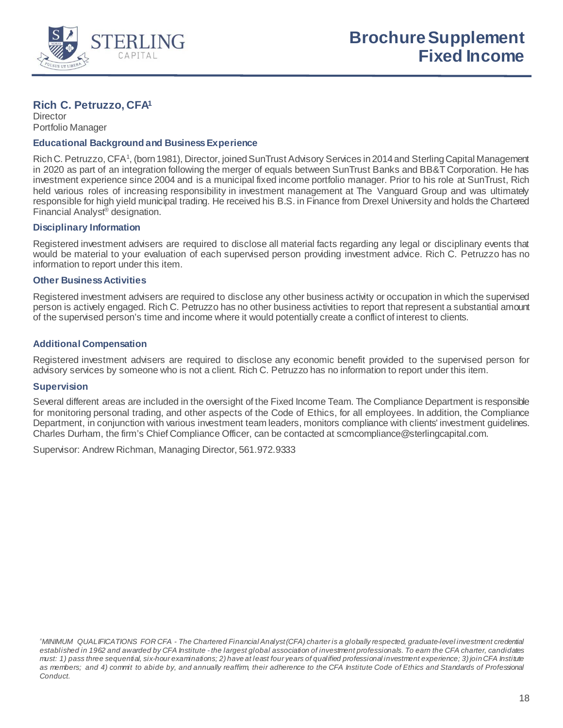

# **Rich C. Petruzzo, CFA1**

**Director** Portfolio Manager

# **Educational Background and Business Experience**

Rich C. Petruzzo, CFA<sup>1</sup>, (born 1981), Director, joined SunTrust Advisory Services in 2014 and Sterling Capital Management in 2020 as part of an integration following the merger of equals between SunTrust Banks and BB&T Corporation. He has investment experience since 2004 and is a municipal fixed income portfolio manager. Prior to his role at SunTrust, Rich held various roles of increasing responsibility in investment management at The Vanguard Group and was ultimately responsible for high yield municipal trading. He received his B.S. in Finance from Drexel University and holds the Chartered Financial Analyst® designation.

# **Disciplinary Information**

Registered investment advisers are required to disclose all material facts regarding any legal or disciplinary events that would be material to your evaluation of each supervised person providing investment advice. Rich C. Petruzzo has no information to report under this item.

# **Other Business Activities**

Registered investment advisers are required to disclose any other business activity or occupation in which the supervised person is actively engaged. Rich C. Petruzzo has no other business activities to report that represent a substantial amount of the supervised person's time and income where it would potentially create a conflict of interest to clients.

# **Additional Compensation**

Registered investment advisers are required to disclose any economic benefit provided to the supervised person for advisory services by someone who is not a client. Rich C. Petruzzo has no information to report under this item.

#### **Supervision**

Several different areas are included in the oversight of the Fixed Income Team*.* The Compliance Department is responsible for monitoring personal trading, and other aspects of the Code of Ethics, for all employees. In addition, the Compliance Department, in conjunction with various investment team leaders, monitors compliance with clients' investment guidelines. Charles Durham, the firm's Chief Compliance Officer, can be contacted at scmcompliance@sterlingcapital.com.

Supervisor: Andrew Richman, Managing Director, 561.972.9333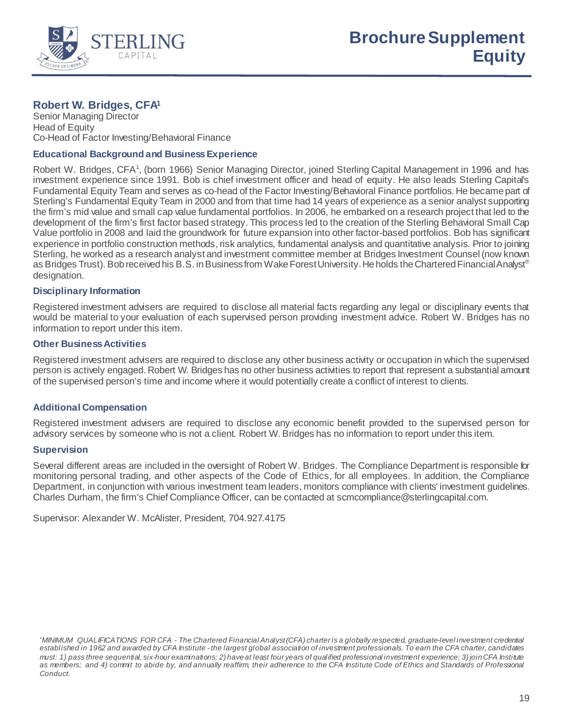

# **Robert W. Bridges, CFA1**

Senior Managing Director Head of Equity Co-Head of Factor Investing/Behavioral Finance

# **Educational Background and Business Experience**

Robert W. Bridges, CFA<sup>1</sup>, (born 1966) Senior Managing Director, joined Sterling Capital Management in 1996 and has investment experience since 1991. Bob is chief investment officer and head of equity. He also leads Sterling Capital's Fundamental Equity Team and serves as co-head of the Factor Investing/Behavioral Finance portfolios. He became part of Sterling's Fundamental Equity Team in 2000 and from that time had 14 years of experience as a senior analyst supporting the firm's mid value and small cap value fundamental portfolios. In 2006, he embarked on a research project that led to the development of the firm's first factor based strategy. This process led to the creation of the Sterling Behavioral Small Cap Value portfolio in 2008 and laid the groundwork for future expansion into other factor-based portfolios. Bob has significant experience in portfolio construction methods, risk analytics, fundamental analysis and quantitative analysis. Prior to joining Sterling, he worked as a research analyst and investment committee member at Bridges Investment Counsel (now known as Bridges Trust). Bob received his B.S. in Business from Wake Forest University. He holds the Chartered Financial Analyst® designation.

# **Disciplinary Information**

Registered investment advisers are required to disclose all material facts regarding any legal or disciplinary events that would be material to your evaluation of each supervised person providing investment advice. Robert W. Bridges has no information to report under this item.

# **Other Business Activities**

Registered investment advisers are required to disclose any other business activity or occupation in which the supervised person is actively engaged. Robert W. Bridges has no other business activities to report that represent a substantial amount of the supervised person's time and income where it would potentially create a conflict of interest to clients.

# **Additional Compensation**

Registered investment advisers are required to disclose any economic benefit provided to the supervised person for advisory services by someone who is not a client. Robert W. Bridges has no information to report under this item.

# **Supervision**

Several different areas are included in the oversight of Robert W. Bridges. The Compliance Department is responsible for monitoring personal trading, and other aspects of the Code of Ethics, for all employees. In addition, the Compliance Department, in conjunction with various investment team leaders, monitors compliance with clients' investment guidelines. Charles Durham, the firm's Chief Compliance Officer, can be contacted at scmcompliance@sterlingcapital.com.

Supervisor: Alexander W. McAlister, President, 704.927.4175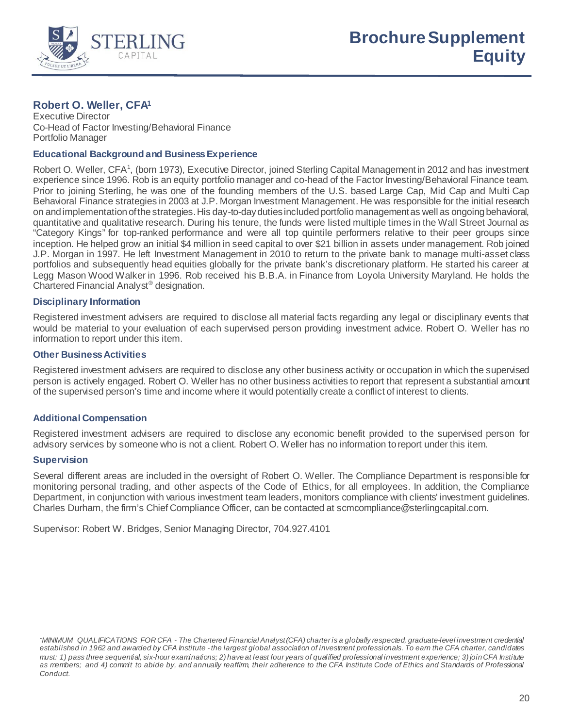

# **Robert O. Weller, CFA1**

Executive Director Co-Head of Factor Investing/Behavioral Finance Portfolio Manager

# **Educational Background and Business Experience**

Robert O. Weller, CFA<sup>1</sup>, (born 1973), Executive Director, joined Sterling Capital Management in 2012 and has investment experience since 1996. Rob is an equity portfolio manager and co-head of the Factor Investing/Behavioral Finance team. Prior to joining Sterling, he was one of the founding members of the U.S. based Large Cap, Mid Cap and Multi Cap Behavioral Finance strategies in 2003 at J.P. Morgan Investment Management. He was responsible for the initial research on and implementation of the strategies. His day-to-day duties included portfolio management as well as ongoing behavioral, quantitative and qualitative research. During his tenure, the funds were listed multiple times in the Wall Street Journal as "Category Kings" for top-ranked performance and were all top quintile performers relative to their peer groups since inception. He helped grow an initial \$4 million in seed capital to over \$21 billion in assets under management. Rob joined J.P. Morgan in 1997. He left Investment Management in 2010 to return to the private bank to manage multi-asset class portfolios and subsequently head equities globally for the private bank's discretionary platform. He started his career at Legg Mason Wood Walker in 1996. Rob received his B.B.A. in Finance from Loyola University Maryland. He holds the Chartered Financial Analyst® designation.

# **Disciplinary Information**

Registered investment advisers are required to disclose all material facts regarding any legal or disciplinary events that would be material to your evaluation of each supervised person providing investment advice. Robert O. Weller has no information to report under this item.

# **Other Business Activities**

Registered investment advisers are required to disclose any other business activity or occupation in which the supervised person is actively engaged. Robert O. Weller has no other business activities to report that represent a substantial amount of the supervised person's time and income where it would potentially create a conflict of interest to clients.

# **Additional Compensation**

Registered investment advisers are required to disclose any economic benefit provided to the supervised person for advisory services by someone who is not a client. Robert O. Weller has no information to report under this item.

#### **Supervision**

Several different areas are included in the oversight of Robert O. Weller. The Compliance Department is responsible for monitoring personal trading, and other aspects of the Code of Ethics, for all employees. In addition, the Compliance Department, in conjunction with various investment team leaders, monitors compliance with clients' investment guidelines. Charles Durham, the firm's Chief Compliance Officer, can be contacted at scmcompliance@sterlingcapital.com.

Supervisor: Robert W. Bridges, Senior Managing Director, 704.927.4101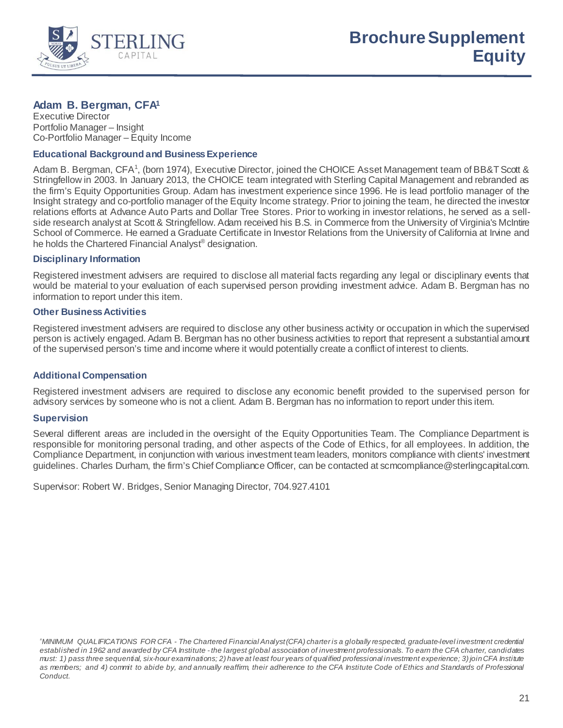

# **Adam B. Bergman, CFA1**

Executive Director Portfolio Manager – Insight Co-Portfolio Manager – Equity Income

# **Educational Background and Business Experience**

Adam B. Bergman, CFA<sup>1</sup>, (born 1974), Executive Director, joined the CHOICE Asset Management team of BB&T Scott & Stringfellow in 2003. In January 2013, the CHOICE team integrated with Sterling Capital Management and rebranded as the firm's Equity Opportunities Group. Adam has investment experience since 1996. He is lead portfolio manager of the Insight strategy and co-portfolio manager of the Equity Income strategy. Prior to joining the team, he directed the investor relations efforts at Advance Auto Parts and Dollar Tree Stores. Prior to working in investor relations, he served as a sellside research analyst at Scott & Stringfellow. Adam received his B.S. in Commerce from the University of Virginia's McIntire School of Commerce. He earned a Graduate Certificate in Investor Relations from the University of California at Irvine and he holds the Chartered Financial Analyst® designation.

# **Disciplinary Information**

Registered investment advisers are required to disclose all material facts regarding any legal or disciplinary events that would be material to your evaluation of each supervised person providing investment advice. Adam B. Bergman has no information to report under this item.

# **Other Business Activities**

Registered investment advisers are required to disclose any other business activity or occupation in which the supervised person is actively engaged. Adam B. Bergman has no other business activities to report that represent a substantial amount of the supervised person's time and income where it would potentially create a conflict of interest to clients.

#### **Additional Compensation**

Registered investment advisers are required to disclose any economic benefit provided to the supervised person for advisory services by someone who is not a client. Adam B. Bergman has no information to report under this item.

#### **Supervision**

Several different areas are included in the oversight of the Equity Opportunities Team. The Compliance Department is responsible for monitoring personal trading, and other aspects of the Code of Ethics, for all employees. In addition, the Compliance Department, in conjunction with various investment team leaders, monitors compliance with clients' investment guidelines. Charles Durham, the firm's Chief Compliance Officer, can be contacted at scmcompliance@sterlingcapital.com.

Supervisor: Robert W. Bridges, Senior Managing Director, 704.927.4101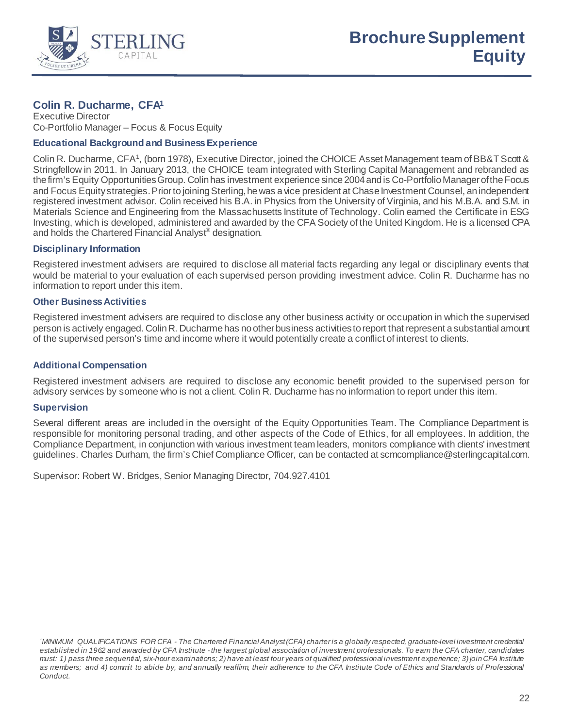

# **Colin R. Ducharme, CFA1**

Executive Director Co-Portfolio Manager – Focus & Focus Equity

# **Educational Background and Business Experience**

Colin R. Ducharme, CFA<sup>1</sup>, (born 1978), Executive Director, joined the CHOICE Asset Management team of BB&T Scott & Stringfellow in 2011. In January 2013, the CHOICE team integrated with Sterling Capital Management and rebranded as the firm's Equity Opportunities Group. Colin has investment experience since 2004 and is Co-Portfolio Managerof the Focus and Focus Equity strategies. Prior to joining Sterling, he was a vice president at Chase Investment Counsel, an independent registered investment advisor. Colin received his B.A. in Physics from the University of Virginia, and his M.B.A. and S.M. in Materials Science and Engineering from the Massachusetts Institute of Technology. Colin earned the Certificate in ESG Investing, which is developed, administered and awarded by the CFA Society of the United Kingdom. He is a licensed CPA and holds the Chartered Financial Analyst® designation.

# **Disciplinary Information**

Registered investment advisers are required to disclose all material facts regarding any legal or disciplinary events that would be material to your evaluation of each supervised person providing investment advice. Colin R. Ducharme has no information to report under this item.

# **Other Business Activities**

Registered investment advisers are required to disclose any other business activity or occupation in which the supervised person is actively engaged. Colin R. Ducharme has no other business activities to report that represent a substantial amount of the supervised person's time and income where it would potentially create a conflict of interest to clients.

# **Additional Compensation**

Registered investment advisers are required to disclose any economic benefit provided to the supervised person for advisory services by someone who is not a client. Colin R. Ducharme has no information to report under this item.

#### **Supervision**

Several different areas are included in the oversight of the Equity Opportunities Team. The Compliance Department is responsible for monitoring personal trading, and other aspects of the Code of Ethics, for all employees. In addition, the Compliance Department, in conjunction with various investment team leaders, monitors compliance with clients' investment guidelines. Charles Durham, the firm's Chief Compliance Officer, can be contacted at scmcompliance@sterlingcapital.com.

Supervisor: Robert W. Bridges, Senior Managing Director, 704.927.4101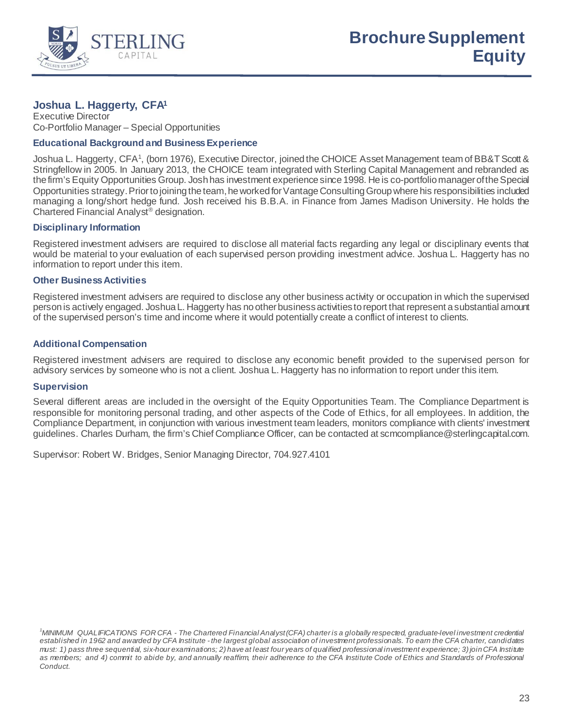

# **Joshua L. Haggerty, CFA1**

Executive Director Co-Portfolio Manager – Special Opportunities

# **Educational Background and Business Experience**

Joshua L. Haggerty, CFA<sup>1</sup>, (born 1976), Executive Director, joined the CHOICE Asset Management team of BB&T Scott & Stringfellow in 2005. In January 2013, the CHOICE team integrated with Sterling Capital Management and rebranded as the firm's Equity Opportunities Group. Josh has investment experience since 1998. He is co-portfolio manager of the Special Opportunities strategy. Prior to joining the team, he worked for Vantage Consulting Group where his responsibilities included managing a long/short hedge fund. Josh received his B.B.A. in Finance from James Madison University. He holds the Chartered Financial Analyst® designation.

# **Disciplinary Information**

Registered investment advisers are required to disclose all material facts regarding any legal or disciplinary events that would be material to your evaluation of each supervised person providing investment advice. Joshua L. Haggerty has no information to report under this item.

# **Other Business Activities**

Registered investment advisers are required to disclose any other business activity or occupation in which the supervised person is actively engaged. Joshua L. Haggerty has no other business activities to report that represent a substantial amount of the supervised person's time and income where it would potentially create a conflict of interest to clients.

# **Additional Compensation**

Registered investment advisers are required to disclose any economic benefit provided to the supervised person for advisory services by someone who is not a client. Joshua L. Haggerty has no information to report under this item.

# **Supervision**

Several different areas are included in the oversight of the Equity Opportunities Team. The Compliance Department is responsible for monitoring personal trading, and other aspects of the Code of Ethics, for all employees. In addition, the Compliance Department, in conjunction with various investment team leaders, monitors compliance with clients' investment guidelines. Charles Durham, the firm's Chief Compliance Officer, can be contacted at scmcompliance@sterlingcapital.com.

Supervisor: Robert W. Bridges, Senior Managing Director, 704.927.4101

*<sup>1</sup> MINIMUM QUALIFICATIONS FOR CFA - The Chartered Financial Analyst (CFA) charter is a globally respected, graduate-level investment credential established in 1962 and awarded by CFA Institute - the largest global association of investment professionals. To earn the CFA charter, candidates must: 1) pass three sequential, six-hour examinations; 2) have at least four years of qualified professional investment experience; 3) join CFA Institute as members; and 4) commit to abide by, and annually reaffirm, their adherence to the CFA Institute Code of Ethics and Standards of Professional Conduct.*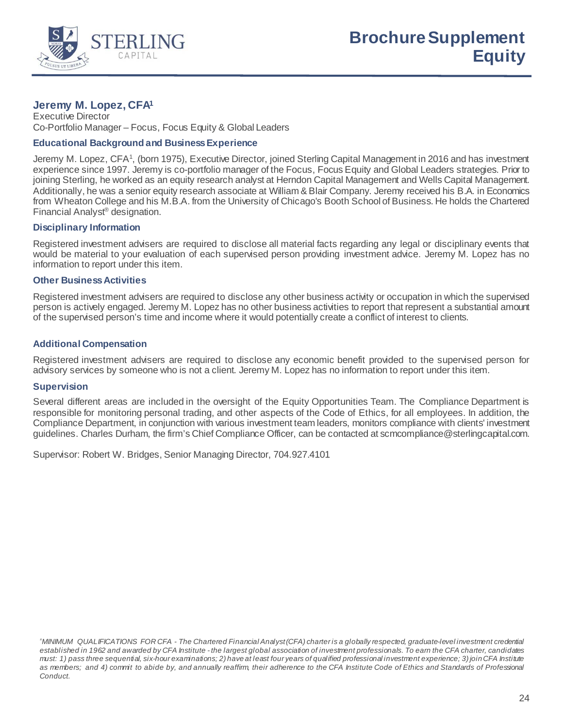

# **Jeremy M. Lopez, CFA1**

Executive Director Co-Portfolio Manager – Focus, Focus Equity & Global Leaders

# **Educational Background and Business Experience**

Jeremy M. Lopez, CFA<sup>1</sup>, (born 1975), Executive Director, joined Sterling Capital Management in 2016 and has investment experience since 1997. Jeremy is co-portfolio manager of the Focus, Focus Equity and Global Leaders strategies. Prior to joining Sterling, he worked as an equity research analyst at Herndon Capital Management and Wells Capital Management. Additionally, he was a senior equity research associate at William & Blair Company. Jeremy received his B.A. in Economics from Wheaton College and his M.B.A. from the University of Chicago's Booth School of Business. He holds the Chartered Financial Analyst® designation.

# **Disciplinary Information**

Registered investment advisers are required to disclose all material facts regarding any legal or disciplinary events that would be material to your evaluation of each supervised person providing investment advice. Jeremy M. Lopez has no information to report under this item.

# **Other Business Activities**

Registered investment advisers are required to disclose any other business activity or occupation in which the supervised person is actively engaged. Jeremy M. Lopez has no other business activities to report that represent a substantial amount of the supervised person's time and income where it would potentially create a conflict of interest to clients.

# **Additional Compensation**

Registered investment advisers are required to disclose any economic benefit provided to the supervised person for advisory services by someone who is not a client. Jeremy M. Lopez has no information to report under this item.

#### **Supervision**

Several different areas are included in the oversight of the Equity Opportunities Team. The Compliance Department is responsible for monitoring personal trading, and other aspects of the Code of Ethics, for all employees. In addition, the Compliance Department, in conjunction with various investment team leaders, monitors compliance with clients' investment guidelines. Charles Durham, the firm's Chief Compliance Officer, can be contacted at scmcompliance@sterlingcapital.com.

Supervisor: Robert W. Bridges, Senior Managing Director, 704.927.4101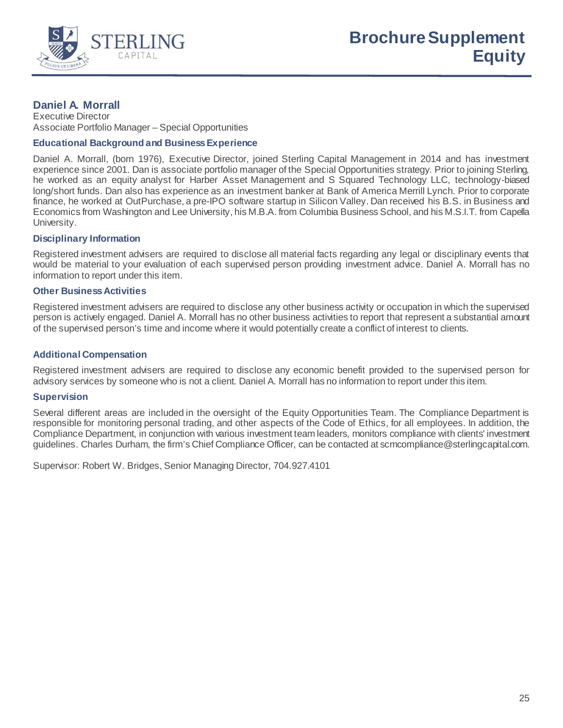

# **Daniel A. Morrall**

Executive Director Associate Portfolio Manager – Special Opportunities

# **Educational Background and Business Experience**

Daniel A. Morrall, (born 1976), Executive Director, joined Sterling Capital Management in 2014 and has investment experience since 2001. Dan is associate portfolio manager of the Special Opportunities strategy. Prior to joining Sterling, he worked as an equity analyst for Harber Asset Management and S Squared Technology LLC, technology-biased long/short funds. Dan also has experience as an investment banker at Bank of America Merrill Lynch. Prior to corporate finance, he worked at OutPurchase, a pre-IPO software startup in Silicon Valley. Dan received his B.S. in Business and Economics from Washington and Lee University, his M.B.A. from Columbia Business School, and his M.S.I.T. from Capella University.

# **Disciplinary Information**

Registered investment advisers are required to disclose all material facts regarding any legal or disciplinary events that would be material to your evaluation of each supervised person providing investment advice. Daniel A. Morrall has no information to report under this item.

# **Other Business Activities**

Registered investment advisers are required to disclose any other business activity or occupation in which the supervised person is actively engaged. Daniel A. Morrall has no other business activities to report that represent a substantial amount of the supervised person's time and income where it would potentially create a conflict of interest to clients.

# **Additional Compensation**

Registered investment advisers are required to disclose any economic benefit provided to the supervised person for advisory services by someone who is not a client. Daniel A. Morrall has no information to report under this item.

#### **Supervision**

Several different areas are included in the oversight of the Equity Opportunities Team. The Compliance Department is responsible for monitoring personal trading, and other aspects of the Code of Ethics, for all employees. In addition, the Compliance Department, in conjunction with various investment team leaders, monitors compliance with clients' investment guidelines. Charles Durham, the firm's Chief Compliance Officer, can be contacted at scmcompliance@sterlingcapital.com.

Supervisor: Robert W. Bridges, Senior Managing Director, 704.927.4101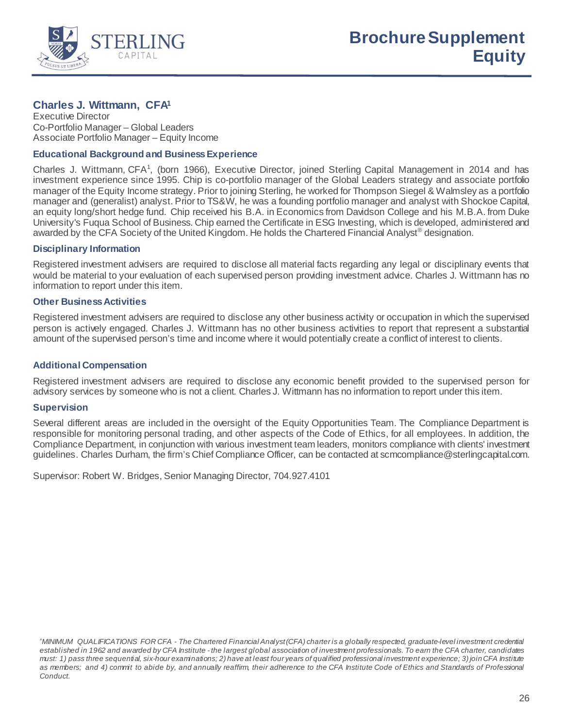

# **Charles J. Wittmann, CFA1**

Executive Director Co-Portfolio Manager – Global Leaders Associate Portfolio Manager – Equity Income

# **Educational Background and Business Experience**

Charles J. Wittmann, CFA<sup>1</sup>, (born 1966), Executive Director, joined Sterling Capital Management in 2014 and has investment experience since 1995. Chip is co-portfolio manager of the Global Leaders strategy and associate portfolio manager of the Equity Income strategy. Prior to joining Sterling, he worked for Thompson Siegel & Walmsley as a portfolio manager and (generalist) analyst. Prior to TS&W, he was a founding portfolio manager and analyst with Shockoe Capital, an equity long/short hedge fund. Chip received his B.A. in Economics from Davidson College and his M.B.A. from Duke University's Fuqua School of Business. Chip earned the Certificate in ESG Investing, which is developed, administered and awarded by the CFA Society of the United Kingdom. He holds the Chartered Financial Analyst<sup>®</sup> designation.

#### **Disciplinary Information**

Registered investment advisers are required to disclose all material facts regarding any legal or disciplinary events that would be material to your evaluation of each supervised person providing investment advice. Charles J. Wittmann has no information to report under this item.

# **Other Business Activities**

Registered investment advisers are required to disclose any other business activity or occupation in which the supervised person is actively engaged. Charles J. Wittmann has no other business activities to report that represent a substantial amount of the supervised person's time and income where it would potentially create a conflict of interest to clients.

# **Additional Compensation**

Registered investment advisers are required to disclose any economic benefit provided to the supervised person for advisory services by someone who is not a client. Charles J. Wittmann has no information to report under this item.

#### **Supervision**

Several different areas are included in the oversight of the Equity Opportunities Team. The Compliance Department is responsible for monitoring personal trading, and other aspects of the Code of Ethics, for all employees. In addition, the Compliance Department, in conjunction with various investment team leaders, monitors compliance with clients' investment guidelines. Charles Durham, the firm's Chief Compliance Officer, can be contacted at scmcompliance@sterlingcapital.com.

Supervisor: Robert W. Bridges, Senior Managing Director, 704.927.4101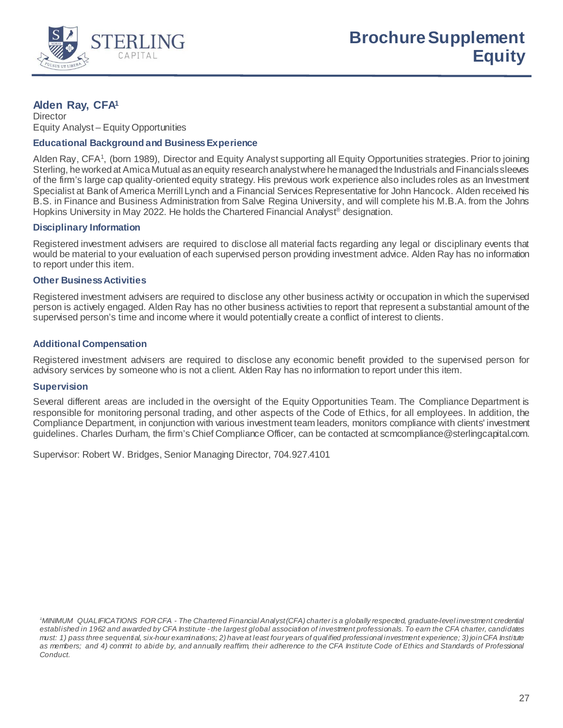

# **Alden Ray, CFA1**

**Director** Equity Analyst – Equity Opportunities

# **Educational Background and Business Experience**

Alden Ray, CFA<sup>1</sup>, (born 1989), Director and Equity Analyst supporting all Equity Opportunities strategies. Prior to joining Sterling, he worked at Amica Mutual as an equity research analyst where he managed the Industrials and Financials sleeves of the firm's large cap quality-oriented equity strategy. His previous work experience also includes roles as an Investment Specialist at Bank of America Merrill Lynch and a Financial Services Representative for John Hancock. Alden received his B.S. in Finance and Business Administration from Salve Regina University, and will complete his M.B.A. from the Johns Hopkins University in May 2022. He holds the Chartered Financial Analyst<sup>®</sup> designation.

# **Disciplinary Information**

Registered investment advisers are required to disclose all material facts regarding any legal or disciplinary events that would be material to your evaluation of each supervised person providing investment advice. Alden Ray has no information to report under this item.

# **Other Business Activities**

Registered investment advisers are required to disclose any other business activity or occupation in which the supervised person is actively engaged. Alden Ray has no other business activities to report that represent a substantial amount of the supervised person's time and income where it would potentially create a conflict of interest to clients.

# **Additional Compensation**

Registered investment advisers are required to disclose any economic benefit provided to the supervised person for advisory services by someone who is not a client. Alden Ray has no information to report under this item.

# **Supervision**

Several different areas are included in the oversight of the Equity Opportunities Team. The Compliance Department is responsible for monitoring personal trading, and other aspects of the Code of Ethics, for all employees. In addition, the Compliance Department, in conjunction with various investment team leaders, monitors compliance with clients' investment guidelines. Charles Durham, the firm's Chief Compliance Officer, can be contacted at scmcompliance@sterlingcapital.com.

Supervisor: Robert W. Bridges, Senior Managing Director, 704.927.4101

*<sup>1</sup> MINIMUM QUALIFICATIONS FOR CFA - The Chartered Financial Analyst (CFA) charter is a globally respected, graduate-level investment credential established in 1962 and awarded by CFA Institute - the largest global association of investment professionals. To earn the CFA charter, candidates must: 1) pass three sequential, six-hour examinations; 2) have at least four years of qualified professional investment experience; 3) join CFA Institute as members; and 4) commit to abide by, and annually reaffirm, their adherence to the CFA Institute Code of Ethics and Standards of Professional Conduct.*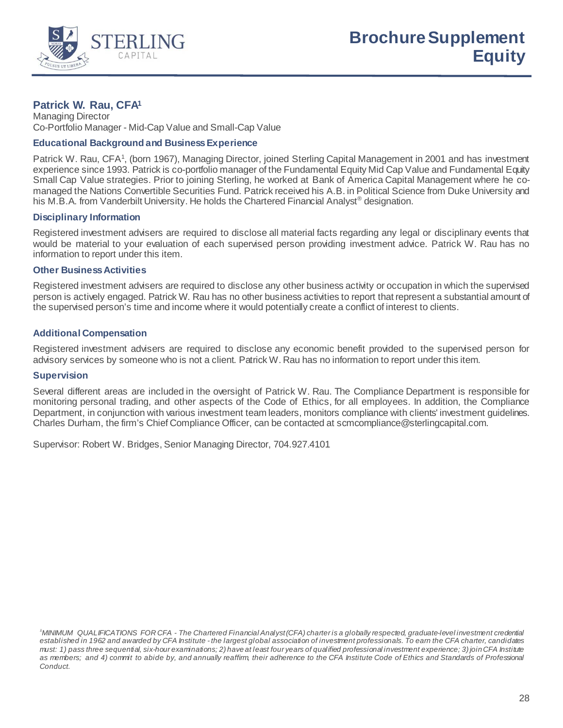

# **Patrick W. Rau, CFA1**

Managing Director Co-Portfolio Manager - Mid-Cap Value and Small-Cap Value

# **Educational Background and Business Experience**

Patrick W. Rau, CFA<sup>1</sup>, (born 1967), Managing Director, joined Sterling Capital Management in 2001 and has investment experience since 1993. Patrick is co-portfolio manager of the Fundamental Equity Mid Cap Value and Fundamental Equity Small Cap Value strategies. Prior to joining Sterling, he worked at Bank of America Capital Management where he comanaged the Nations Convertible Securities Fund. Patrick received his A.B. in Political Science from Duke University and his M.B.A. from Vanderbilt University. He holds the Chartered Financial Analyst<sup>®</sup> designation.

# **Disciplinary Information**

Registered investment advisers are required to disclose all material facts regarding any legal or disciplinary events that would be material to your evaluation of each supervised person providing investment advice. Patrick W. Rau has no information to report under this item.

#### **Other Business Activities**

Registered investment advisers are required to disclose any other business activity or occupation in which the supervised person is actively engaged. Patrick W. Rau has no other business activities to report that represent a substantial amount of the supervised person's time and income where it would potentially create a conflict of interest to clients.

# **Additional Compensation**

Registered investment advisers are required to disclose any economic benefit provided to the supervised person for advisory services by someone who is not a client. Patrick W. Rau has no information to report under this item.

#### **Supervision**

Several different areas are included in the oversight of Patrick W. Rau. The Compliance Department is responsible for monitoring personal trading, and other aspects of the Code of Ethics, for all employees. In addition, the Compliance Department, in conjunction with various investment team leaders, monitors compliance with clients' investment guidelines. Charles Durham, the firm's Chief Compliance Officer, can be contacted at scmcompliance@sterlingcapital.com.

Supervisor: Robert W. Bridges, Senior Managing Director, 704.927.4101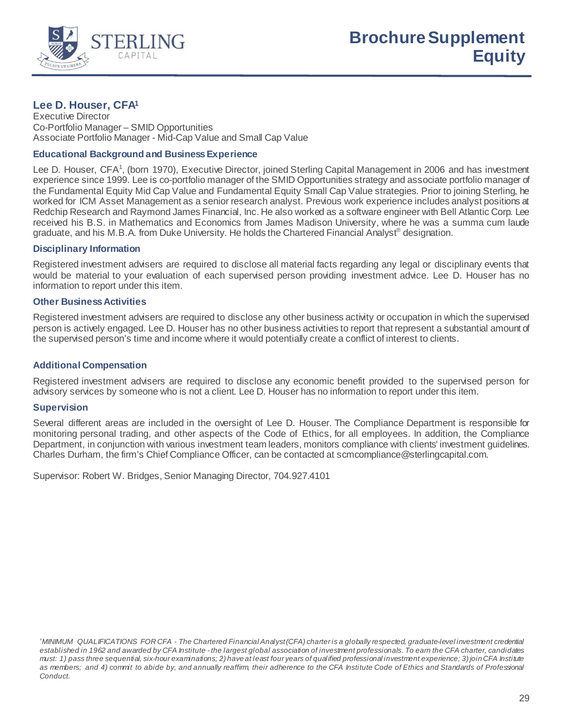

# **Lee D. Houser, CFA1**

Executive Director Co-Portfolio Manager – SMID Opportunities Associate Portfolio Manager - Mid-Cap Value and Small Cap Value

### **Educational Background and Business Experience**

Lee D. Houser, CFA<sup>1</sup>, (born 1970), Executive Director, joined Sterling Capital Management in 2006 and has investment experience since 1999. Lee is co-portfolio manager of the SMID Opportunities strategy and associate portfolio manager of the Fundamental Equity Mid Cap Value and Fundamental Equity Small Cap Value strategies. Prior to joining Sterling, he worked for ICM Asset Management as a senior research analyst. Previous work experience includes analyst positions at Redchip Research and Raymond James Financial, Inc. He also worked as a software engineer with Bell Atlantic Corp. Lee received his B.S. in Mathematics and Economics from James Madison University, where he was a summa cum laude graduate, and his M.B.A. from Duke University. He holds the Chartered Financial Analyst® designation.

#### **Disciplinary Information**

Registered investment advisers are required to disclose all material facts regarding any legal or disciplinary events that would be material to your evaluation of each supervised person providing investment advice. Lee D. Houser has no information to report under this item.

### **Other Business Activities**

Registered investment advisers are required to disclose any other business activity or occupation in which the supervised person is actively engaged. Lee D. Houser has no other business activities to report that represent a substantial amount of the supervised person's time and income where it would potentially create a conflict of interest to clients.

## **Additional Compensation**

Registered investment advisers are required to disclose any economic benefit provided to the supervised person for advisory services by someone who is not a client. Lee D. Houser has no information to report under this item.

#### **Supervision**

Several different areas are included in the oversight of Lee D. Houser. The Compliance Department is responsible for monitoring personal trading, and other aspects of the Code of Ethics, for all employees. In addition, the Compliance Department, in conjunction with various investment team leaders, monitors compliance with clients' investment guidelines. Charles Durham, the firm's Chief Compliance Officer, can be contacted at scmcompliance@sterlingcapital.com.

Supervisor: Robert W. Bridges, Senior Managing Director, 704.927.4101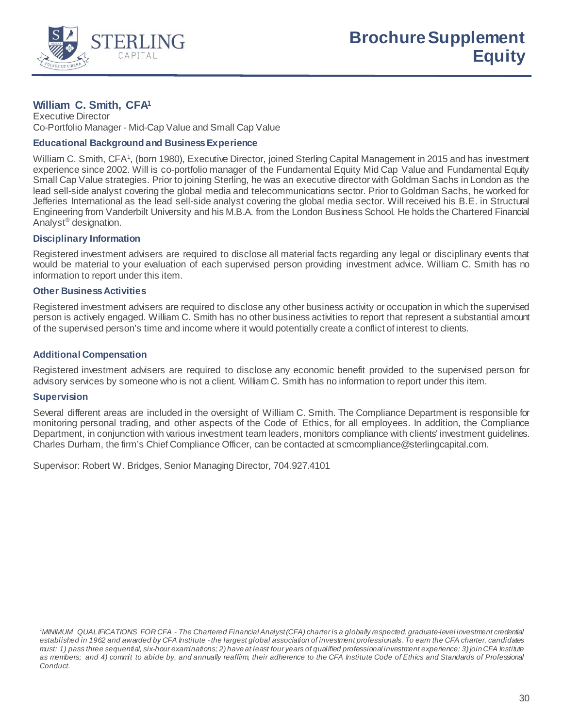

# **William C. Smith, CFA1**

Executive Director Co-Portfolio Manager - Mid-Cap Value and Small Cap Value

## **Educational Background and Business Experience**

William C. Smith, CFA<sup>1</sup>, (born 1980), Executive Director, joined Sterling Capital Management in 2015 and has investment experience since 2002. Will is co-portfolio manager of the Fundamental Equity Mid Cap Value and Fundamental Equity Small Cap Value strategies. Prior to joining Sterling, he was an executive director with Goldman Sachs in London as the lead sell-side analyst covering the global media and telecommunications sector. Prior to Goldman Sachs, he worked for Jefferies International as the lead sell-side analyst covering the global media sector. Will received his B.E. in Structural Engineering from Vanderbilt University and his M.B.A. from the London Business School. He holds the Chartered Financial Analyst® designation.

### **Disciplinary Information**

Registered investment advisers are required to disclose all material facts regarding any legal or disciplinary events that would be material to your evaluation of each supervised person providing investment advice. William C. Smith has no information to report under this item.

### **Other Business Activities**

Registered investment advisers are required to disclose any other business activity or occupation in which the supervised person is actively engaged. William C. Smith has no other business activities to report that represent a substantial amount of the supervised person's time and income where it would potentially create a conflict of interest to clients.

### **Additional Compensation**

Registered investment advisers are required to disclose any economic benefit provided to the supervised person for advisory services by someone who is not a client. William C. Smith has no information to report under this item.

#### **Supervision**

Several different areas are included in the oversight of William C. Smith. The Compliance Department is responsible for monitoring personal trading, and other aspects of the Code of Ethics, for all employees. In addition, the Compliance Department, in conjunction with various investment team leaders, monitors compliance with clients' investment guidelines. Charles Durham, the firm's Chief Compliance Officer, can be contacted at scmcompliance@sterlingcapital.com.

Supervisor: Robert W. Bridges, Senior Managing Director, 704.927.4101

*<sup>1</sup> MINIMUM QUALIFICATIONS FOR CFA - The Chartered Financial Analyst (CFA) charter is a globally respected, graduate-level investment credential established in 1962 and awarded by CFA Institute - the largest global association of investment professionals. To earn the CFA charter, candidates must: 1) pass three sequential, six-hour examinations; 2) have at least four years of qualified professional investment experience; 3) join CFA Institute as members; and 4) commit to abide by, and annually reaffirm, their adherence to the CFA Institute Code of Ethics and Standards of Professional Conduct.*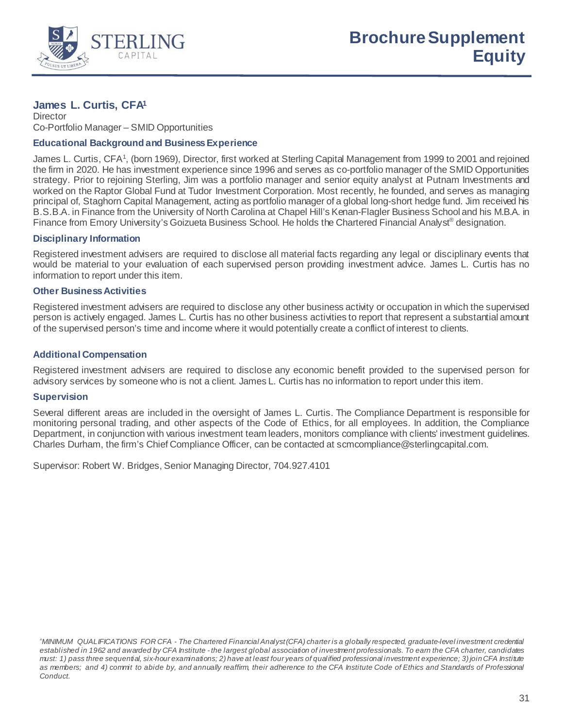

# **James L. Curtis, CFA1**

**Director** Co-Portfolio Manager – SMID Opportunities

### **Educational Background and Business Experience**

James L. Curtis, CFA<sup>1</sup>, (born 1969), Director, first worked at Sterling Capital Management from 1999 to 2001 and rejoined the firm in 2020. He has investment experience since 1996 and serves as co-portfolio manager of the SMID Opportunities strategy. Prior to rejoining Sterling, Jim was a portfolio manager and senior equity analyst at Putnam Investments and worked on the Raptor Global Fund at Tudor Investment Corporation. Most recently, he founded, and serves as managing principal of, Staghorn Capital Management, acting as portfolio manager of a global long-short hedge fund. Jim received his B.S.B.A. in Finance from the University of North Carolina at Chapel Hill's Kenan-Flagler Business School and his M.B.A. in Finance from Emory University's Goizueta Business School. He holds the Chartered Financial Analyst® designation.

### **Disciplinary Information**

Registered investment advisers are required to disclose all material facts regarding any legal or disciplinary events that would be material to your evaluation of each supervised person providing investment advice. James L. Curtis has no information to report under this item.

### **Other Business Activities**

Registered investment advisers are required to disclose any other business activity or occupation in which the supervised person is actively engaged. James L. Curtis has no other business activities to report that represent a substantial amount of the supervised person's time and income where it would potentially create a conflict of interest to clients.

### **Additional Compensation**

Registered investment advisers are required to disclose any economic benefit provided to the supervised person for advisory services by someone who is not a client. James L. Curtis has no information to report under this item.

#### **Supervision**

Several different areas are included in the oversight of James L. Curtis. The Compliance Department is responsible for monitoring personal trading, and other aspects of the Code of Ethics, for all employees. In addition, the Compliance Department, in conjunction with various investment team leaders, monitors compliance with clients' investment guidelines. Charles Durham, the firm's Chief Compliance Officer, can be contacted at scmcompliance@sterlingcapital.com.

Supervisor: Robert W. Bridges, Senior Managing Director, 704.927.4101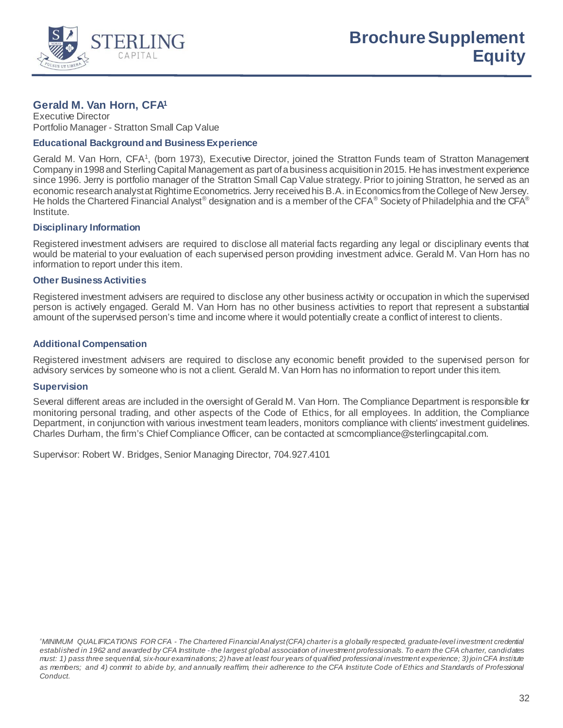

# **Gerald M. Van Horn, CFA1**

Executive Director Portfolio Manager - Stratton Small Cap Value

### **Educational Background and Business Experience**

Gerald M. Van Horn, CFA<sup>1</sup>, (born 1973), Executive Director, joined the Stratton Funds team of Stratton Management Company in 1998 and Sterling Capital Management as part of a business acquisition in 2015. He has investment experience since 1996. Jerry is portfolio manager of the Stratton Small Cap Value strategy. Prior to joining Stratton, he served as an economic research analyst at Rightime Econometrics. Jerry received his B.A. in Economics from the College of New Jersey. He holds the Chartered Financial Analyst<sup>®</sup> designation and is a member of the CFA<sup>®</sup> Society of Philadelphia and the CFA<sup>®</sup> Institute.

### **Disciplinary Information**

Registered investment advisers are required to disclose all material facts regarding any legal or disciplinary events that would be material to your evaluation of each supervised person providing investment advice. Gerald M. Van Horn has no information to report under this item.

### **Other Business Activities**

Registered investment advisers are required to disclose any other business activity or occupation in which the supervised person is actively engaged. Gerald M. Van Horn has no other business activities to report that represent a substantial amount of the supervised person's time and income where it would potentially create a conflict of interest to clients.

# **Additional Compensation**

Registered investment advisers are required to disclose any economic benefit provided to the supervised person for advisory services by someone who is not a client. Gerald M. Van Horn has no information to report under this item.

# **Supervision**

Several different areas are included in the oversight of Gerald M. Van Horn. The Compliance Department is responsible for monitoring personal trading, and other aspects of the Code of Ethics, for all employees. In addition, the Compliance Department, in conjunction with various investment team leaders, monitors compliance with clients' investment guidelines. Charles Durham, the firm's Chief Compliance Officer, can be contacted at scmcompliance@sterlingcapital.com.

Supervisor: Robert W. Bridges, Senior Managing Director, 704.927.4101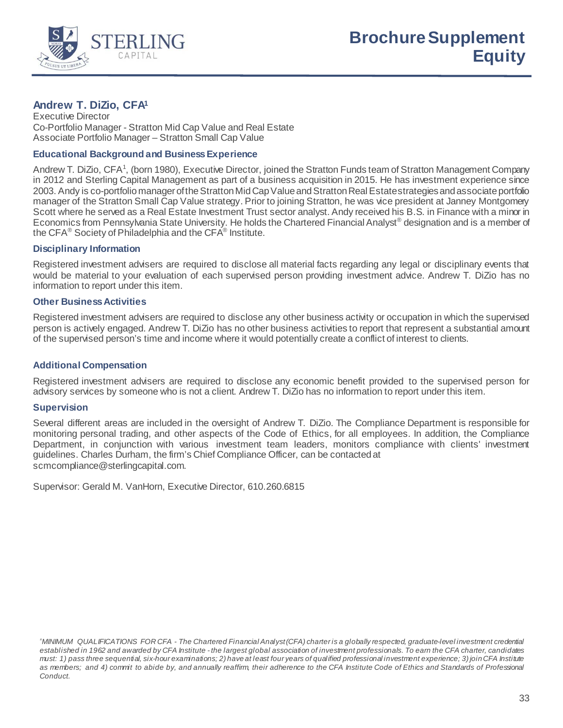

# **Andrew T. DiZio, CFA1**

Executive Director Co-Portfolio Manager - Stratton Mid Cap Value and Real Estate Associate Portfolio Manager – Stratton Small Cap Value

## **Educational Background and Business Experience**

Andrew T. DiZio, CFA<sup>1</sup>, (born 1980), Executive Director, joined the Stratton Funds team of Stratton Management Company in 2012 and Sterling Capital Management as part of a business acquisition in 2015. He has investment experience since 2003. Andy is co-portfolio manager of the Stratton Mid Cap Value and Stratton Real Estate strategies and associate portfolio manager of the Stratton Small Cap Value strategy. Prior to joining Stratton, he was vice president at Janney Montgomery Scott where he served as a Real Estate Investment Trust sector analyst. Andy received his B.S. in Finance with a minor in Economics from Pennsylvania State University. He holds the Chartered Financial Analyst® designation and is a member of the CFA<sup>®</sup> Society of Philadelphia and the CFA<sup>®</sup> Institute.

### **Disciplinary Information**

Registered investment advisers are required to disclose all material facts regarding any legal or disciplinary events that would be material to your evaluation of each supervised person providing investment advice. Andrew T. DiZio has no information to report under this item.

### **Other Business Activities**

Registered investment advisers are required to disclose any other business activity or occupation in which the supervised person is actively engaged. Andrew T. DiZio has no other business activities to report that represent a substantial amount of the supervised person's time and income where it would potentially create a conflict of interest to clients.

# **Additional Compensation**

Registered investment advisers are required to disclose any economic benefit provided to the supervised person for advisory services by someone who is not a client. Andrew T. DiZio has no information to report under this item.

#### **Supervision**

Several different areas are included in the oversight of Andrew T. DiZio. The Compliance Department is responsible for monitoring personal trading, and other aspects of the Code of Ethics, for all employees. In addition, the Compliance Department, in conjunction with various investment team leaders, monitors compliance with clients' investment guidelines. Charles Durham, the firm's Chief Compliance Officer, can be contacted at scmcompliance@sterlingcapital.com.

Supervisor: Gerald M. VanHorn, Executive Director, 610.260.6815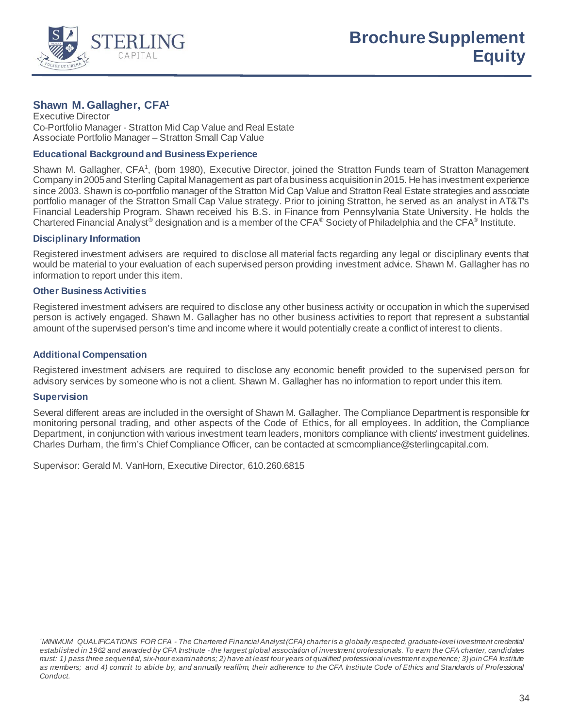

# **Shawn M. Gallagher, CFA1**

Executive Director Co-Portfolio Manager - Stratton Mid Cap Value and Real Estate Associate Portfolio Manager – Stratton Small Cap Value

## **Educational Background and Business Experience**

Shawn M. Gallagher, CFA<sup>1</sup>, (born 1980), Executive Director, joined the Stratton Funds team of Stratton Management Company in 2005 and Sterling Capital Management as part of a business acquisition in 2015. He has investment experience since 2003. Shawn is co-portfolio manager of the Stratton Mid Cap Value and Stratton Real Estate strategies and associate portfolio manager of the Stratton Small Cap Value strategy. Prior to joining Stratton, he served as an analyst in AT&T's Financial Leadership Program. Shawn received his B.S. in Finance from Pennsylvania State University. He holds the Chartered Financial Analyst® designation and is a member of the CFA® Society of Philadelphia and the CFA® Institute.

### **Disciplinary Information**

Registered investment advisers are required to disclose all material facts regarding any legal or disciplinary events that would be material to your evaluation of each supervised person providing investment advice. Shawn M. Gallagher has no information to report under this item.

### **Other Business Activities**

Registered investment advisers are required to disclose any other business activity or occupation in which the supervised person is actively engaged. Shawn M. Gallagher has no other business activities to report that represent a substantial amount of the supervised person's time and income where it would potentially create a conflict of interest to clients.

### **Additional Compensation**

Registered investment advisers are required to disclose any economic benefit provided to the supervised person for advisory services by someone who is not a client. Shawn M. Gallagher has no information to report under this item.

#### **Supervision**

Several different areas are included in the oversight of Shawn M. Gallagher. The Compliance Department is responsible for monitoring personal trading, and other aspects of the Code of Ethics, for all employees. In addition, the Compliance Department, in conjunction with various investment team leaders, monitors compliance with clients' investment guidelines. Charles Durham, the firm's Chief Compliance Officer, can be contacted at scmcompliance@sterlingcapital.com.

Supervisor: Gerald M. VanHorn, Executive Director, 610.260.6815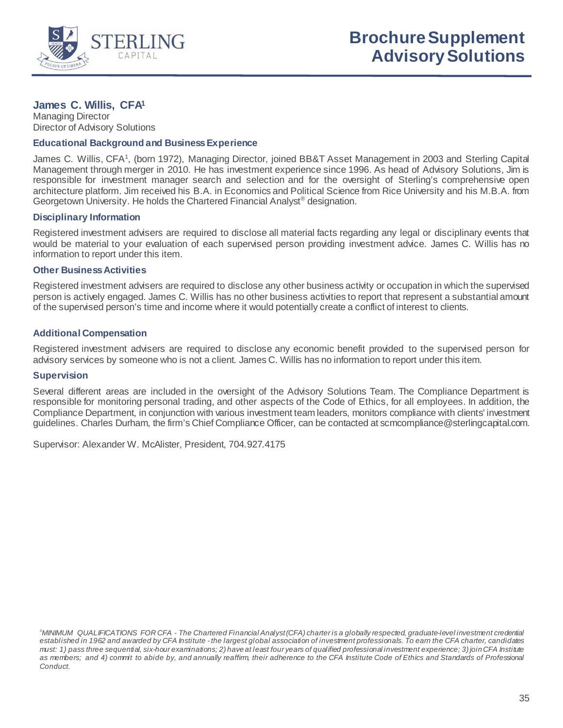

# **James C. Willis, CFA1**

Managing Director Director of Advisory Solutions

#### **Educational Background and Business Experience**

James C. Willis, CFA<sup>1</sup>, (born 1972), Managing Director, joined BB&T Asset Management in 2003 and Sterling Capital Management through merger in 2010. He has investment experience since 1996. As head of Advisory Solutions, Jim is responsible for investment manager search and selection and for the oversight of Sterling's comprehensive open architecture platform. Jim received his B.A. in Economics and Political Science from Rice University and his M.B.A. from Georgetown University. He holds the Chartered Financial Analyst® designation.

# **Disciplinary Information**

Registered investment advisers are required to disclose all material facts regarding any legal or disciplinary events that would be material to your evaluation of each supervised person providing investment advice. James C. Willis has no information to report under this item.

#### **Other Business Activities**

Registered investment advisers are required to disclose any other business activity or occupation in which the supervised person is actively engaged. James C. Willis has no other business activities to report that represent a substantial amount of the supervised person's time and income where it would potentially create a conflict of interest to clients.

# **Additional Compensation**

Registered investment advisers are required to disclose any economic benefit provided to the supervised person for advisory services by someone who is not a client. James C. Willis has no information to report under this item.

#### **Supervision**

Several different areas are included in the oversight of the Advisory Solutions Team. The Compliance Department is responsible for monitoring personal trading, and other aspects of the Code of Ethics, for all employees. In addition, the Compliance Department, in conjunction with various investment team leaders, monitors compliance with clients' investment guidelines. Charles Durham, the firm's Chief Compliance Officer, can be contacted at scmcompliance@sterlingcapital.com.

Supervisor: Alexander W. McAlister, President, 704.927.4175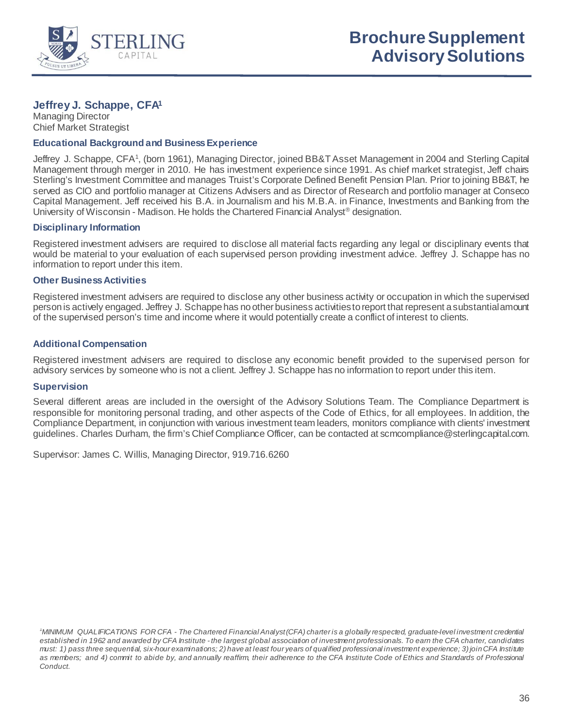

# **Jeffrey J. Schappe, CFA1**

Managing Director Chief Market Strategist

#### **Educational Background and Business Experience**

Jeffrey J. Schappe, CFA<sup>1</sup>, (born 1961), Managing Director, joined BB&T Asset Management in 2004 and Sterling Capital Management through merger in 2010. He has investment experience since 1991. As chief market strategist, Jeff chairs Sterling's Investment Committee and manages Truist's Corporate Defined Benefit Pension Plan. Prior to joining BB&T, he served as CIO and portfolio manager at Citizens Advisers and as Director of Research and portfolio manager at Conseco Capital Management. Jeff received his B.A. in Journalism and his M.B.A. in Finance, Investments and Banking from the University of Wisconsin - Madison. He holds the Chartered Financial Analyst® designation.

### **Disciplinary Information**

Registered investment advisers are required to disclose all material facts regarding any legal or disciplinary events that would be material to your evaluation of each supervised person providing investment advice. Jeffrey J. Schappe has no information to report under this item.

### **Other Business Activities**

Registered investment advisers are required to disclose any other business activity or occupation in which the supervised person is actively engaged. Jeffrey J. Schappe has no other business activities to report that represent a substantial amount of the supervised person's time and income where it would potentially create a conflict of interest to clients.

# **Additional Compensation**

Registered investment advisers are required to disclose any economic benefit provided to the supervised person for advisory services by someone who is not a client. Jeffrey J. Schappe has no information to report under this item.

# **Supervision**

Several different areas are included in the oversight of the Advisory Solutions Team. The Compliance Department is responsible for monitoring personal trading, and other aspects of the Code of Ethics, for all employees. In addition, the Compliance Department, in conjunction with various investment team leaders, monitors compliance with clients' investment guidelines. Charles Durham, the firm's Chief Compliance Officer, can be contacted at scmcompliance@sterlingcapital.com.

Supervisor: James C. Willis, Managing Director, 919.716.6260

*<sup>1</sup> MINIMUM QUALIFICATIONS FOR CFA - The Chartered Financial Analyst (CFA) charter is a globally respected, graduate-level investment credential established in 1962 and awarded by CFA Institute - the largest global association of investment professionals. To earn the CFA charter, candidates must: 1) pass three sequential, six-hour examinations; 2) have at least four years of qualified professional investment experience; 3) join CFA Institute as members; and 4) commit to abide by, and annually reaffirm, their adherence to the CFA Institute Code of Ethics and Standards of Professional Conduct.*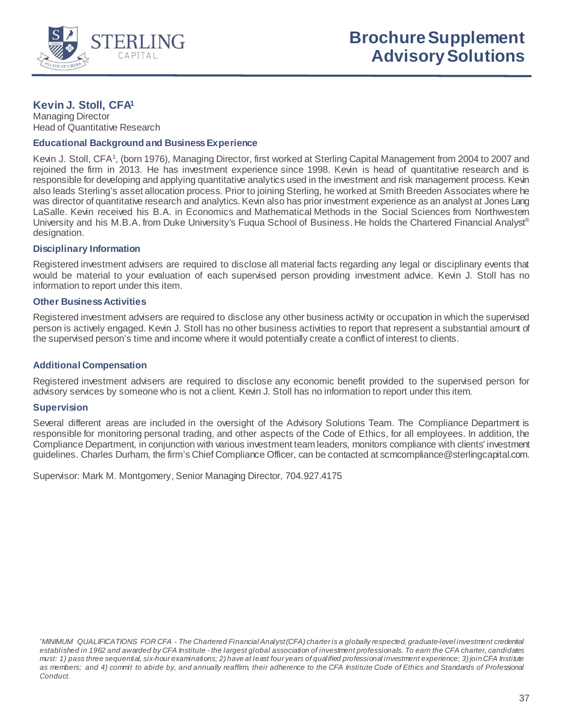

# **Kevin J. Stoll, CFA1**

Managing Director Head of Quantitative Research

### **Educational Background and Business Experience**

Kevin J. Stoll, CFA<sup>1</sup>, (born 1976), Managing Director, first worked at Sterling Capital Management from 2004 to 2007 and rejoined the firm in 2013. He has investment experience since 1998. Kevin is head of quantitative research and is responsible for developing and applying quantitative analytics used in the investment and risk management process. Kevin also leads Sterling's asset allocation process. Prior to joining Sterling, he worked at Smith Breeden Associates where he was director of quantitative research and analytics. Kevin also has prior investment experience as an analyst at Jones Lang LaSalle. Kevin received his B.A. in Economics and Mathematical Methods in the Social Sciences from Northwestern University and his M.B.A. from Duke University's Fuqua School of Business. He holds the Chartered Financial Analyst® designation.

### **Disciplinary Information**

Registered investment advisers are required to disclose all material facts regarding any legal or disciplinary events that would be material to your evaluation of each supervised person providing investment advice. Kevin J. Stoll has no information to report under this item.

### **Other Business Activities**

Registered investment advisers are required to disclose any other business activity or occupation in which the supervised person is actively engaged. Kevin J. Stoll has no other business activities to report that represent a substantial amount of the supervised person's time and income where it would potentially create a conflict of interest to clients.

# **Additional Compensation**

Registered investment advisers are required to disclose any economic benefit provided to the supervised person for advisory services by someone who is not a client. Kevin J. Stoll has no information to report under this item.

#### **Supervision**

Several different areas are included in the oversight of the Advisory Solutions Team. The Compliance Department is responsible for monitoring personal trading, and other aspects of the Code of Ethics, for all employees. In addition, the Compliance Department, in conjunction with various investment team leaders, monitors compliance with clients' investment guidelines. Charles Durham, the firm's Chief Compliance Officer, can be contacted at scmcompliance@sterlingcapital.com.

Supervisor: Mark M. Montgomery, Senior Managing Director, 704.927.4175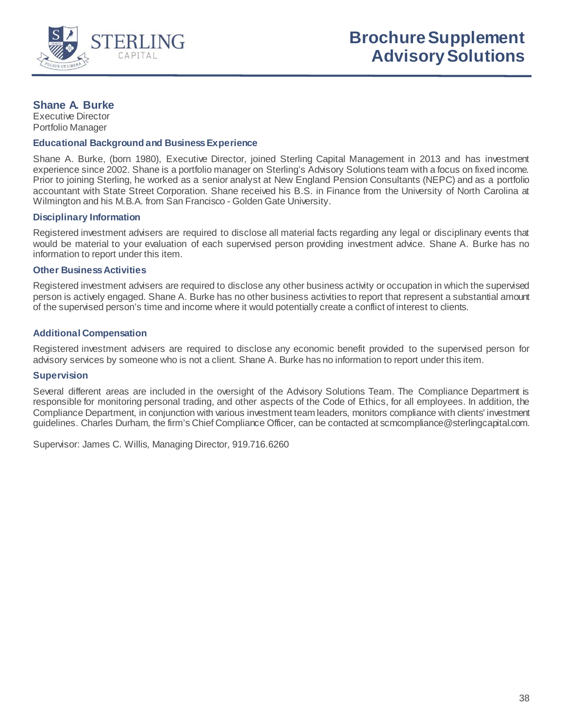

# **Shane A. Burke**

Executive Director Portfolio Manager

#### **Educational Background and Business Experience**

Shane A. Burke, (born 1980), Executive Director, joined Sterling Capital Management in 2013 and has investment experience since 2002. Shane is a portfolio manager on Sterling's Advisory Solutions team with a focus on fixed income. Prior to joining Sterling, he worked as a senior analyst at New England Pension Consultants (NEPC) and as a portfolio accountant with State Street Corporation. Shane received his B.S. in Finance from the University of North Carolina at Wilmington and his M.B.A. from San Francisco - Golden Gate University.

### **Disciplinary Information**

Registered investment advisers are required to disclose all material facts regarding any legal or disciplinary events that would be material to your evaluation of each supervised person providing investment advice. Shane A. Burke has no information to report under this item.

#### **Other Business Activities**

Registered investment advisers are required to disclose any other business activity or occupation in which the supervised person is actively engaged. Shane A. Burke has no other business activities to report that represent a substantial amount of the supervised person's time and income where it would potentially create a conflict of interest to clients.

# **Additional Compensation**

Registered investment advisers are required to disclose any economic benefit provided to the supervised person for advisory services by someone who is not a client. Shane A. Burke has no information to report under this item.

#### **Supervision**

Several different areas are included in the oversight of the Advisory Solutions Team. The Compliance Department is responsible for monitoring personal trading, and other aspects of the Code of Ethics, for all employees. In addition, the Compliance Department, in conjunction with various investment team leaders, monitors compliance with clients' investment guidelines. Charles Durham, the firm's Chief Compliance Officer, can be contacted at scmcompliance@sterlingcapital.com.

Supervisor: James C. Willis, Managing Director, 919.716.6260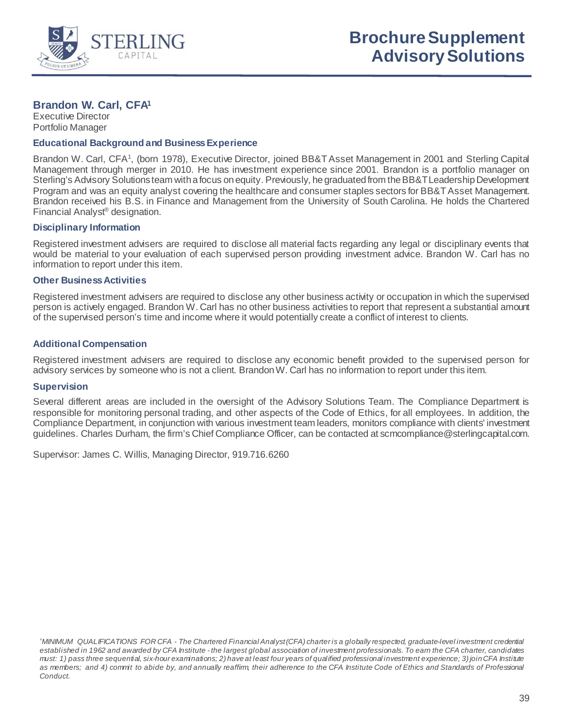

# **Brandon W. Carl, CFA1**

Executive Director Portfolio Manager

### **Educational Background and Business Experience**

Brandon W. Carl, CFA<sup>1</sup>, (born 1978), Executive Director, joined BB&T Asset Management in 2001 and Sterling Capital Management through merger in 2010. He has investment experience since 2001. Brandon is a portfolio manager on Sterling's Advisory Solutions team with a focus on equity. Previously, he graduated from the BB&T Leadership Development Program and was an equity analyst covering the healthcare and consumer staples sectors for BB&T Asset Management. Brandon received his B.S. in Finance and Management from the University of South Carolina. He holds the Chartered Financial Analyst® designation.

## **Disciplinary Information**

Registered investment advisers are required to disclose all material facts regarding any legal or disciplinary events that would be material to your evaluation of each supervised person providing investment advice. Brandon W. Carl has no information to report under this item.

### **Other Business Activities**

Registered investment advisers are required to disclose any other business activity or occupation in which the supervised person is actively engaged. Brandon W. Carl has no other business activities to report that represent a substantial amount of the supervised person's time and income where it would potentially create a conflict of interest to clients.

# **Additional Compensation**

Registered investment advisers are required to disclose any economic benefit provided to the supervised person for advisory services by someone who is not a client. Brandon W. Carl has no information to report under this item.

# **Supervision**

Several different areas are included in the oversight of the Advisory Solutions Team. The Compliance Department is responsible for monitoring personal trading, and other aspects of the Code of Ethics, for all employees. In addition, the Compliance Department, in conjunction with various investment team leaders, monitors compliance with clients' investment guidelines. Charles Durham, the firm's Chief Compliance Officer, can be contacted at scmcompliance@sterlingcapital.com.

Supervisor: James C. Willis, Managing Director, 919.716.6260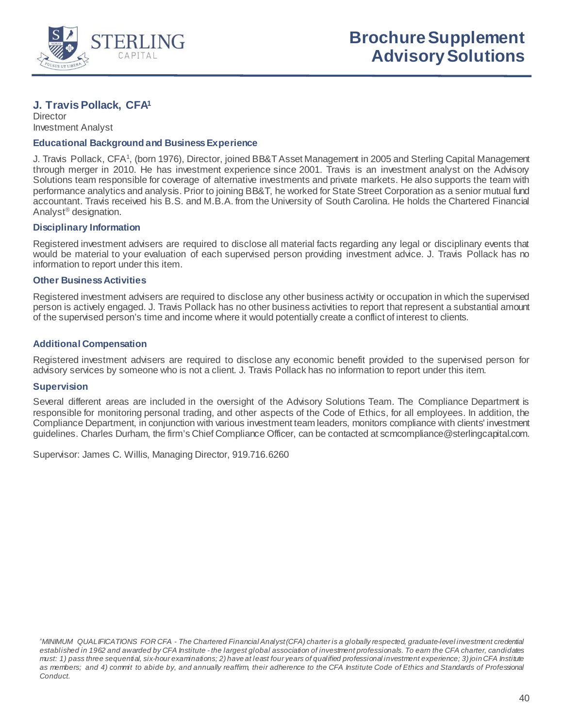

# **J. Travis Pollack, CFA1**

**Director** Investment Analyst

## **Educational Background and Business Experience**

J. Travis Pollack, CFA<sup>1</sup>, (born 1976), Director, joined BB&T Asset Management in 2005 and Sterling Capital Management through merger in 2010. He has investment experience since 2001. Travis is an investment analyst on the Advisory Solutions team responsible for coverage of alternative investments and private markets. He also supports the team with performance analytics and analysis. Prior to joining BB&T, he worked for State Street Corporation as a senior mutual fund accountant. Travis received his B.S. and M.B.A. from the University of South Carolina. He holds the Chartered Financial Analyst® designation.

### **Disciplinary Information**

Registered investment advisers are required to disclose all material facts regarding any legal or disciplinary events that would be material to your evaluation of each supervised person providing investment advice. J. Travis Pollack has no information to report under this item.

### **Other Business Activities**

Registered investment advisers are required to disclose any other business activity or occupation in which the supervised person is actively engaged. J. Travis Pollack has no other business activities to report that represent a substantial amount of the supervised person's time and income where it would potentially create a conflict of interest to clients.

# **Additional Compensation**

Registered investment advisers are required to disclose any economic benefit provided to the supervised person for advisory services by someone who is not a client. J. Travis Pollack has no information to report under this item.

## **Supervision**

Several different areas are included in the oversight of the Advisory Solutions Team. The Compliance Department is responsible for monitoring personal trading, and other aspects of the Code of Ethics, for all employees. In addition, the Compliance Department, in conjunction with various investment team leaders, monitors compliance with clients' investment guidelines. Charles Durham, the firm's Chief Compliance Officer, can be contacted at scmcompliance@sterlingcapital.com.

Supervisor: James C. Willis, Managing Director, 919.716.6260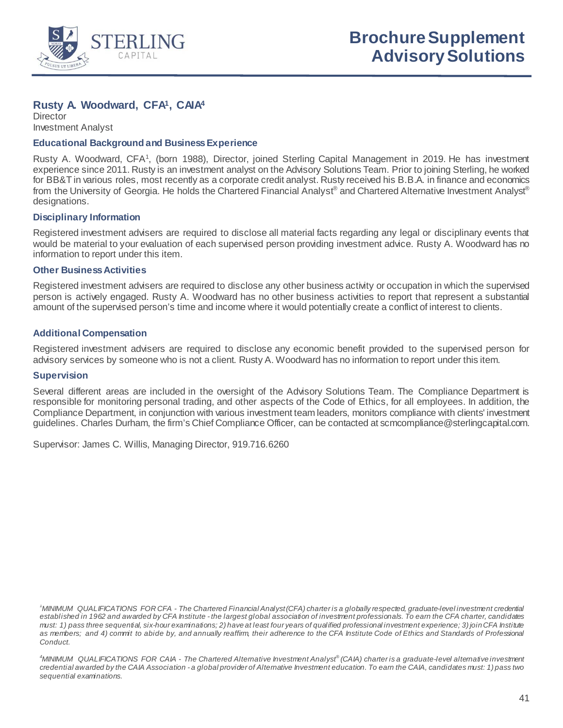

# **Rusty A. Woodward, CFA1, CAIA4**

**Director** Investment Analyst

### **Educational Background and Business Experience**

Rusty A. Woodward, CFA<sup>1</sup>, (born 1988), Director, joined Sterling Capital Management in 2019. He has investment experience since 2011. Rusty is an investment analyst on the Advisory Solutions Team. Prior to joining Sterling, he worked for BB&T in various roles, most recently as a corporate credit analyst. Rusty received his B.B.A. in finance and economics from the University of Georgia. He holds the Chartered Financial Analyst® and Chartered Alternative Investment Analyst® designations.

### **Disciplinary Information**

Registered investment advisers are required to disclose all material facts regarding any legal or disciplinary events that would be material to your evaluation of each supervised person providing investment advice. Rusty A. Woodward has no information to report under this item.

#### **Other Business Activities**

Registered investment advisers are required to disclose any other business activity or occupation in which the supervised person is actively engaged. Rusty A. Woodward has no other business activities to report that represent a substantial amount of the supervised person's time and income where it would potentially create a conflict of interest to clients.

# **Additional Compensation**

Registered investment advisers are required to disclose any economic benefit provided to the supervised person for advisory services by someone who is not a client. Rusty A. Woodward has no information to report under this item.

#### **Supervision**

Several different areas are included in the oversight of the Advisory Solutions Team. The Compliance Department is responsible for monitoring personal trading, and other aspects of the Code of Ethics, for all employees. In addition, the Compliance Department, in conjunction with various investment team leaders, monitors compliance with clients' investment guidelines. Charles Durham, the firm's Chief Compliance Officer, can be contacted at scmcompliance@sterlingcapital.com.

Supervisor: James C. Willis, Managing Director, 919.716.6260

*<sup>1</sup> MINIMUM QUALIFICATIONS FOR CFA - The Chartered Financial Analyst (CFA) charter is a globally respected, graduate-level investment credential established in 1962 and awarded by CFA Institute - the largest global association of investment professionals. To earn the CFA charter, candidates must: 1) pass three sequential, six-hour examinations; 2) have at least four years of qualified professional investment experience; 3) join CFA Institute as members; and 4) commit to abide by, and annually reaffirm, their adherence to the CFA Institute Code of Ethics and Standards of Professional Conduct.*

*<sup>4</sup> MINIMUM QUALIFICATIONS FOR CAIA - The Chartered Alternative Investment Analyst® (CAIA) charter is a graduate-level alternative investment credential awarded by the CAIA Association - a global provider of Alternative Investment education. To earn the CAIA, candidates must: 1) pass two sequential examinations.*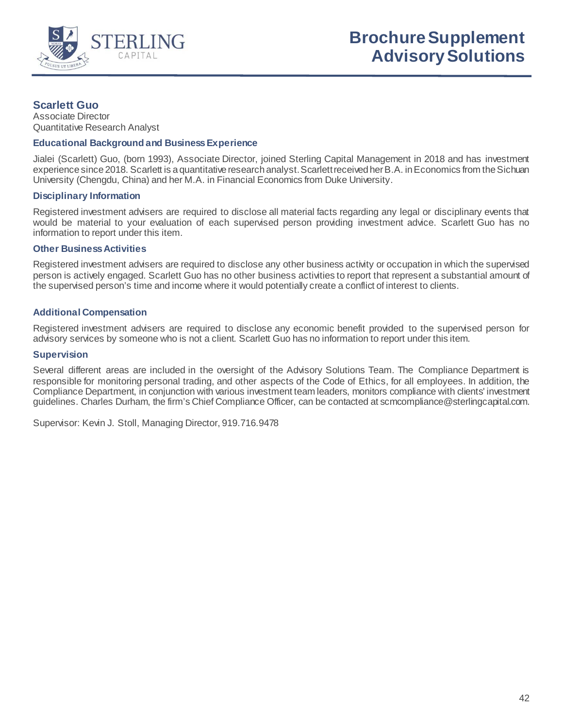

# **Scarlett Guo**

Associate Director Quantitative Research Analyst

#### **Educational Background and Business Experience**

Jialei (Scarlett) Guo, (born 1993), Associate Director, joined Sterling Capital Management in 2018 and has investment experience since 2018. Scarlett is a quantitative research analyst. Scarlett received her B.A. in Economics from the Sichuan University (Chengdu, China) and her M.A. in Financial Economics from Duke University.

### **Disciplinary Information**

Registered investment advisers are required to disclose all material facts regarding any legal or disciplinary events that would be material to your evaluation of each supervised person providing investment advice. Scarlett Guo has no information to report under this item.

### **Other Business Activities**

Registered investment advisers are required to disclose any other business activity or occupation in which the supervised person is actively engaged. Scarlett Guo has no other business activities to report that represent a substantial amount of the supervised person's time and income where it would potentially create a conflict of interest to clients.

# **Additional Compensation**

Registered investment advisers are required to disclose any economic benefit provided to the supervised person for advisory services by someone who is not a client. Scarlett Guo has no information to report under this item.

### **Supervision**

Several different areas are included in the oversight of the Advisory Solutions Team. The Compliance Department is responsible for monitoring personal trading, and other aspects of the Code of Ethics, for all employees. In addition, the Compliance Department, in conjunction with various investment team leaders, monitors compliance with clients' investment guidelines. Charles Durham, the firm's Chief Compliance Officer, can be contacted at scmcompliance@sterlingcapital.com.

Supervisor: Kevin J. Stoll, Managing Director, 919.716.9478